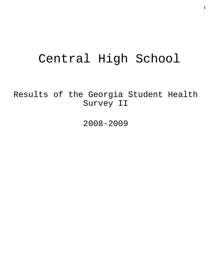# Central High School

Results of the Georgia Student Health Survey II

2008-2009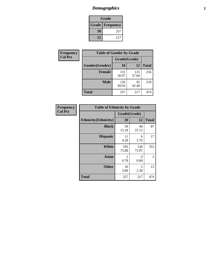# *Demographics* **2**

| Grade                  |     |  |  |  |
|------------------------|-----|--|--|--|
| <b>Grade Frequency</b> |     |  |  |  |
| 10                     | 257 |  |  |  |
| 12                     | 217 |  |  |  |

| Frequency      | <b>Table of Gender by Grade</b> |              |              |              |  |  |
|----------------|---------------------------------|--------------|--------------|--------------|--|--|
| <b>Col Pct</b> |                                 | Grade(Grade) |              |              |  |  |
|                | Gender(Gender)                  | 10           | 12           | <b>Total</b> |  |  |
|                | <b>Female</b>                   | 131<br>50.97 | 125<br>57.60 | 256          |  |  |
|                | <b>Male</b>                     | 126<br>49.03 | 92<br>42.40  | 218          |  |  |
|                | <b>Total</b>                    | 257          | 217          | 474          |  |  |

| <b>Frequency</b> |
|------------------|
| <b>Col Pct</b>   |

| <b>Table of Ethnicity by Grade</b> |              |              |                |  |  |  |
|------------------------------------|--------------|--------------|----------------|--|--|--|
|                                    | Grade(Grade) |              |                |  |  |  |
| <b>Ethnicity</b> (Ethnicity)       | 10           | 12           | <b>Total</b>   |  |  |  |
| <b>Black</b>                       | 39<br>15.18  | 48<br>22.12  | 87             |  |  |  |
| <b>Hispanic</b>                    | 11<br>4.28   | 6<br>2.76    | 17             |  |  |  |
| White                              | 195<br>75.88 | 158<br>72.81 | 353            |  |  |  |
| <b>Asian</b>                       | 2<br>0.78    | 0<br>0.00    | $\mathfrak{D}$ |  |  |  |
| <b>Other</b>                       | 10<br>3.89   | 5<br>2.30    | 15             |  |  |  |
| <b>Total</b>                       | 257          | 217          | 474            |  |  |  |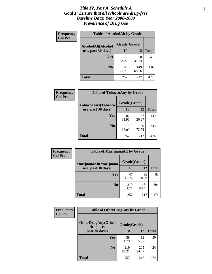#### *Title IV, Part A, Schedule A* **3** *Goal 1: Ensure that all schools are drug-free Baseline Data: Year 2008-2009 Prevalence of Drug Use*

| Frequency<br><b>Col Pct</b> | <b>Table of AlcoholAlt by Grade</b> |              |              |              |  |  |
|-----------------------------|-------------------------------------|--------------|--------------|--------------|--|--|
|                             | AlcoholAlt(Alcohol                  | Grade(Grade) |              |              |  |  |
|                             | use, past 30 days)                  | 10           | 12           | <b>Total</b> |  |  |
|                             | <b>Yes</b>                          | 72<br>28.02  | 68<br>31.34  | 140          |  |  |
|                             | N <sub>0</sub>                      | 185<br>71.98 | 149<br>68.66 | 334          |  |  |
|                             | Total                               | 257          | 217          | 474          |  |  |

| Frequency<br><b>Col Pct</b> | <b>Table of TobaccoAny by Grade</b> |              |              |              |  |
|-----------------------------|-------------------------------------|--------------|--------------|--------------|--|
|                             | TobaccoAny(Tobacco                  | Grade(Grade) |              |              |  |
|                             | use, past 30 days)                  | <b>10</b>    | 12           | <b>Total</b> |  |
|                             | Yes                                 | 82<br>31.91  | 57<br>26.27  | 139          |  |
|                             | N <sub>0</sub>                      | 175<br>68.09 | 160<br>73.73 | 335          |  |
|                             | <b>Total</b>                        | 257          | 217          | 474          |  |

| Frequency<br><b>Col Pct</b> | <b>Table of MarijuanaAlt by Grade</b> |              |              |              |  |
|-----------------------------|---------------------------------------|--------------|--------------|--------------|--|
|                             | MarijuanaAlt(Marijuana                | Grade(Grade) |              |              |  |
|                             | use, past 30 days)                    | 10           | 12           | <b>Total</b> |  |
|                             | Yes                                   | 47<br>18.29  | 36<br>16.59  | 83           |  |
|                             | N <sub>0</sub>                        | 210<br>81.71 | 181<br>83.41 | 391          |  |
|                             | <b>Total</b>                          | 257          | 217          | 474          |  |

| Frequency      | <b>Table of OtherDrugAny by Grade</b>  |              |              |              |  |
|----------------|----------------------------------------|--------------|--------------|--------------|--|
| <b>Col Pct</b> | <b>OtherDrugAny(Other</b><br>drug use, | Grade(Grade) |              |              |  |
|                | past 30 days)                          | 10           | 12           | <b>Total</b> |  |
|                | Yes                                    | 38<br>14.79  | 12<br>5.53   | 50           |  |
|                | N <sub>0</sub>                         | 219<br>85.21 | 205<br>94.47 | 424          |  |
|                | <b>Total</b>                           | 257          | 217          | 474          |  |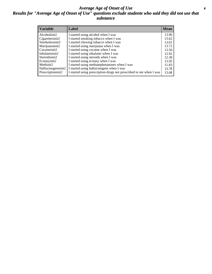#### *Average Age of Onset of Use* **4** *Results for "Average Age of Onset of Use" questions exclude students who said they did not use that substance*

| <b>Variable</b>    | Label                                                              | <b>Mean</b> |
|--------------------|--------------------------------------------------------------------|-------------|
| Alcoholinit2       | I started using alcohol when I was                                 | 13.90       |
| Cigarettesinit2    | I started smoking tobacco when I was                               | 13.62       |
| Smokelessinit2     | I started chewing tobacco when I was                               | 13.01       |
| Marijuanainit2     | I started using marijuana when I was                               | 13.72       |
| Cocaineinit2       | I started using cocaine when I was                                 | 13.56       |
| Inhalantsinit2     | I started using inhalants when I was                               | 12.92       |
| Steroidsinit2      | I started using steroids when I was                                | 12.38       |
| Ecstasyinit2       | I started using ecstasy when I was                                 | 13.95       |
| Methinit2          | I started using methamphetamines when I was                        | 11.83       |
| Hallucinogensinit2 | I started using hallucinogens when I was                           | 13.78       |
| Prescriptioninit2  | I started using prescription drugs not prescribed to me when I was | 13.68       |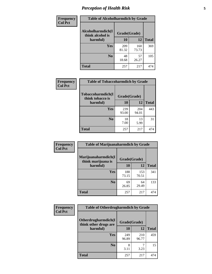# *Perception of Health Risk* **5**

| Frequency      | <b>Table of Alcoholharmdich by Grade</b> |              |              |              |  |
|----------------|------------------------------------------|--------------|--------------|--------------|--|
| <b>Col Pct</b> | Alcoholharmdich(I<br>think alcohol is    | Grade(Grade) |              |              |  |
|                | harmful)                                 | 10           | 12           | <b>Total</b> |  |
|                | Yes                                      | 209<br>81.32 | 160<br>73.73 | 369          |  |
|                | N <sub>0</sub>                           | 48<br>18.68  | 57<br>26.27  | 105          |  |
|                | <b>Total</b>                             | 257          | 217          | 474          |  |

| Frequency      | <b>Table of Tobaccoharmdich by Grade</b> |              |              |              |
|----------------|------------------------------------------|--------------|--------------|--------------|
| <b>Col Pct</b> | Tobaccoharmdich(I<br>think tobacco is    | Grade(Grade) |              |              |
|                | harmful)                                 | 10           | 12           | <b>Total</b> |
|                | Yes                                      | 239<br>93.00 | 204<br>94.01 | 443          |
|                | N <sub>0</sub>                           | 18<br>7.00   | 13<br>5.99   | 31           |
|                | <b>Total</b>                             | 257          | 217          | 474          |

| Frequency      | <b>Table of Marijuanaharmdich by Grade</b>                |              |              |              |  |  |
|----------------|-----------------------------------------------------------|--------------|--------------|--------------|--|--|
| <b>Col Pct</b> | Marijuanaharmdich(I<br>Grade(Grade)<br>think marijuana is |              |              |              |  |  |
|                | harmful)                                                  | 10           | 12           | <b>Total</b> |  |  |
|                | Yes                                                       | 188<br>73.15 | 153<br>70.51 | 341          |  |  |
|                | N <sub>0</sub>                                            | 69<br>26.85  | 64<br>29.49  | 133          |  |  |
|                | <b>Total</b>                                              | 257          | 217          | 474          |  |  |

| <b>Frequency</b> | <b>Table of Otherdrugharmdich by Grade</b>   |              |              |              |  |  |  |  |
|------------------|----------------------------------------------|--------------|--------------|--------------|--|--|--|--|
| <b>Col Pct</b>   | Otherdrugharmdich(I<br>think other drugs are | Grade(Grade) |              |              |  |  |  |  |
|                  | harmful)                                     | 10           | 12           | <b>Total</b> |  |  |  |  |
|                  | <b>Yes</b>                                   | 249<br>96.89 | 210<br>96.77 | 459          |  |  |  |  |
|                  | N <sub>0</sub>                               | 8<br>3.11    | 3.23         | 15           |  |  |  |  |
|                  | <b>Total</b>                                 | 257          | 217          | 474          |  |  |  |  |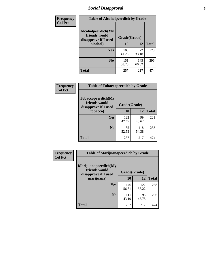# *Social Disapproval* **6**

| Frequency      | <b>Table of Alcoholpeerdich by Grade</b>                    |              |              |              |
|----------------|-------------------------------------------------------------|--------------|--------------|--------------|
| <b>Col Pct</b> | Alcoholpeerdich(My<br>friends would<br>disapprove if I used | Grade(Grade) |              |              |
|                | alcohol)                                                    | 10           | 12           | <b>Total</b> |
|                | <b>Yes</b>                                                  | 106<br>41.25 | 72<br>33.18  | 178          |
|                | N <sub>0</sub>                                              | 151<br>58.75 | 145<br>66.82 | 296          |
|                | <b>Total</b>                                                | 257          | 217          | 474          |

| <b>Frequency</b> |
|------------------|
| <b>Col Pct</b>   |

| <b>Table of Tobaccopeerdich by Grade</b>                    |              |              |              |  |  |  |  |
|-------------------------------------------------------------|--------------|--------------|--------------|--|--|--|--|
| Tobaccopeerdich(My<br>friends would<br>disapprove if I used | Grade(Grade) |              |              |  |  |  |  |
| tobacco)                                                    | 10           | 12           | <b>Total</b> |  |  |  |  |
| Yes                                                         | 122<br>47.47 | 99<br>45.62  | 221          |  |  |  |  |
| N <sub>0</sub>                                              | 135<br>52.53 | 118<br>54.38 | 253          |  |  |  |  |
| <b>Total</b>                                                | 257          | 217          | 474          |  |  |  |  |

| <b>Frequency</b> | <b>Table of Marijuanapeerdich by Grade</b>                    |              |              |              |  |  |  |  |  |
|------------------|---------------------------------------------------------------|--------------|--------------|--------------|--|--|--|--|--|
| <b>Col Pct</b>   | Marijuanapeerdich(My<br>friends would<br>disapprove if I used | Grade(Grade) |              |              |  |  |  |  |  |
|                  | marijuana)                                                    | 10           | 12           | <b>Total</b> |  |  |  |  |  |
|                  | <b>Yes</b>                                                    | 146<br>56.81 | 122<br>56.22 | 268          |  |  |  |  |  |
|                  | N <sub>0</sub>                                                | 111<br>43.19 | 95<br>43.78  | 206          |  |  |  |  |  |
|                  | <b>Total</b>                                                  | 257          | 217          | 474          |  |  |  |  |  |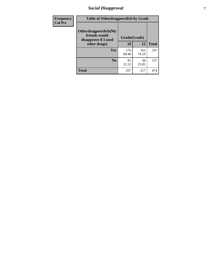# *Social Disapproval* **7**

| Frequency      | <b>Table of Otherdrugpeerdich by Grade</b>                    |              |              |              |  |  |  |  |
|----------------|---------------------------------------------------------------|--------------|--------------|--------------|--|--|--|--|
| <b>Col Pct</b> | Otherdrugpeerdich(My<br>friends would<br>disapprove if I used | Grade(Grade) |              |              |  |  |  |  |
|                | other drugs)                                                  | 10           | 12           | <b>Total</b> |  |  |  |  |
|                | Yes                                                           | 176<br>68.48 | 161<br>74.19 | 337          |  |  |  |  |
|                | N <sub>0</sub>                                                | 81<br>31.52  | 56<br>25.81  | 137          |  |  |  |  |
|                | <b>Total</b>                                                  | 257          | 217          | 474          |  |  |  |  |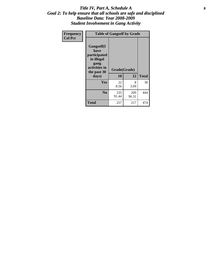#### Title IV, Part A, Schedule A **8** *Goal 2: To help ensure that all schools are safe and disciplined Baseline Data: Year 2008-2009 Student Involvement in Gang Activity*

| Frequency      |                                                                                                   | <b>Table of Gangself by Grade</b> |              |              |
|----------------|---------------------------------------------------------------------------------------------------|-----------------------------------|--------------|--------------|
| <b>Col Pct</b> | Gangself(I<br>have<br>participated<br>in illegal<br>gang<br>activities in<br>the past 30<br>days) | Grade(Grade)<br>10                | 12           | <b>Total</b> |
|                | Yes                                                                                               | 22<br>8.56                        | 8<br>3.69    | 30           |
|                | N <sub>0</sub>                                                                                    | 235<br>91.44                      | 209<br>96.31 | 444          |
|                | <b>Total</b>                                                                                      | 257                               | 217          | 474          |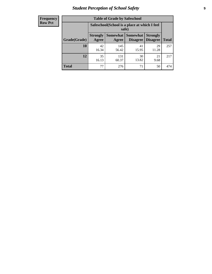# *Student Perception of School Safety* **9**

| <b>Frequency</b><br>Row Pct |
|-----------------------------|
|                             |

| <b>Table of Grade by Safeschool</b> |                          |                                                        |                      |                                    |              |  |  |
|-------------------------------------|--------------------------|--------------------------------------------------------|----------------------|------------------------------------|--------------|--|--|
|                                     |                          | Safeschool (School is a place at which I feel<br>safe) |                      |                                    |              |  |  |
| Grade(Grade)                        | <b>Strongly</b><br>Agree | Somewhat  <br>Agree                                    | Somewhat<br>Disagree | <b>Strongly</b><br><b>Disagree</b> | <b>Total</b> |  |  |
| 10                                  | 42<br>16.34              | 145<br>56.42                                           | 41<br>15.95          | 29<br>11.28                        | 257          |  |  |
| 12                                  | 35<br>16.13              | 131<br>60.37                                           | 30<br>13.82          | 21<br>9.68                         | 217          |  |  |
| <b>Total</b>                        | 77                       | 276                                                    | 71                   | 50                                 | 474          |  |  |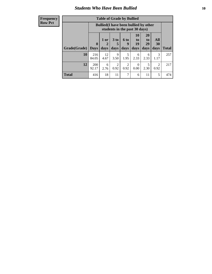#### *Students Who Have Been Bullied* **10**

| <b>Frequency</b> |
|------------------|
| Row Pct          |

| <b>Table of Grade by Bullied</b> |                             |                                                                               |                              |                          |                        |                        |                        |              |
|----------------------------------|-----------------------------|-------------------------------------------------------------------------------|------------------------------|--------------------------|------------------------|------------------------|------------------------|--------------|
|                                  |                             | <b>Bullied</b> (I have been bullied by other<br>students in the past 30 days) |                              |                          |                        |                        |                        |              |
| Grade(Grade)                     | $\mathbf{0}$<br><b>Days</b> | 1 or<br>2<br>days                                                             | 3 <sub>to</sub><br>5<br>days | <b>6 to</b><br>9<br>days | 10<br>to<br>19<br>days | 20<br>to<br>29<br>days | All<br>30<br>days      | <b>Total</b> |
| 10                               | 216<br>84.05                | 12<br>4.67                                                                    | 9<br>3.50                    | 5<br>1.95                | 6<br>2.33              | 6<br>2.33              | 3<br>1.17              | 257          |
| 12                               | 200<br>92.17                | 6<br>2.76                                                                     | 2<br>0.92                    | $\overline{2}$<br>0.92   | 0<br>0.00              | 5<br>2.30              | $\mathfrak{D}$<br>0.92 | 217          |
| <b>Total</b>                     | 416                         | 18                                                                            | 11                           | 7                        | 6                      | 11                     | 5                      | 474          |

 $\blacksquare$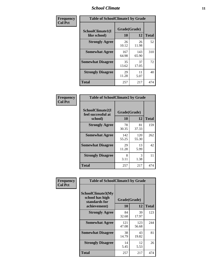### *School Climate* **11**

| Frequency      | <b>Table of SchoolClimate1 by Grade</b> |                    |              |              |  |  |  |
|----------------|-----------------------------------------|--------------------|--------------|--------------|--|--|--|
| <b>Col Pct</b> | SchoolClimate1(I<br>like school)        | Grade(Grade)<br>10 | 12           | <b>Total</b> |  |  |  |
|                | <b>Strongly Agree</b>                   | 26<br>10.12        | 26<br>11.98  | 52           |  |  |  |
|                | <b>Somewhat Agree</b>                   | 167<br>64.98       | 143<br>65.90 | 310          |  |  |  |
|                | <b>Somewhat Disagree</b>                | 35<br>13.62        | 37<br>17.05  | 72           |  |  |  |
|                | <b>Strongly Disagree</b>                | 29<br>11.28        | 11<br>5.07   | 40           |  |  |  |
|                | <b>Total</b>                            | 257                | 217          | 474          |  |  |  |

| Frequency<br>Col Pct |
|----------------------|

| <b>Table of SchoolClimate2 by Grade</b>           |                    |              |              |  |  |
|---------------------------------------------------|--------------------|--------------|--------------|--|--|
| SchoolClimate2(I<br>feel successful at<br>school) | Grade(Grade)<br>10 | 12           | <b>Total</b> |  |  |
| <b>Strongly Agree</b>                             | 78<br>30.35        | 81<br>37.33  | 159          |  |  |
| <b>Somewhat Agree</b>                             | 142<br>55.25       | 120<br>55.30 | 262          |  |  |
| <b>Somewhat Disagree</b>                          | 29<br>11.28        | 13<br>5.99   | 42           |  |  |
| <b>Strongly Disagree</b>                          | 8<br>3.11          | 3<br>1.38    | 11           |  |  |
| <b>Total</b>                                      | 257                | 217          | 474          |  |  |

| Frequency      | <b>Table of SchoolClimate3 by Grade</b>                                      |                    |              |              |  |
|----------------|------------------------------------------------------------------------------|--------------------|--------------|--------------|--|
| <b>Col Pct</b> | <b>SchoolClimate3(My</b><br>school has high<br>standards for<br>achievement) | Grade(Grade)<br>10 | 12           | <b>Total</b> |  |
|                |                                                                              |                    |              |              |  |
|                | <b>Strongly Agree</b>                                                        | 84<br>32.68        | 39<br>17.97  | 123          |  |
|                | <b>Somewhat Agree</b>                                                        | 121<br>47.08       | 123<br>56.68 | 244          |  |
|                | <b>Somewhat Disagree</b>                                                     | 38<br>14.79        | 43<br>19.82  | 81           |  |
|                | <b>Strongly Disagree</b>                                                     | 14<br>5.45         | 12<br>5.53   | 26           |  |
|                | Total                                                                        | 257                | 217          | 474          |  |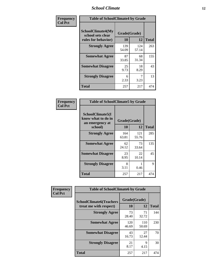### *School Climate* **12**

| Frequency      | <b>Table of SchoolClimate4 by Grade</b>                              |                    |              |              |
|----------------|----------------------------------------------------------------------|--------------------|--------------|--------------|
| <b>Col Pct</b> | <b>SchoolClimate4(My</b><br>school sets clear<br>rules for behavior) | Grade(Grade)<br>10 | 12           | <b>Total</b> |
|                | <b>Strongly Agree</b>                                                | 139<br>54.09       | 124<br>57.14 | 263          |
|                | <b>Somewhat Agree</b>                                                | 87<br>33.85        | 68<br>31.34  | 155          |
|                | <b>Somewhat Disagree</b>                                             | 25<br>9.73         | 18<br>8.29   | 43           |
|                | <b>Strongly Disagree</b>                                             | 6<br>2.33          | 3.23         | 13           |
|                | <b>Total</b>                                                         | 257                | 217          | 474          |

| <b>Table of SchoolClimate5 by Grade</b>                   |              |              |              |  |  |
|-----------------------------------------------------------|--------------|--------------|--------------|--|--|
| SchoolClimate5(I<br>know what to do in<br>an emergency at | Grade(Grade) |              |              |  |  |
| school)                                                   | 10           | 12           | <b>Total</b> |  |  |
| <b>Strongly Agree</b>                                     | 164<br>63.81 | 121<br>55.76 | 285          |  |  |
| <b>Somewhat Agree</b>                                     | 62<br>24.12  | 73<br>33.64  | 135          |  |  |
| <b>Somewhat Disagree</b>                                  | 23<br>8.95   | 22<br>10.14  | 45           |  |  |
| <b>Strongly Disagree</b>                                  | 8<br>3.11    | 0.46         | 9            |  |  |
| <b>Total</b>                                              | 257          | 217          | 474          |  |  |

| Frequency      | <b>Table of SchoolClimate6 by Grade</b>                  |                    |              |              |  |
|----------------|----------------------------------------------------------|--------------------|--------------|--------------|--|
| <b>Col Pct</b> | <b>SchoolClimate6(Teachers</b><br>treat me with respect) | Grade(Grade)<br>10 | 12           | <b>Total</b> |  |
|                | <b>Strongly Agree</b>                                    | 73<br>28.40        | 71<br>32.72  | 144          |  |
|                | <b>Somewhat Agree</b>                                    | 120<br>46.69       | 110<br>50.69 | 230          |  |
|                | <b>Somewhat Disagree</b>                                 | 43<br>16.73        | 27<br>12.44  | 70           |  |
|                | <b>Strongly Disagree</b>                                 | 21<br>8.17         | 9<br>4.15    | 30           |  |
|                | <b>Total</b>                                             | 257                | 217          | 474          |  |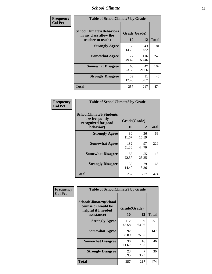### *School Climate* **13**

| Frequency      | <b>Table of SchoolClimate7 by Grade</b>                                       |                           |              |              |  |
|----------------|-------------------------------------------------------------------------------|---------------------------|--------------|--------------|--|
| <b>Col Pct</b> | <b>SchoolClimate7(Behaviors</b><br>in my class allow the<br>teacher to teach) | Grade(Grade)<br><b>10</b> | 12           | <b>Total</b> |  |
|                | <b>Strongly Agree</b>                                                         | 38<br>14.79               | 43<br>19.82  | 81           |  |
|                | <b>Somewhat Agree</b>                                                         | 127<br>49.42              | 116<br>53.46 | 243          |  |
|                | <b>Somewhat Disagree</b>                                                      | 60<br>23.35               | 47<br>21.66  | 107          |  |
|                | <b>Strongly Disagree</b>                                                      | 32<br>12.45               | 11<br>5.07   | 43           |  |
|                | <b>Total</b>                                                                  | 257                       | 217          | 474          |  |

| Frequency      | <b>Table of SchoolClimate8 by Grade</b>                                              |                    |             |              |  |
|----------------|--------------------------------------------------------------------------------------|--------------------|-------------|--------------|--|
| <b>Col Pct</b> | <b>SchoolClimate8(Students</b><br>are frequently<br>recognized for good<br>behavior) | Grade(Grade)<br>10 | 12          | <b>Total</b> |  |
|                | <b>Strongly Agree</b>                                                                | 30<br>11.67        | 36<br>16.59 | 66           |  |
|                | <b>Somewhat Agree</b>                                                                | 132<br>51.36       | 97<br>44.70 | 229          |  |
|                | <b>Somewhat Disagree</b>                                                             | 58<br>22.57        | 55<br>25.35 | 113          |  |
|                | <b>Strongly Disagree</b>                                                             | 37<br>14.40        | 29<br>13.36 | 66           |  |
|                | <b>Total</b>                                                                         | 257                | 217         | 474          |  |

| Frequency<br><b>Col Pct</b> | <b>Table of SchoolClimate9 by Grade</b>                                           |                    |              |              |  |
|-----------------------------|-----------------------------------------------------------------------------------|--------------------|--------------|--------------|--|
|                             | SchoolClimate9(School<br>counselor would be<br>helpful if I needed<br>assistance) | Grade(Grade)<br>10 | 12           | <b>Total</b> |  |
|                             | <b>Strongly Agree</b>                                                             | 112<br>43.58       | 139<br>64.06 | 251          |  |
|                             | <b>Somewhat Agree</b>                                                             | 92<br>35.80        | 55<br>25.35  | 147          |  |
|                             | <b>Somewhat Disagree</b>                                                          | 30<br>11.67        | 16<br>7.37   | 46           |  |
|                             | <b>Strongly Disagree</b>                                                          | 23<br>8.95         | 7<br>3.23    | 30           |  |
|                             | Total                                                                             | 257                | 217          | 474          |  |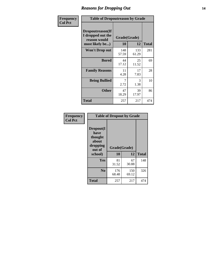### *Reasons for Dropping Out* **14**

| Frequency      | <b>Table of Dropoutreason by Grade</b>                                   |                    |              |              |  |
|----------------|--------------------------------------------------------------------------|--------------------|--------------|--------------|--|
| <b>Col Pct</b> | Dropoutreason(If<br>I dropped out the<br>reason would<br>most likely be) | Grade(Grade)<br>10 | 12           | <b>Total</b> |  |
|                | <b>Won't Drop out</b>                                                    | 148<br>57.59       | 133<br>61.29 | 281          |  |
|                | <b>Bored</b>                                                             | 44<br>17.12        | 25<br>11.52  | 69           |  |
|                | <b>Family Reasons</b>                                                    | 11<br>4.28         | 17<br>7.83   | 28           |  |
|                | <b>Being Bullied</b>                                                     | 7<br>2.72          | 3<br>1.38    | 10           |  |
|                | <b>Other</b>                                                             | 47<br>18.29        | 39<br>17.97  | 86           |  |
|                | <b>Total</b>                                                             | 257                | 217          | 474          |  |

| Frequency<br><b>Col Pct</b> | <b>Table of Dropout by Grade</b>                            |              |              |              |  |
|-----------------------------|-------------------------------------------------------------|--------------|--------------|--------------|--|
|                             | Dropout(I<br>have<br>thought<br>about<br>dropping<br>out of | Grade(Grade) |              |              |  |
|                             | school)                                                     | 10           | 12           | <b>Total</b> |  |
|                             | <b>Yes</b>                                                  | 81<br>31.52  | 67<br>30.88  | 148          |  |
|                             | N <sub>0</sub>                                              | 176<br>68.48 | 150<br>69.12 | 326          |  |
|                             | <b>Total</b>                                                | 257          | 217          | 474          |  |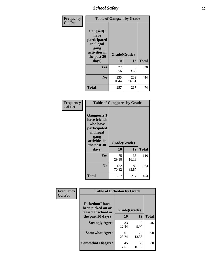*School Safety* **15**

| Frequency      | <b>Table of Gangself by Grade</b>                                                                 |                    |              |              |
|----------------|---------------------------------------------------------------------------------------------------|--------------------|--------------|--------------|
| <b>Col Pct</b> | Gangself(I<br>have<br>participated<br>in illegal<br>gang<br>activities in<br>the past 30<br>days) | Grade(Grade)<br>10 | 12           | <b>Total</b> |
|                | Yes                                                                                               | 22<br>8.56         | 8<br>3.69    | 30           |
|                | N <sub>0</sub>                                                                                    | 235<br>91.44       | 209<br>96.31 | 444          |
|                | <b>Total</b>                                                                                      | 257                | 217          | 474          |

| Frequency<br><b>Col Pct</b> | <b>Table of Gangpeers by Grade</b>                                                                                             |                    |              |              |  |  |  |  |  |
|-----------------------------|--------------------------------------------------------------------------------------------------------------------------------|--------------------|--------------|--------------|--|--|--|--|--|
|                             | <b>Gangpeers</b> (I<br>have friends<br>who have<br>participated<br>in illegal<br>gang<br>activities in<br>the past 30<br>days) | Grade(Grade)<br>10 | 12           | <b>Total</b> |  |  |  |  |  |
|                             | <b>Yes</b>                                                                                                                     | 75<br>29.18        | 35<br>16.13  | 110          |  |  |  |  |  |
|                             | N <sub>0</sub>                                                                                                                 | 182<br>70.82       | 182<br>83.87 | 364          |  |  |  |  |  |
|                             | <b>Total</b>                                                                                                                   | 257                | 217          | 474          |  |  |  |  |  |

| Frequency      | <b>Table of Pickedon by Grade</b>                                  |              |              |    |  |  |  |  |  |
|----------------|--------------------------------------------------------------------|--------------|--------------|----|--|--|--|--|--|
| <b>Col Pct</b> | <b>Pickedon(I have</b><br>been picked on or<br>teased at school in | Grade(Grade) | <b>Total</b> |    |  |  |  |  |  |
|                | the past 30 days)                                                  | <b>10</b>    | 12           |    |  |  |  |  |  |
|                | <b>Strongly Agree</b>                                              | 33<br>12.84  | 13<br>5.99   | 46 |  |  |  |  |  |
|                | <b>Somewhat Agree</b>                                              | 61<br>23.74  | 29<br>13.36  | 90 |  |  |  |  |  |
|                | <b>Somewhat Disagree</b>                                           | 45<br>17.51  | 35<br>16.13  | 80 |  |  |  |  |  |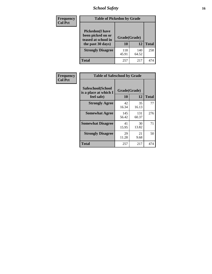# *School Safety* **16**

| <b>Frequency</b> | <b>Table of Pickedon by Grade</b>                                                        |                    |              |     |
|------------------|------------------------------------------------------------------------------------------|--------------------|--------------|-----|
| <b>Col Pct</b>   | <b>Pickedon</b> (I have<br>been picked on or<br>teased at school in<br>the past 30 days) | Grade(Grade)<br>10 | <b>Total</b> |     |
|                  | <b>Strongly Disagree</b>                                                                 | 118<br>45.91       | 140<br>64.52 | 258 |
|                  | Total                                                                                    | 257                | 217          | 474 |

| Frequency      | <b>Table of Safeschool by Grade</b>                      |                    |              |     |
|----------------|----------------------------------------------------------|--------------------|--------------|-----|
| <b>Col Pct</b> | Safeschool(School<br>is a place at which I<br>feel safe) | Grade(Grade)<br>10 | <b>Total</b> |     |
|                | <b>Strongly Agree</b>                                    | 42<br>16.34        | 35<br>16.13  | 77  |
|                | <b>Somewhat Agree</b>                                    | 145<br>56.42       | 131<br>60.37 | 276 |
|                | <b>Somewhat Disagree</b>                                 | 41<br>15.95        | 30<br>13.82  | 71  |
|                | <b>Strongly Disagree</b>                                 | 29<br>11.28        | 21<br>9.68   | 50  |
|                | Total                                                    | 257                | 217          | 474 |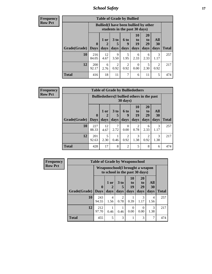*School Safety* **17**

| Frequency |  |
|-----------|--|
| Row Pct   |  |

| <b>Table of Grade by Bullied</b>  |              |                                                                               |                      |                  |                |                       |           |                     |  |  |  |
|-----------------------------------|--------------|-------------------------------------------------------------------------------|----------------------|------------------|----------------|-----------------------|-----------|---------------------|--|--|--|
|                                   |              | <b>Bullied</b> (I have been bullied by other<br>students in the past 30 days) |                      |                  |                |                       |           |                     |  |  |  |
|                                   | $\mathbf{0}$ | $1$ or                                                                        | 3 <sub>to</sub><br>5 | <b>6 to</b><br>9 | 10<br>to<br>19 | <b>20</b><br>to<br>29 | All<br>30 |                     |  |  |  |
| <b>Grade</b> (Grade)   Days<br>10 | 216          | days<br>12                                                                    | days<br>9            | days<br>5        | days<br>6      | days<br>6             | days<br>3 | <b>Total</b><br>257 |  |  |  |
|                                   | 84.05        | 4.67                                                                          | 3.50                 | 1.95             | 2.33           | 2.33                  | 1.17      |                     |  |  |  |
| 12                                | 200<br>92.17 | 6<br>2.76                                                                     | 2<br>0.92            | 2<br>0.92        | 0<br>0.00      | 5<br>2.30             | 2<br>0.92 | 217                 |  |  |  |
| <b>Total</b>                      | 416          | 18                                                                            | 11                   |                  | 6              | 11                    | 5         | 474                 |  |  |  |

| Frequency      |                           |              | <b>Table of Grade by Bulliedothers</b>             |                         |                        |                        |                               |                   |              |
|----------------|---------------------------|--------------|----------------------------------------------------|-------------------------|------------------------|------------------------|-------------------------------|-------------------|--------------|
| <b>Row Pct</b> |                           |              | <b>Bulliedothers</b> (I bullied others in the past |                         | $30 \text{ days}$      |                        |                               |                   |              |
|                | <b>Grade</b> (Grade) Days | $\mathbf{0}$ | 1 or<br>days                                       | 3 <sub>to</sub><br>days | 6 to<br>9<br>days      | 10<br>to<br>19<br>days | <b>20</b><br>to<br>29<br>days | All<br>30<br>days | <b>Total</b> |
|                | 10                        | 227<br>88.33 | 12<br>4.67                                         | 7<br>2.72               | $\Omega$<br>0.00       | $\overline{2}$<br>0.78 | 6<br>2.33                     | 3<br>1.17         | 257          |
|                | 12                        | 201<br>92.63 | 5<br>2.30                                          | 0.46                    | $\mathfrak{D}$<br>0.92 | 3<br>1.38              | $\mathfrak{D}$<br>0.92        | 3<br>1.38         | 217          |
|                | <b>Total</b>              | 428          | 17                                                 | 8                       | $\overline{2}$         | 5                      | 8                             | 6                 | 474          |

| <b>Frequency</b> |              | <b>Table of Grade by Weaponschool</b>                             |                |                         |                        |                                           |                        |              |
|------------------|--------------|-------------------------------------------------------------------|----------------|-------------------------|------------------------|-------------------------------------------|------------------------|--------------|
| <b>Row Pct</b>   |              | Weaponschool(I brought a weapon<br>to school in the past 30 days) |                |                         |                        |                                           |                        |              |
|                  | Grade(Grade) | $\bf{0}$<br><b>Days</b>                                           | 1 or<br>days   | 3 <sub>to</sub><br>days | 10<br>to<br>19<br>days | <b>20</b><br>t <sub>0</sub><br>29<br>days | All<br>30<br>days      | <b>Total</b> |
|                  | 10           | 243<br>94.55                                                      | 4<br>1.56      | $\mathfrak{D}$<br>0.78  | 0.39                   | 3<br>1.17                                 | $\overline{4}$<br>1.56 | 257          |
|                  | 12           | 212<br>97.70                                                      | 0.46           | 0.46                    | $\Omega$<br>0.00       | $\theta$<br>0.00                          | 3<br>1.38              | 217          |
|                  | <b>Total</b> | 455                                                               | $\overline{5}$ | 3                       |                        | 3                                         | 7                      | 474          |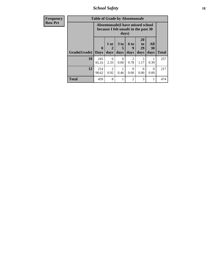*School Safety* **18**

| <b>Frequency</b> |              | <b>Table of Grade by Absentunsafe</b>                                     |                                     |                              |                                     |                        |                   |              |
|------------------|--------------|---------------------------------------------------------------------------|-------------------------------------|------------------------------|-------------------------------------|------------------------|-------------------|--------------|
| <b>Row Pct</b>   |              | Absentunsafe(I have missed school<br>because I felt unsafe in the past 30 |                                     |                              |                                     |                        |                   |              |
|                  | Grade(Grade) | $\mathbf 0$<br><b>Days</b>                                                | 1 or<br>2<br>days                   | 3 <sub>to</sub><br>5<br>days | $6$ to<br>9<br>days                 | 20<br>to<br>29<br>days | All<br>30<br>days | <b>Total</b> |
|                  | 10           | 245<br>95.33                                                              | 6<br>2.33                           | 0<br>0.00                    | $\mathcal{D}_{\mathcal{L}}$<br>0.78 | 3<br>1.17              | 0.39              | 257          |
|                  | 12           | 214<br>98.62                                                              | $\mathcal{D}_{\mathcal{A}}$<br>0.92 | 0.46                         | 0<br>0.00                           | $\Omega$<br>0.00       | $\Omega$<br>0.00  | 217          |
|                  | <b>Total</b> | 459                                                                       | 8                                   |                              | 2                                   | 3                      | 1                 | 474          |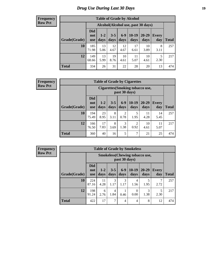# *Drug Use During Last 30 Days* **19**

#### **Frequency Row Pct**

| <b>Table of Grade by Alcohol</b> |                                 |                                    |                 |                 |                 |               |              |       |  |  |  |  |
|----------------------------------|---------------------------------|------------------------------------|-----------------|-----------------|-----------------|---------------|--------------|-------|--|--|--|--|
|                                  |                                 | Alcohol(Alcohol use, past 30 days) |                 |                 |                 |               |              |       |  |  |  |  |
| Grade(Grade)                     | <b>Did</b><br>not<br><b>use</b> | $1 - 2$<br>days                    | $3 - 5$<br>days | $6 - 9$<br>days | $10-19$<br>days | 20-29<br>days | Every<br>day | Total |  |  |  |  |
| 10                               | 185<br>71.98                    | 13<br>5.06                         | 12<br>4.67      | 12<br>4.67      | 17<br>6.61      | 10<br>3.89    | 8<br>3.11    | 257   |  |  |  |  |
| 12                               | 149<br>68.66                    | 13<br>5.99                         | 19<br>8.76      | 10<br>4.61      | 11<br>5.07      | 10<br>4.61    | 5<br>2.30    | 217   |  |  |  |  |
| <b>Total</b>                     | 334                             | 26                                 | 31              | 22              | 28              | 20            | 13           | 474   |  |  |  |  |

#### **Frequency Row Pct**

| <b>Table of Grade by Cigarettes</b> |                          |                                                          |                 |                        |                        |               |                     |       |  |  |  |
|-------------------------------------|--------------------------|----------------------------------------------------------|-----------------|------------------------|------------------------|---------------|---------------------|-------|--|--|--|
|                                     |                          | <b>Cigarettes</b> (Smoking tobacco use,<br>past 30 days) |                 |                        |                        |               |                     |       |  |  |  |
| Grade(Grade)                        | Did<br>not<br><b>use</b> | $1 - 2$<br>days                                          | $3 - 5$<br>days | $6-9$<br>days          | $10-19$<br>days        | 20-29<br>days | <b>Every</b><br>day | Total |  |  |  |
| 10                                  | 194<br>75.49             | 23<br>8.95                                               | 8<br>3.11       | $\overline{2}$<br>0.78 | 5<br>1.95              | 11<br>4.28    | 14<br>5.45          | 257   |  |  |  |
| 12                                  | 166<br>76.50             | 17<br>7.83                                               | 8<br>3.69       | 3<br>1.38              | $\overline{2}$<br>0.92 | 10<br>4.61    | 11<br>5.07          | 217   |  |  |  |
| <b>Total</b>                        | 360                      | 40                                                       | 16              | 5                      | 7                      | 21            | 25                  | 474   |  |  |  |

**Frequency Row Pct**

| <b>Table of Grade by Smokeless</b> |                                 |                                                         |                 |               |                 |                   |              |              |  |  |  |
|------------------------------------|---------------------------------|---------------------------------------------------------|-----------------|---------------|-----------------|-------------------|--------------|--------------|--|--|--|
|                                    |                                 | <b>Smokeless</b> (Chewing tobacco use,<br>past 30 days) |                 |               |                 |                   |              |              |  |  |  |
| Grade(Grade)                       | <b>Did</b><br>not<br><b>use</b> | $1 - 2$<br>days                                         | $3 - 5$<br>days | $6-9$<br>days | $10-19$<br>days | $20 - 29$<br>days | Every<br>day | <b>Total</b> |  |  |  |
| 10                                 | 224<br>87.16                    | 11<br>4.28                                              | 3<br>1.17       | 3<br>1.17     | 4<br>1.56       | 5<br>1.95         | 2.72         | 257          |  |  |  |
| 12                                 | 198<br>91.24                    | 6<br>2.76                                               | 4<br>1.84       | 0.46          | 0<br>0.00       | 3<br>1.38         | 5<br>2.30    | 217          |  |  |  |
| <b>Total</b>                       | 422                             | 17                                                      | 7               | 4             | 4               | 8                 | 12           | 474          |  |  |  |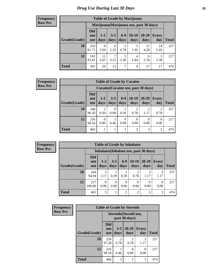#### **Frequency Row Pct**

| <b>Table of Grade by Marijuana</b> |                          |                 |                 |                        |                                         |               |              |              |  |  |
|------------------------------------|--------------------------|-----------------|-----------------|------------------------|-----------------------------------------|---------------|--------------|--------------|--|--|
|                                    |                          |                 |                 |                        | Marijuana (Marijuana use, past 30 days) |               |              |              |  |  |
| Grade(Grade)                       | Did<br>not<br><b>use</b> | $1 - 2$<br>days | $3 - 5$<br>days | $6-9$<br>days          | $10-19$<br>days                         | 20-29<br>days | Every<br>day | <b>Total</b> |  |  |
| 10                                 | 210<br>81.71             | 9<br>3.50       | 6<br>2.33       | $\overline{2}$<br>0.78 | 5<br>1.95                               | 11<br>4.28    | 14<br>5.45   | 257          |  |  |
| 12                                 | 181<br>83.41             | 11<br>5.07      | 7<br>3.23       | 5<br>2.30              | 4<br>1.84                               | 6<br>2.76     | 3<br>1.38    | 217          |  |  |
| <b>Total</b>                       | 391                      | 20              | 13              | 7                      | 9                                       | 17            | 17           | 474          |  |  |

#### **Frequency Row Pct**

| <b>Table of Grade by Cocaine</b> |                                 |                  |                 |                 |                                     |                  |                     |       |  |  |
|----------------------------------|---------------------------------|------------------|-----------------|-----------------|-------------------------------------|------------------|---------------------|-------|--|--|
|                                  |                                 |                  |                 |                 | Cocaine (Cocaine use, past 30 days) |                  |                     |       |  |  |
| Grade(Grade)                     | <b>Did</b><br>not<br><b>use</b> | $1 - 2$<br>days  | $3 - 5$<br>days | $6 - 9$<br>days | $10-19$<br>days                     | 20-29<br>days    | <b>Every</b><br>day | Total |  |  |
| 10                               | 248<br>96.50                    | 0.39             | 0<br>0.00       | 0.39            | 0.78                                | 1.17             | 2<br>0.78           | 257   |  |  |
| 12                               | 216<br>99.54                    | $\Omega$<br>0.00 | 0.46            | 0<br>0.00       | 0<br>0.00                           | $\Omega$<br>0.00 | 0<br>0.00           | 217   |  |  |
| <b>Total</b>                     | 464                             |                  |                 |                 | $\mathfrak{D}$                      | 3                | $\mathfrak{D}$      | 474   |  |  |

**Frequency Row Pct**

| <b>Table of Grade by Inhalants</b> |                          |                  |                 |               |                 |                                        |                     |              |  |  |
|------------------------------------|--------------------------|------------------|-----------------|---------------|-----------------|----------------------------------------|---------------------|--------------|--|--|
|                                    |                          |                  |                 |               |                 | Inhalants (Inhalant use, past 30 days) |                     |              |  |  |
| Grade(Grade)                       | Did<br>not<br><b>use</b> | $1-2$<br>days    | $3 - 5$<br>days | $6-9$<br>days | $10-19$<br>days | $20 - 29$<br>days                      | <b>Every</b><br>day | <b>Total</b> |  |  |
| 10                                 | 244<br>94.94             | 3<br>1.17        | 0.39            | 0.39          | 0.78            | 3<br>1.17                              | 3<br>1.17           | 257          |  |  |
| 12                                 | 217<br>100.00            | $\Omega$<br>0.00 | 0.00            | 0.00          | 0<br>0.00       | 0.00                                   | 0<br>0.00           | 217          |  |  |
| <b>Total</b>                       | 461                      | 3                |                 |               | っ               | 3                                      | 3                   | 474          |  |  |

| Frequency      |              |                                 |                        | <b>Table of Grade by Steroids</b> |                     |              |
|----------------|--------------|---------------------------------|------------------------|-----------------------------------|---------------------|--------------|
| <b>Row Pct</b> |              | Steroids (Steroid use,          |                        |                                   |                     |              |
|                | Grade(Grade) | <b>Did</b><br>not<br><b>use</b> | $3 - 5$<br>days        | 20-29<br>days                     | <b>Every</b><br>day | <b>Total</b> |
|                | 10           | 250<br>97.28                    | $\overline{2}$<br>0.78 | $\mathfrak{D}$<br>0.78            | 3<br>1.17           | 257          |
|                | 12           | 216<br>99.54                    | 0.46                   | ∩<br>0.00                         | 0<br>0.00           | 217          |
|                | <b>Total</b> | 466                             | 3                      | $\mathfrak{D}$                    | 3                   | 474          |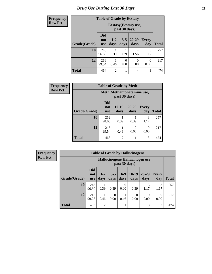# *Drug Use During Last 30 Days* **21**

| <b>Frequency</b> | <b>Table of Grade by Ecstasy</b> |                                        |                 |                  |                   |                     |              |
|------------------|----------------------------------|----------------------------------------|-----------------|------------------|-------------------|---------------------|--------------|
| <b>Row Pct</b>   |                                  | Ecstasy (Ecstasy use,<br>past 30 days) |                 |                  |                   |                     |              |
|                  | Grade(Grade)                     | <b>Did</b><br>not<br><b>use</b>        | $1 - 2$<br>days | $3 - 5$<br>days  | $20 - 29$<br>days | <b>Every</b><br>day | <b>Total</b> |
|                  | 10                               | 248<br>96.50                           | 0.39            | 0.39             | 4<br>1.56         | 3<br>1.17           | 257          |
|                  | 12                               | 216<br>99.54                           | 0.46            | $\Omega$<br>0.00 | 0<br>0.00         | $\Omega$<br>0.00    | 217          |
|                  | <b>Total</b>                     | 464                                    | $\overline{2}$  | 1                | 4                 | 3                   | 474          |

| <b>Frequency</b> |              | <b>Table of Grade by Meth</b>   |                                             |                   |                     |              |  |  |  |
|------------------|--------------|---------------------------------|---------------------------------------------|-------------------|---------------------|--------------|--|--|--|
| <b>Row Pct</b>   |              |                                 | Meth (Methamphetamine use,<br>past 30 days) |                   |                     |              |  |  |  |
|                  | Grade(Grade) | <b>Did</b><br>not<br><b>use</b> | $10-19$<br>days                             | $20 - 29$<br>days | <b>Every</b><br>day | <b>Total</b> |  |  |  |
|                  | 10           | 252<br>98.05                    | 0.39                                        | 0.39              | 3<br>1.17           | 257          |  |  |  |
|                  | 12           | 216<br>99.54                    | 0.46                                        | 0<br>0.00         | 0.00                | 217          |  |  |  |
|                  | <b>Total</b> | 468                             | $\overline{2}$                              |                   | 3                   | 474          |  |  |  |

| <b>Frequency</b> |              | <b>Table of Grade by Hallucinogens</b> |                 |                                                   |                  |                 |                   |                     |              |
|------------------|--------------|----------------------------------------|-----------------|---------------------------------------------------|------------------|-----------------|-------------------|---------------------|--------------|
| <b>Row Pct</b>   |              |                                        |                 | Hallucinogens (Hallucinogen use,<br>past 30 days) |                  |                 |                   |                     |              |
|                  | Grade(Grade) | <b>Did</b><br>not<br><b>use</b>        | $1 - 2$<br>days | $3 - 5$<br>days                                   | $6-9$<br>days    | $10-19$<br>days | $20 - 29$<br>days | <b>Every</b><br>day | <b>Total</b> |
|                  | 10           | 248<br>96.50                           | 1<br>0.39       | 0.39                                              | $\Omega$<br>0.00 | 0.39            | 3<br>1.17         | 3<br>1.17           | 257          |
|                  | 12           | 215<br>99.08                           | 0.46            | 0<br>0.00                                         | 0.46             | 0<br>0.00       | $\Omega$<br>0.00  | $\left($<br>0.00    | 217          |
|                  | <b>Total</b> | 463                                    | 2               | 1                                                 |                  |                 | 3                 | 3                   | 474          |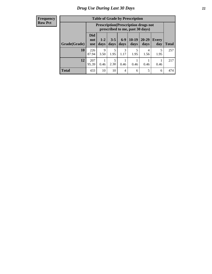#### **Frequency Row Pct**

| <b>Table of Grade by Prescription</b> |                                 |                                                                                |                 |               |                 |                   |              |       |  |  |
|---------------------------------------|---------------------------------|--------------------------------------------------------------------------------|-----------------|---------------|-----------------|-------------------|--------------|-------|--|--|
|                                       |                                 | <b>Prescription</b> (Prescription drugs not<br>prescribed to me, past 30 days) |                 |               |                 |                   |              |       |  |  |
| Grade(Grade)                          | <b>Did</b><br>not<br><b>use</b> | $1 - 2$<br>days                                                                | $3 - 5$<br>days | $6-9$<br>days | $10-19$<br>days | $20 - 29$<br>days | Every<br>day | Total |  |  |
| 10                                    | 226<br>87.94                    | 9<br>3.50                                                                      | 5<br>1.95       | 3<br>1.17     | 5<br>1.95       | 4<br>1.56         | 5<br>1.95    | 257   |  |  |
| 12                                    | 207<br>95.39                    | 0.46                                                                           | 5<br>2.30       | 0.46          | 0.46            | 0.46              | 0.46         | 217   |  |  |
| <b>Total</b>                          | 433                             | 10                                                                             | 10              | 4             | 6               | 5                 | 6            | 474   |  |  |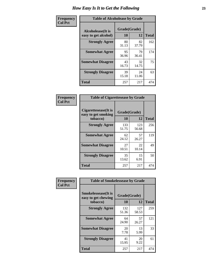| Frequency      | <b>Table of Alcoholease by Grade</b>              |             |                    |     |  |  |
|----------------|---------------------------------------------------|-------------|--------------------|-----|--|--|
| <b>Col Pct</b> | <b>Alcoholease</b> (It is<br>easy to get alcohol) | 10          | Grade(Grade)<br>12 |     |  |  |
|                | <b>Strongly Agree</b>                             | 80<br>31.13 | 82<br>37.79        | 162 |  |  |
|                | <b>Somewhat Agree</b>                             | 95<br>36.96 | 79<br>36.41        | 174 |  |  |
|                | <b>Somewhat Disagree</b>                          | 43<br>16.73 | 32<br>14.75        | 75  |  |  |
|                | <b>Strongly Disagree</b>                          | 39<br>15.18 | 24<br>11.06        | 63  |  |  |
|                | <b>Total</b>                                      | 257         | 217                | 474 |  |  |

| Frequency      | <b>Table of Cigarettesease by Grade</b>                  |                    |              |              |  |  |  |
|----------------|----------------------------------------------------------|--------------------|--------------|--------------|--|--|--|
| <b>Col Pct</b> | Cigarettesease (It is<br>easy to get smoking<br>tobacco) | Grade(Grade)<br>10 | 12           | <b>Total</b> |  |  |  |
|                | <b>Strongly Agree</b>                                    | 133<br>51.75       | 123<br>56.68 | 256          |  |  |  |
|                | <b>Somewhat Agree</b>                                    | 62<br>24.12        | 57<br>26.27  | 119          |  |  |  |
|                | <b>Somewhat Disagree</b>                                 | 27<br>10.51        | 22<br>10.14  | 49           |  |  |  |
|                | <b>Strongly Disagree</b>                                 | 35<br>13.62        | 15<br>6.91   | 50           |  |  |  |
|                | <b>Total</b>                                             | 257                | 217          | 474          |  |  |  |

| Frequency      | <b>Table of Smokelessease by Grade</b>                         |                    |              |              |
|----------------|----------------------------------------------------------------|--------------------|--------------|--------------|
| <b>Col Pct</b> | <b>Smokelessease</b> (It is<br>easy to get chewing<br>tobacco) | Grade(Grade)<br>10 | 12           | <b>Total</b> |
|                | <b>Strongly Agree</b>                                          | 132<br>51.36       | 127<br>58.53 | 259          |
|                | <b>Somewhat Agree</b>                                          | 64<br>24.90        | 57<br>26.27  | 121          |
|                | <b>Somewhat Disagree</b>                                       | 20<br>7.78         | 13<br>5.99   | 33           |
|                | <b>Strongly Disagree</b>                                       | 41<br>15.95        | 20<br>9.22   | 61           |
|                | <b>Total</b>                                                   | 257                | 217          | 474          |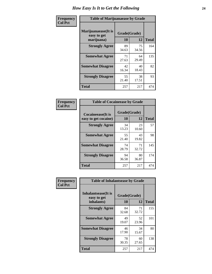| Frequency      | <b>Table of Marijuanaease by Grade</b>           |                    |             |              |  |  |
|----------------|--------------------------------------------------|--------------------|-------------|--------------|--|--|
| <b>Col Pct</b> | Marijuanaease(It is<br>easy to get<br>marijuana) | Grade(Grade)<br>10 | 12          | <b>Total</b> |  |  |
|                | <b>Strongly Agree</b>                            | 89<br>34.63        | 75<br>34.56 | 164          |  |  |
|                | <b>Somewhat Agree</b>                            | 71<br>27.63        | 64<br>29.49 | 135          |  |  |
|                | <b>Somewhat Disagree</b>                         | 42<br>16.34        | 40<br>18.43 | 82           |  |  |
|                | <b>Strongly Disagree</b>                         | 55<br>21.40        | 38<br>17.51 | 93           |  |  |
|                | <b>Total</b>                                     | 257                | 217         | 474          |  |  |

| <b>Table of Cocaineease by Grade</b>              |             |                    |     |  |  |  |  |  |  |  |  |  |
|---------------------------------------------------|-------------|--------------------|-----|--|--|--|--|--|--|--|--|--|
| <b>Cocaineease</b> (It is<br>easy to get cocaine) | 10          | Grade(Grade)<br>12 |     |  |  |  |  |  |  |  |  |  |
| <b>Strongly Agree</b>                             | 34<br>13.23 | 23<br>10.60        | 57  |  |  |  |  |  |  |  |  |  |
| <b>Somewhat Agree</b>                             | 55<br>21.40 | 43<br>19.82        | 98  |  |  |  |  |  |  |  |  |  |
| <b>Somewhat Disagree</b>                          | 74<br>28.79 | 71<br>32.72        | 145 |  |  |  |  |  |  |  |  |  |
| <b>Strongly Disagree</b>                          | 94<br>36.58 | 80<br>36.87        | 174 |  |  |  |  |  |  |  |  |  |
| <b>Total</b>                                      | 257         | 217                | 474 |  |  |  |  |  |  |  |  |  |

| Frequency      | <b>Table of Inhalantsease by Grade</b>                   |             |                    |     |  |  |  |
|----------------|----------------------------------------------------------|-------------|--------------------|-----|--|--|--|
| <b>Col Pct</b> | <b>Inhalantsease</b> (It is<br>easy to get<br>inhalants) | 10          | Grade(Grade)<br>12 |     |  |  |  |
|                | <b>Strongly Agree</b>                                    | 84<br>32.68 | 71<br>32.72        | 155 |  |  |  |
|                | <b>Somewhat Agree</b>                                    | 49<br>19.07 | 52<br>23.96        | 101 |  |  |  |
|                | <b>Somewhat Disagree</b>                                 | 46<br>17.90 | 34<br>15.67        | 80  |  |  |  |
|                | <b>Strongly Disagree</b>                                 | 78<br>30.35 | 60<br>27.65        | 138 |  |  |  |
|                | <b>Total</b>                                             | 257         | 217                | 474 |  |  |  |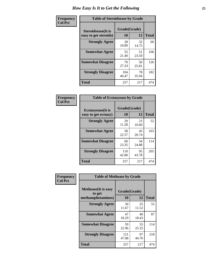| Frequency      | <b>Table of Steroidsease by Grade</b>               |                    |             |              |  |  |  |  |  |  |  |  |
|----------------|-----------------------------------------------------|--------------------|-------------|--------------|--|--|--|--|--|--|--|--|
| <b>Col Pct</b> | <b>Steroidsease</b> (It is<br>easy to get steroids) | Grade(Grade)<br>10 | 12          | <b>Total</b> |  |  |  |  |  |  |  |  |
|                | <b>Strongly Agree</b>                               | 28<br>10.89        | 32<br>14.75 | 60           |  |  |  |  |  |  |  |  |
|                | <b>Somewhat Agree</b>                               | 55<br>21.40        | 51<br>23.50 | 106          |  |  |  |  |  |  |  |  |
|                | <b>Somewhat Disagree</b>                            | 70<br>27.24        | 56<br>25.81 | 126          |  |  |  |  |  |  |  |  |
|                | <b>Strongly Disagree</b>                            | 104<br>40.47       | 78<br>35.94 | 182          |  |  |  |  |  |  |  |  |
|                | <b>Total</b>                                        | 257                | 217         | 474          |  |  |  |  |  |  |  |  |

| Frequency      | <b>Table of Ecstasyease by Grade</b>              |                           |             |              |  |  |  |  |  |  |  |  |
|----------------|---------------------------------------------------|---------------------------|-------------|--------------|--|--|--|--|--|--|--|--|
| <b>Col Pct</b> | <b>Ecstasyease</b> (It is<br>easy to get ecstasy) | Grade(Grade)<br><b>10</b> | 12          | <b>Total</b> |  |  |  |  |  |  |  |  |
|                | <b>Strongly Agree</b>                             | 29<br>11.28               | 23<br>10.60 | 52           |  |  |  |  |  |  |  |  |
|                | <b>Somewhat Agree</b>                             | 58<br>22.57               | 45<br>20.74 | 103          |  |  |  |  |  |  |  |  |
|                | <b>Somewhat Disagree</b>                          | 60<br>23.35               | 54<br>24.88 | 114          |  |  |  |  |  |  |  |  |
|                | <b>Strongly Disagree</b>                          | 110<br>42.80              | 95<br>43.78 | 205          |  |  |  |  |  |  |  |  |
|                | <b>Total</b>                                      | 257                       | 217         | 474          |  |  |  |  |  |  |  |  |

| <b>Frequency</b> | <b>Table of Methease by Grade</b>                          |                    |              |     |
|------------------|------------------------------------------------------------|--------------------|--------------|-----|
| <b>Col Pct</b>   | <b>Methease</b> (It is easy<br>to get<br>methamphetamines) | Grade(Grade)<br>10 | <b>Total</b> |     |
|                  | <b>Strongly Agree</b>                                      | 30<br>11.67        | 25<br>11.52  | 55  |
|                  | <b>Somewhat Agree</b>                                      | 47<br>18.29        | 40<br>18.43  | 87  |
|                  | <b>Somewhat Disagree</b>                                   | 59<br>22.96        | 55<br>25.35  | 114 |
|                  | <b>Strongly Disagree</b>                                   | 121<br>47.08       | 97<br>44.70  | 218 |
|                  | <b>Total</b>                                               | 257                | 217          | 474 |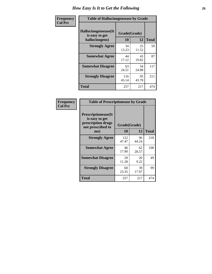| <b>Frequency</b> | <b>Table of Hallucinogensease by Grade</b>                |                    |             |              |  |  |  |  |  |  |  |  |
|------------------|-----------------------------------------------------------|--------------------|-------------|--------------|--|--|--|--|--|--|--|--|
| <b>Col Pct</b>   | Hallucinogensease(It)<br>is easy to get<br>hallucinogens) | Grade(Grade)<br>10 | 12          | <b>Total</b> |  |  |  |  |  |  |  |  |
|                  | <b>Strongly Agree</b>                                     | 34<br>13.23        | 25<br>11.52 | 59           |  |  |  |  |  |  |  |  |
|                  | <b>Somewhat Agree</b>                                     | 44<br>17.12        | 43<br>19.82 | 87           |  |  |  |  |  |  |  |  |
|                  | <b>Somewhat Disagree</b>                                  | 63<br>24.51        | 54<br>24.88 | 117          |  |  |  |  |  |  |  |  |
|                  | <b>Strongly Disagree</b>                                  | 116<br>45.14       | 95<br>43.78 | 211          |  |  |  |  |  |  |  |  |
|                  | <b>Total</b>                                              | 257                | 217         | 474          |  |  |  |  |  |  |  |  |

| Frequency<br>  Col Pct |
|------------------------|
|                        |

г

| <b>Table of Prescriptionease by Grade</b>                                                |              |             |              |  |  |  |  |  |  |  |  |
|------------------------------------------------------------------------------------------|--------------|-------------|--------------|--|--|--|--|--|--|--|--|
| <b>Prescriptionease</b> (It<br>is easy to get<br>prescription drugs<br>not prescribed to | Grade(Grade) |             |              |  |  |  |  |  |  |  |  |
| me)                                                                                      | 10           | 12          | <b>Total</b> |  |  |  |  |  |  |  |  |
| <b>Strongly Agree</b>                                                                    | 122<br>47.47 | 96<br>44.24 | 218          |  |  |  |  |  |  |  |  |
| <b>Somewhat Agree</b>                                                                    | 46<br>17.90  | 62<br>28.57 | 108          |  |  |  |  |  |  |  |  |
| <b>Somewhat Disagree</b>                                                                 | 29<br>11.28  | 20<br>9.22  | 49           |  |  |  |  |  |  |  |  |
| <b>Strongly Disagree</b>                                                                 | 60<br>23.35  | 39<br>17.97 | 99           |  |  |  |  |  |  |  |  |
| <b>Total</b>                                                                             | 257          | 217         | 474          |  |  |  |  |  |  |  |  |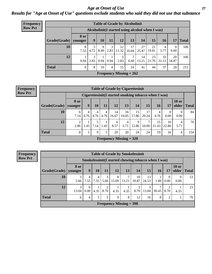*Age at Onset of Use* **27** *Results for "Age at Onset of Use" questions exclude students who said they did not use that substance*

| <b>Frequency</b> |                        |             |                                                  |           |                | <b>Table of Grade by Alcoholinit</b> |             |             |             |             |                      |              |
|------------------|------------------------|-------------|--------------------------------------------------|-----------|----------------|--------------------------------------|-------------|-------------|-------------|-------------|----------------------|--------------|
| <b>Row Pct</b>   |                        |             | Alcoholinit (I started using alcohol when I was) |           |                |                                      |             |             |             |             |                      |              |
|                  | Grade(Grade)   younger | <b>8 or</b> | 9                                                | 10        | 11             | 12                                   | 13          | 14          | 15          | <b>16</b>   | 17                   | <b>Total</b> |
|                  | 10                     | 8<br>7.55   | 4.72                                             | 9<br>8.49 | 3<br>2.83      | 12<br>11.32                          | 17<br>16.04 | 27<br>25.47 | 21<br>19.81 | 4<br>3.77   | $\mathbf{0}$<br>0.00 | 106          |
|                  | 12                     | 0.94        | 3<br>2.83                                        | 0.94      | 0.94           | 3<br>2.83                            | 7<br>6.60   | 14<br>13.21 | 23<br>21.70 | 33<br>31.13 | 20<br>18.87          | 106          |
|                  | <b>Total</b>           | 9           | 8                                                | 10        | $\overline{4}$ | 15                                   | 24          | 41          | 44          | 37          | 20                   | 212          |
|                  |                        |             |                                                  |           |                | Frequency Missing $= 262$            |             |             |             |             |                      |              |

#### **Frequency Row Pct**

|              | <b>Table of Grade by Cigarettesinit</b>              |           |           |           |             |                           |             |             |             |             |                       |              |  |  |
|--------------|------------------------------------------------------|-----------|-----------|-----------|-------------|---------------------------|-------------|-------------|-------------|-------------|-----------------------|--------------|--|--|
|              | Cigarettesinit(I started smoking tobacco when I was) |           |           |           |             |                           |             |             |             |             |                       |              |  |  |
| Grade(Grade) | 8 or<br>vounger                                      | 9         | 10        | 11        | 12          | 13                        | 14          | 15          | 16          | 17          | <b>18 or</b><br>older | <b>Total</b> |  |  |
| 10           | 6<br>7.14                                            | 4<br>4.76 | 4<br>4.76 | 4<br>4.76 | 14<br>16.67 | 16<br>19.05               | 15<br>17.86 | 17<br>20.24 | 4<br>4.76   | 0<br>0.00   | $\Omega$<br>0.00      | 84           |  |  |
| 12           | $\overline{2}$<br>2.86                               | 1.43      | 7.14      | 1.43      | 6<br>8.57   | 4<br>5.71                 | Q<br>12.86  | 7<br>10.00  | 15<br>21.43 | 16<br>22.86 | 4<br>5.71             | 70           |  |  |
| Total        | 8                                                    | 5         | 9         | 5         | 20          | 20                        | 24          | 24          | 19          | 16          | $\overline{4}$        | 154          |  |  |
|              |                                                      |           |           |           |             | Frequency Missing $= 320$ |             |             |             |             |                       |              |  |  |

**Frequency Row Pct**

| <b>Table of Grade by Smokelessinit</b> |                                                     |                               |           |           |                           |            |             |             |            |                  |                       |              |  |
|----------------------------------------|-----------------------------------------------------|-------------------------------|-----------|-----------|---------------------------|------------|-------------|-------------|------------|------------------|-----------------------|--------------|--|
|                                        | Smokelessinit(I started chewing tobacco when I was) |                               |           |           |                           |            |             |             |            |                  |                       |              |  |
| $ $ Grade(Grade) $ $                   | 8 or<br>younger                                     | 9                             | 10        | 11        | 12                        | 13         | <b>14</b>   | <b>15</b>   | <b>16</b>  | 17               | <b>18 or</b><br>older | <b>Total</b> |  |
| 10                                     | 3<br>5.66                                           | 4<br>7.55                     | 4<br>7.55 | 3<br>5.66 | 8<br>15.09                | 7<br>13.21 | 10<br>18.87 | 13<br>24.53 | 1.89       | $\theta$<br>0.00 | $\theta$<br>0.00      | 53           |  |
| 12                                     | 3<br>13.04                                          | $\Omega$<br>0.00 <sub>l</sub> | 4.35      | 2<br>8.70 | 4.35                      | 4.35       | 8.70        | 3<br>13.04  | 7<br>30.43 | 2<br>8.70        | 4.35                  | 23           |  |
| Total                                  | 6                                                   | 4                             | 5         | 5         | 9                         | 8          | 12          | 16          | 8          | 2                |                       | 76           |  |
|                                        |                                                     |                               |           |           | Frequency Missing $=$ 398 |            |             |             |            |                  |                       |              |  |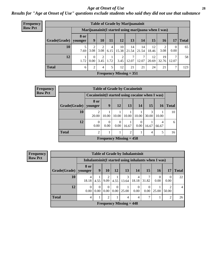#### *Age at Onset of Use* **28**

*Results for "Age at Onset of Use" questions exclude students who said they did not use that substance*

| <b>Frequency</b> |                        |                                                      |      |                  |                        |             | <b>Table of Grade by Marijuanainit</b> |             |             |             |                        |              |
|------------------|------------------------|------------------------------------------------------|------|------------------|------------------------|-------------|----------------------------------------|-------------|-------------|-------------|------------------------|--------------|
| <b>Row Pct</b>   |                        | Marijuanainit (I started using marijuana when I was) |      |                  |                        |             |                                        |             |             |             |                        |              |
|                  | Grade(Grade)   younger | <b>8 or</b>                                          | 9    | 10               | 11                     | 12          | 13                                     | 14          | 15          | 16          | 17                     | <b>Total</b> |
|                  | 10                     | 7.69                                                 | 3.08 | 3.08             | $\overline{4}$<br>6.15 | 10<br>15.38 | 14<br>21.54                            | 14<br>21.54 | 12<br>18.46 | 3.08        | $\theta$<br>0.00       | 65           |
|                  | 12                     | 1.72                                                 | 0    | 2<br>$0.00$ 3.45 | 1.72                   | 2<br>3.45   | 12.07                                  | 7<br>12.07  | 12<br>20.69 | 19<br>32.76 | $\mathcal{I}$<br>12.07 | 58           |
|                  | <b>Total</b>           | 6                                                    | 2    | 4                | 5                      | 12          | 21                                     | 21          | 24          | 21          | 7                      | 123          |
|                  |                        |                                                      |      |                  |                        |             | Frequency Missing $= 351$              |             |             |             |                        |              |

| <b>Frequency</b> |                                | <b>Table of Grade by Cocaineinit</b>               |                  |       |                |                  |                 |            |              |  |
|------------------|--------------------------------|----------------------------------------------------|------------------|-------|----------------|------------------|-----------------|------------|--------------|--|
| <b>Row Pct</b>   |                                | Cocaine in it (I started using cocaine when I was) |                  |       |                |                  |                 |            |              |  |
|                  | Grade(Grade)   younger         | <b>8 or</b>                                        | 9                | 12    | 13             | 14'              | 15 <sup>1</sup> | 16         | <b>Total</b> |  |
|                  | 10                             | 20.00                                              | 10.00            | 10.00 | 10.00          | 10.00            | 3<br>30.00      | 10.00      | 10           |  |
|                  | 12                             | $\Omega$<br>0.00                                   | $\Omega$<br>0.00 | 0.00  | 16.67          | $\theta$<br>0.00 | 16.67           | 4<br>66.67 | 6            |  |
|                  | <b>Total</b>                   | $\overline{2}$                                     |                  |       | $\mathfrak{D}$ |                  | 4               | 5          | 16           |  |
|                  | <b>Frequency Missing = 458</b> |                                                    |                  |       |                |                  |                 |            |              |  |

| <b>Frequency</b> | <b>Table of Grade by Inhalantsinit</b>     |            |                  |                        |                      |                           |                         |       |                                                      |                  |              |
|------------------|--------------------------------------------|------------|------------------|------------------------|----------------------|---------------------------|-------------------------|-------|------------------------------------------------------|------------------|--------------|
| <b>Row Pct</b>   |                                            |            |                  |                        |                      |                           |                         |       | Inhalantsinit (I started using inhalants when I was) |                  |              |
|                  | Grade(Grade)   younger                     | 8 or       | 9                | 10                     | 12                   | 13                        | <b>14</b>               | 15    | <b>16</b>                                            | 17               | <b>Total</b> |
|                  | 10                                         | 4<br>18.18 | 4.55             | $\mathfrak{D}$<br>9.09 | 4.55                 | 13.64                     | $\overline{4}$<br>18.18 | 31.82 | 0.00                                                 | $\left($<br>0.00 | 22           |
|                  | 12                                         | 0.00       | $\Omega$<br>0.00 | $\Omega$<br>0.00       | $\theta$<br>$0.00\,$ | 25.00                     | $\theta$<br>0.00        | 0.00  | 25.00                                                | 50.00            | 4            |
|                  | <b>Total</b><br>2<br>⇁<br>2<br>4<br>4<br>4 |            |                  |                        |                      |                           |                         |       |                                                      | 26               |              |
|                  |                                            |            |                  |                        |                      | Frequency Missing $= 448$ |                         |       |                                                      |                  |              |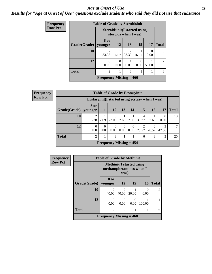#### *Age at Onset of Use* **29**

### *Results for "Age at Onset of Use" questions exclude students who said they did not use that substance*

| Frequency      | <b>Table of Grade by Steroidsinit</b> |                           |                  |                         |                                      |           |                |  |  |
|----------------|---------------------------------------|---------------------------|------------------|-------------------------|--------------------------------------|-----------|----------------|--|--|
| <b>Row Pct</b> |                                       |                           |                  | steroids when I was)    | <b>Steroidsinit (I started using</b> |           |                |  |  |
|                | Grade(Grade)                          | 8 or<br>vounger           | <b>12</b>        | 13                      | 15                                   | 17        | <b>Total</b>   |  |  |
|                | 10                                    | $\overline{2}$<br>33.33   | 16.67            | $\overline{c}$<br>33.33 | 16.67                                | 0<br>0.00 | 6              |  |  |
|                | 12                                    | $\Omega$<br>0.00          | $\theta$<br>0.00 | 50.00                   | 0.00                                 | 50.00     | $\mathfrak{D}$ |  |  |
|                | <b>Total</b>                          | $\overline{2}$            |                  | 3                       |                                      |           | 8              |  |  |
|                |                                       | Frequency Missing $= 466$ |                  |                         |                                      |           |                |  |  |

| <b>Frequency</b> |              | <b>Table of Grade by Ecstasyinit</b>             |                  |                           |                  |                  |                         |                         |       |              |
|------------------|--------------|--------------------------------------------------|------------------|---------------------------|------------------|------------------|-------------------------|-------------------------|-------|--------------|
| <b>Row Pct</b>   |              | Ecstasyinit (I started using ecstasy when I was) |                  |                           |                  |                  |                         |                         |       |              |
|                  | Grade(Grade) | 8 or<br>younger                                  | <b>11</b>        | <b>12</b>                 | 13               | 14               | 15                      | <b>16</b>               |       | <b>Total</b> |
|                  | 10           | 2<br>15.38                                       | 7.69             | 3<br>23.08                | 7.69             | 7.69             | 4<br>30.77              | 7.69                    | 0.00  | 13           |
|                  | 12           | 0<br>0.00                                        | $\theta$<br>0.00 | $\theta$<br>0.00          | $\Omega$<br>0.00 | $\Omega$<br>0.00 | $\overline{2}$<br>28.57 | $\mathfrak{D}$<br>28.57 | 42.86 | 7            |
|                  | <b>Total</b> | $\overline{2}$                                   |                  | 3                         |                  |                  | 6                       | 3                       | 3     | 20           |
|                  |              |                                                  |                  | Frequency Missing $= 454$ |                  |                  |                         |                         |       |              |

| Frequency      |                                     | <b>Table of Grade by Methinit</b>                           |                         |       |                  |              |  |
|----------------|-------------------------------------|-------------------------------------------------------------|-------------------------|-------|------------------|--------------|--|
| <b>Row Pct</b> |                                     | <b>Methinit</b> (I started using<br>methamphetamines when I | was)                    |       |                  |              |  |
|                | Grade(Grade)                        | 8 or<br>younger                                             | 12                      | 15    | 16               | <b>Total</b> |  |
|                | 10                                  | 40.00                                                       | $\mathfrak{D}$<br>40.00 | 20.00 | $\Omega$<br>0.00 | 5            |  |
|                | 12                                  | $\mathbf{\Omega}$<br>0.00                                   | 0.00                    | 0.00  | 100.00           |              |  |
|                | <b>Total</b><br>2<br>$\overline{2}$ |                                                             |                         |       |                  |              |  |
|                |                                     | Frequency Missing $= 468$                                   |                         |       |                  |              |  |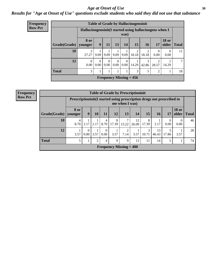#### Age at Onset of Use **30**

### *Results for "Age at Onset of Use" questions exclude students who said they did not use that substance*

| <b>Frequency</b> |                        | <b>Table of Grade by Hallucinogensinit</b>             |                  |                  |                      |                  |                                |            |                         |                       |              |  |  |
|------------------|------------------------|--------------------------------------------------------|------------------|------------------|----------------------|------------------|--------------------------------|------------|-------------------------|-----------------------|--------------|--|--|
| <b>Row Pct</b>   |                        | Hallucinogensinit(I started using hallucinogens when I |                  |                  |                      | was)             |                                |            |                         |                       |              |  |  |
|                  | Grade(Grade)   younger | 8 or                                                   | 9                | 11               | 13                   | 14               | 15                             | 16         | 17                      | <b>18 or</b><br>older | <b>Total</b> |  |  |
|                  | 10                     | 3<br>27.27                                             | 9.09             | 9.09             | 9.09                 | 9.09             | $\overline{c}$<br>18.18        | ↑<br>18.18 | $\Omega$<br>0.00        | $\theta$<br>0.00      | 11           |  |  |
|                  | 12                     | $\Omega$<br>0.00                                       | $\Omega$<br>0.00 | $\Omega$<br>0.00 | $\Omega$<br>$0.00\,$ | $\Omega$<br>0.00 | 14.29                          | 3<br>42.86 | $\overline{2}$<br>28.57 | 14.29                 | ⇁            |  |  |
|                  | <b>Total</b>           | 3                                                      | T                |                  |                      |                  | 3                              | 5          | $\overline{2}$          |                       | 18           |  |  |
|                  |                        |                                                        |                  |                  |                      |                  | <b>Frequency Missing = 456</b> |            |                         |                       |              |  |  |

| <b>Frequency</b> |              | <b>Table of Grade by Prescriptioninit</b> |                                                                                         |                  |                  |                                   |       |             |            |                 |                  |                               |    |  |
|------------------|--------------|-------------------------------------------|-----------------------------------------------------------------------------------------|------------------|------------------|-----------------------------------|-------|-------------|------------|-----------------|------------------|-------------------------------|----|--|
| <b>Row Pct</b>   |              |                                           | Prescriptioninit(I started using prescription drugs not prescribed to<br>me when I was) |                  |                  |                                   |       |             |            |                 |                  |                               |    |  |
|                  | Grade(Grade) | <b>8 or</b><br>younger                    | 9                                                                                       | 10               | 11               | 12                                | 13    | 14          | 15         | 16 <sup>1</sup> | 17               | <b>18 or</b><br>older   Total |    |  |
|                  | 10           | 4<br>8.70                                 |                                                                                         |                  | 4                | 8<br>$2.17$   2.17   8.70   17.39 | 15.22 | 12<br>26.09 | 8<br>17.39 | 2.17            | $\theta$<br>0.00 | $\Omega$<br>0.00              | 46 |  |
|                  | 12           | 3.57                                      |                                                                                         | $0.00 \mid 3.57$ | $\left($<br>0.00 | 3.57                              | 7.14  | 3.57        | 3<br>10.71 | 13<br>46.43     | 17.86            | 3.57                          | 28 |  |
|                  | <b>Total</b> | 5                                         |                                                                                         | ◠                | 4                | 9                                 | 9     | 13          | 11         | 14              |                  |                               | 74 |  |

**Frequency Missing = 400**

46

28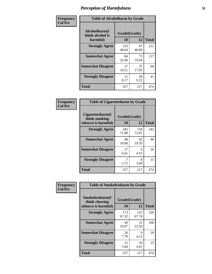| Frequency      | <b>Table of Alcoholharm by Grade</b>          |                    |             |              |  |  |  |
|----------------|-----------------------------------------------|--------------------|-------------|--------------|--|--|--|
| <b>Col Pct</b> | Alcoholharm(I<br>think alcohol is<br>harmful) | Grade(Grade)<br>10 | 12          | <b>Total</b> |  |  |  |
|                | <b>Strongly Agree</b>                         | 125<br>48.64       | 87<br>40.09 | 212          |  |  |  |
|                | <b>Somewhat Agree</b>                         | 84<br>32.68        | 73<br>33.64 | 157          |  |  |  |
|                | <b>Somewhat Disagree</b>                      | 27<br>10.51        | 37<br>17.05 | 64           |  |  |  |
|                | <b>Strongly Disagree</b>                      | 21<br>8.17         | 20<br>9.22  | 41           |  |  |  |
|                | <b>Total</b>                                  | 257                | 217         | 474          |  |  |  |

| <b>Table of Cigarettesharm by Grade</b>                  |                    |              |              |
|----------------------------------------------------------|--------------------|--------------|--------------|
| Cigarettesharm(I<br>think smoking<br>tobacco is harmful) | Grade(Grade)<br>10 | 12           | <b>Total</b> |
| <b>Strongly Agree</b>                                    | 185<br>71.98       | 158<br>72.81 | 343          |
| <b>Somewhat Agree</b>                                    | 48<br>18.68        | 42<br>19.35  | 90           |
| <b>Somewhat Disagree</b>                                 | 17<br>6.61         | 9<br>4.15    | 26           |
| <b>Strongly Disagree</b>                                 | 7<br>2.72          | 8<br>3.69    | 15           |
| <b>Total</b>                                             | 257                | 217          | 474          |

| Frequency      | <b>Table of Smokelessharm by Grade</b>                  |                           |              |              |  |  |
|----------------|---------------------------------------------------------|---------------------------|--------------|--------------|--|--|
| <b>Col Pct</b> | Smokelessharm(I<br>think chewing<br>tobacco is harmful) | Grade(Grade)<br><b>10</b> | 12           | <b>Total</b> |  |  |
|                | <b>Strongly Agree</b>                                   | 173<br>67.32              | 147<br>67.74 | 320          |  |  |
|                | <b>Somewhat Agree</b>                                   | 49<br>19.07               | 51<br>23.50  | 100          |  |  |
|                | <b>Somewhat Disagree</b>                                | 20<br>7.78                | 9<br>4.15    | 29           |  |  |
|                | <b>Strongly Disagree</b>                                | 15<br>5.84                | 10<br>4.61   | 25           |  |  |
|                | Total                                                   | 257                       | 217          | 474          |  |  |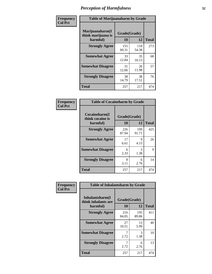| Frequency      |                                                   | <b>Table of Marijuanaharm by Grade</b> |              |              |  |  |  |  |  |
|----------------|---------------------------------------------------|----------------------------------------|--------------|--------------|--|--|--|--|--|
| <b>Col Pct</b> | Marijuanaharm(I<br>think marijuana is<br>harmful) | Grade(Grade)<br>10                     | 12           | <b>Total</b> |  |  |  |  |  |
|                | <b>Strongly Agree</b>                             | 155<br>60.31                           | 118<br>54.38 | 273          |  |  |  |  |  |
|                | <b>Somewhat Agree</b>                             | 33<br>12.84                            | 35<br>16.13  | 68           |  |  |  |  |  |
|                | <b>Somewhat Disagree</b>                          | 31<br>12.06                            | 26<br>11.98  | 57           |  |  |  |  |  |
|                | <b>Strongly Disagree</b>                          | 38<br>14.79                            | 38<br>17.51  | 76           |  |  |  |  |  |
|                | <b>Total</b>                                      | 257                                    | 217          | 474          |  |  |  |  |  |

|                                               | <b>Table of Cocaineharm by Grade</b> |              |              |  |  |  |  |  |  |  |
|-----------------------------------------------|--------------------------------------|--------------|--------------|--|--|--|--|--|--|--|
| Cocaineharm(I<br>think cocaine is<br>harmful) | Grade(Grade)<br>10                   | 12           | <b>Total</b> |  |  |  |  |  |  |  |
| <b>Strongly Agree</b>                         | 226<br>87.94                         | 199<br>91.71 | 425          |  |  |  |  |  |  |  |
| <b>Somewhat Agree</b>                         | 17<br>6.61                           | 9<br>4.15    | 26           |  |  |  |  |  |  |  |
| <b>Somewhat Disagree</b>                      | 6<br>2.33                            | 3<br>1.38    | 9            |  |  |  |  |  |  |  |
| <b>Strongly Disagree</b>                      | 8<br>3.11                            | 6<br>2.76    | 14           |  |  |  |  |  |  |  |
| <b>Total</b>                                  | 257                                  | 217          | 474          |  |  |  |  |  |  |  |

| Frequency      | <b>Table of Inhalantsharm by Grade</b>             |                    |              |              |
|----------------|----------------------------------------------------|--------------------|--------------|--------------|
| <b>Col Pct</b> | Inhalantsharm(I<br>think inhalants are<br>harmful) | Grade(Grade)<br>10 | 12           | <b>Total</b> |
|                | <b>Strongly Agree</b>                              | 216<br>84.05       | 195<br>89.86 | 411          |
|                | <b>Somewhat Agree</b>                              | 27<br>10.51        | 13<br>5.99   | 40           |
|                | <b>Somewhat Disagree</b>                           | 2.72               | 3<br>1.38    | 10           |
|                | <b>Strongly Disagree</b>                           | 7<br>2.72          | 6<br>2.76    | 13           |
|                | <b>Total</b>                                       | 257                | 217          | 474          |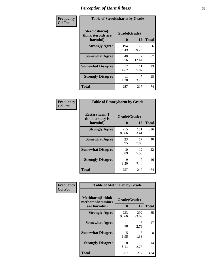| Frequency      | <b>Table of Steroidsharm by Grade</b>            |                    |              |              |
|----------------|--------------------------------------------------|--------------------|--------------|--------------|
| <b>Col Pct</b> | Steroidsharm(I<br>think steroids are<br>harmful) | Grade(Grade)<br>10 | 12           | <b>Total</b> |
|                | <b>Strongly Agree</b>                            | 194<br>75.49       | 172<br>79.26 | 366          |
|                | <b>Somewhat Agree</b>                            | 40<br>15.56        | 27<br>12.44  | 67           |
|                | <b>Somewhat Disagree</b>                         | 12<br>4.67         | 11<br>5.07   | 23           |
|                | <b>Strongly Disagree</b>                         | 11<br>4.28         | 7<br>3.23    | 18           |
|                | <b>Total</b>                                     | 257                | 217          | 474          |

| <b>Table of Ecstasyharm by Grade</b>          |                    |              |     |  |  |  |
|-----------------------------------------------|--------------------|--------------|-----|--|--|--|
| Ecstasyharm(I<br>think ecstasy is<br>harmful) | Grade(Grade)<br>10 | <b>Total</b> |     |  |  |  |
| <b>Strongly Agree</b>                         | 215<br>83.66       | 181<br>83.41 | 396 |  |  |  |
| <b>Somewhat Agree</b>                         | 23<br>8.95         | 17<br>7.83   | 40  |  |  |  |
| <b>Somewhat Disagree</b>                      | 10<br>3.89         | 12<br>5.53   | 22  |  |  |  |
| <b>Strongly Disagree</b>                      | 9<br>3.50          | 7<br>3.23    | 16  |  |  |  |
| <b>Total</b>                                  | 257                | 217          | 474 |  |  |  |

| Frequency      | <b>Table of Methharm by Grade</b>                            |                           |              |              |  |
|----------------|--------------------------------------------------------------|---------------------------|--------------|--------------|--|
| <b>Col Pct</b> | <b>Methharm</b> (I think<br>methamphetamines<br>are harmful) | Grade(Grade)<br><b>10</b> | 12           | <b>Total</b> |  |
|                | <b>Strongly Agree</b>                                        | 233<br>90.66              | 202<br>93.09 | 435          |  |
|                | <b>Somewhat Agree</b>                                        | 11<br>4.28                | 6<br>2.76    | 17           |  |
|                | <b>Somewhat Disagree</b>                                     | 5<br>1.95                 | 3<br>1.38    | 8            |  |
|                | <b>Strongly Disagree</b>                                     | 8<br>3.11                 | 6<br>2.76    | 14           |  |
|                | Total                                                        | 257                       | 217          | 474          |  |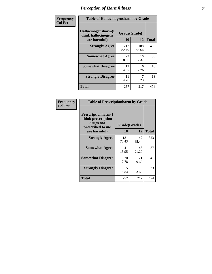| Frequency | <b>Table of Hallucinogensharm by Grade</b>                 |                    |              |              |
|-----------|------------------------------------------------------------|--------------------|--------------|--------------|
| Col Pct   | Hallucinogensharm(I<br>think hallucinogens<br>are harmful) | Grade(Grade)<br>10 | 12           | <b>Total</b> |
|           | <b>Strongly Agree</b>                                      | 212<br>82.49       | 188<br>86.64 | 400          |
|           | <b>Somewhat Agree</b>                                      | 22<br>8.56         | 16<br>7.37   | 38           |
|           | <b>Somewhat Disagree</b>                                   | 12<br>4.67         | 6<br>2.76    | 18           |
|           | <b>Strongly Disagree</b>                                   | 11<br>4.28         | 7<br>3.23    | 18           |
|           | <b>Total</b>                                               | 257                | 217          | 474          |

| <b>Table of Prescriptionharm by Grade</b>                                                         |                    |              |              |  |  |
|---------------------------------------------------------------------------------------------------|--------------------|--------------|--------------|--|--|
| <b>Prescriptionharm</b> (I<br>think prescription<br>drugs not<br>prescribed to me<br>are harmful) | Grade(Grade)<br>10 | 12           | <b>Total</b> |  |  |
| <b>Strongly Agree</b>                                                                             | 181<br>70.43       | 142<br>65.44 | 323          |  |  |
| <b>Somewhat Agree</b>                                                                             | 41<br>15.95        | 46<br>21.20  | 87           |  |  |
| <b>Somewhat Disagree</b>                                                                          | 20<br>7.78         | 21<br>9.68   | 41           |  |  |
| <b>Strongly Disagree</b>                                                                          | 15<br>5.84         | 8<br>3.69    | 23           |  |  |
| <b>Total</b>                                                                                      | 257                | 217          | 474          |  |  |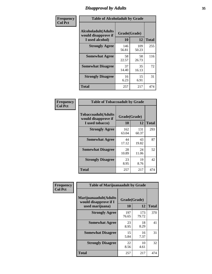# *Disapproval by Adults* **35**

| Frequency      | <b>Table of Alcoholadult by Grade</b>                                 |                    |              |              |
|----------------|-----------------------------------------------------------------------|--------------------|--------------|--------------|
| <b>Col Pct</b> | <b>Alcoholadult</b> (Adults<br>would disapprove if<br>I used alcohol) | Grade(Grade)<br>10 | 12           | <b>Total</b> |
|                | <b>Strongly Agree</b>                                                 | 146<br>56.81       | 109<br>50.23 | 255          |
|                | <b>Somewhat Agree</b>                                                 | 58<br>22.57        | 58<br>26.73  | 116          |
|                | <b>Somewhat Disagree</b>                                              | 37<br>14.40        | 35<br>16.13  | 72           |
|                | <b>Strongly Disagree</b>                                              | 16<br>6.23         | 15<br>6.91   | 31           |
|                | <b>Total</b>                                                          | 257                | 217          | 474          |

| <b>Table of Tobaccoadult by Grade</b>                                 |                    |              |              |  |  |
|-----------------------------------------------------------------------|--------------------|--------------|--------------|--|--|
| <b>Tobaccoadult</b> (Adults<br>would disapprove if<br>I used tobacco) | Grade(Grade)<br>10 | 12           | <b>Total</b> |  |  |
| <b>Strongly Agree</b>                                                 | 162<br>63.04       | 131<br>60.37 | 293          |  |  |
| <b>Somewhat Agree</b>                                                 | 44<br>17.12        | 43<br>19.82  | 87           |  |  |
| <b>Somewhat Disagree</b>                                              | 28<br>10.89        | 24<br>11.06  | 52           |  |  |
| <b>Strongly Disagree</b>                                              | 23<br>8.95         | 19<br>8.76   | 42           |  |  |
| <b>Total</b>                                                          | 257                | 217          | 474          |  |  |

| Frequency      | <b>Table of Marijuanaadult by Grade</b>                           |                    |              |              |  |
|----------------|-------------------------------------------------------------------|--------------------|--------------|--------------|--|
| <b>Col Pct</b> | Marijuanaadult(Adults<br>would disapprove if I<br>used marijuana) | Grade(Grade)<br>10 | 12           | <b>Total</b> |  |
|                | <b>Strongly Agree</b>                                             | 197<br>76.65       | 173<br>79.72 | 370          |  |
|                | <b>Somewhat Agree</b>                                             | 23<br>8.95         | 18<br>8.29   | 41           |  |
|                | <b>Somewhat Disagree</b>                                          | 15<br>5.84         | 16<br>7.37   | 31           |  |
|                | <b>Strongly Disagree</b>                                          | 22<br>8.56         | 10<br>4.61   | 32           |  |
|                | <b>Total</b>                                                      | 257                | 217          | 474          |  |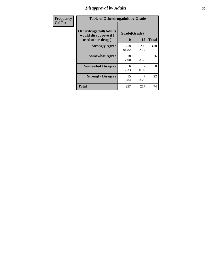### *Disapproval by Adults* **36**

| <b>Frequency</b> | <b>Table of Otherdrugadult by Grade</b>                                     |                    |              |              |
|------------------|-----------------------------------------------------------------------------|--------------------|--------------|--------------|
| <b>Col Pct</b>   | <b>Otherdrugadult</b> (Adults<br>would disapprove if I<br>used other drugs) | Grade(Grade)<br>10 | 12           | <b>Total</b> |
|                  | <b>Strongly Agree</b>                                                       | 218<br>84.82       | 200<br>92.17 | 418          |
|                  | <b>Somewhat Agree</b>                                                       | 18<br>7.00         | 8<br>3.69    | 26           |
|                  | <b>Somewhat Disagree</b>                                                    | 6<br>2.33          | 0.92         | 8            |
|                  | <b>Strongly Disagree</b>                                                    | 15<br>5.84         | 3.23         | 22           |
|                  | <b>Total</b>                                                                | 257                | 217          | 474          |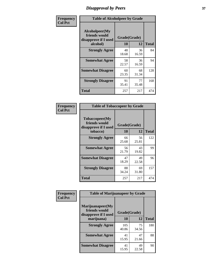## *Disapproval by Peers* **37**

| Frequency      | <b>Table of Alcoholpeer by Grade</b>                    |              |             |              |  |
|----------------|---------------------------------------------------------|--------------|-------------|--------------|--|
| <b>Col Pct</b> | Alcoholpeer(My<br>friends would<br>disapprove if I used | Grade(Grade) |             |              |  |
|                | alcohol)                                                | 10           | 12          | <b>Total</b> |  |
|                | <b>Strongly Agree</b>                                   | 48<br>18.68  | 36<br>16.59 | 84           |  |
|                | <b>Somewhat Agree</b>                                   | 58<br>22.57  | 36<br>16.59 | 94           |  |
|                | <b>Somewhat Disagree</b>                                | 60<br>23.35  | 68<br>31.34 | 128          |  |
|                | <b>Strongly Disagree</b>                                | 91<br>35.41  | 77<br>35.48 | 168          |  |
|                | Total                                                   | 257          | 217         | 474          |  |

| Frequency      | <b>Table of Tobaccopeer by Grade</b>                                |                    |             |              |
|----------------|---------------------------------------------------------------------|--------------------|-------------|--------------|
| <b>Col Pct</b> | Tobaccopeer(My<br>friends would<br>disapprove if I used<br>tobacco) | Grade(Grade)<br>10 | 12          | <b>Total</b> |
|                | <b>Strongly Agree</b>                                               | 66<br>25.68        | 56<br>25.81 | 122          |
|                | <b>Somewhat Agree</b>                                               | 56<br>21.79        | 43<br>19.82 | 99           |
|                | <b>Somewhat Disagree</b>                                            | 47<br>18.29        | 49<br>22.58 | 96           |
|                | <b>Strongly Disagree</b>                                            | 88<br>34.24        | 69<br>31.80 | 157          |
|                | Total                                                               | 257                | 217         | 474          |

| Frequency<br><b>Col Pct</b> | <b>Table of Marijuanapeer by Grade</b>                    |              |             |              |
|-----------------------------|-----------------------------------------------------------|--------------|-------------|--------------|
|                             | Marijuanapeer(My<br>friends would<br>disapprove if I used | Grade(Grade) |             |              |
|                             | marijuana)                                                | 10           | 12          | <b>Total</b> |
|                             | <b>Strongly Agree</b>                                     | 105<br>40.86 | 75<br>34.56 | 180          |
|                             | <b>Somewhat Agree</b>                                     | 41<br>15.95  | 47<br>21.66 | 88           |
|                             | <b>Somewhat Disagree</b>                                  | 41<br>15.95  | 49<br>22.58 | 90           |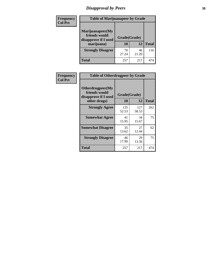# *Disapproval by Peers* **38**

| Frequency<br><b>Col Pct</b> | <b>Table of Marijuanapeer by Grade</b>                                  |                    |             |              |
|-----------------------------|-------------------------------------------------------------------------|--------------------|-------------|--------------|
|                             | Marijuanapeer(My<br>friends would<br>disapprove if I used<br>marijuana) | Grade(Grade)<br>10 | 12          | <b>Total</b> |
|                             | <b>Strongly Disagree</b>                                                | 70<br>27.24        | 46<br>21.20 | 116          |
|                             | Total                                                                   | 257                | 217         | 474          |

| Frequency      | <b>Table of Otherdrugpeer by Grade</b>                                    |                           |              |              |
|----------------|---------------------------------------------------------------------------|---------------------------|--------------|--------------|
| <b>Col Pct</b> | Otherdrugpeer(My<br>friends would<br>disapprove if I used<br>other drugs) | Grade(Grade)<br><b>10</b> | 12           | <b>Total</b> |
|                | <b>Strongly Agree</b>                                                     | 135<br>52.53              | 127<br>58.53 | 262          |
|                | <b>Somewhat Agree</b>                                                     | 41<br>15.95               | 34<br>15.67  | 75           |
|                | <b>Somewhat Disagree</b>                                                  | 35<br>13.62               | 27<br>12.44  | 62           |
|                | <b>Strongly Disagree</b>                                                  | 46<br>17.90               | 29<br>13.36  | 75           |
|                | Total                                                                     | 257                       | 217          | 474          |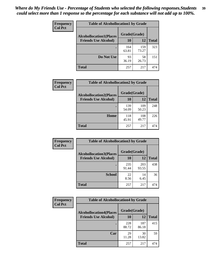| Frequency      | <b>Table of Alcohollocation1 by Grade</b> |              |              |              |
|----------------|-------------------------------------------|--------------|--------------|--------------|
| <b>Col Pct</b> | <b>Alcohollocation1(Places</b>            | Grade(Grade) |              |              |
|                | <b>Friends Use Alcohol)</b>               | 10           | 12           | <b>Total</b> |
|                |                                           | 164<br>63.81 | 159<br>73.27 | 323          |
|                | Do Not Use                                | 93<br>36.19  | 58<br>26.73  | 151          |
|                | <b>Total</b>                              | 257          | 217          | 474          |

| <b>Frequency</b> | <b>Table of Alcohollocation2 by Grade</b>                     |                    |              |              |
|------------------|---------------------------------------------------------------|--------------------|--------------|--------------|
| <b>Col Pct</b>   | <b>Alcohollocation2(Places</b><br><b>Friends Use Alcohol)</b> | Grade(Grade)<br>10 | 12           | <b>Total</b> |
|                  |                                                               | 139<br>54.09       | 109<br>50.23 | 248          |
|                  | Home                                                          | 118<br>45.91       | 108<br>49.77 | 226          |
|                  | <b>Total</b>                                                  | 257                | 217          | 474          |

| Frequency<br><b>Col Pct</b> | <b>Table of Alcohollocation 3 by Grade</b>                    |                    |              |              |  |
|-----------------------------|---------------------------------------------------------------|--------------------|--------------|--------------|--|
|                             | <b>Alcohollocation3(Places</b><br><b>Friends Use Alcohol)</b> | Grade(Grade)<br>10 | 12           | <b>Total</b> |  |
|                             |                                                               | 235<br>91.44       | 203<br>93.55 | 438          |  |
|                             | <b>School</b>                                                 | 22<br>8.56         | 14<br>6.45   | 36           |  |
|                             | Total                                                         | 257                | 217          | 474          |  |

| <b>Frequency</b> | <b>Table of Alcohollocation4 by Grade</b> |              |              |              |  |
|------------------|-------------------------------------------|--------------|--------------|--------------|--|
| <b>Col Pct</b>   | <b>Alcohollocation4(Places</b>            | Grade(Grade) |              |              |  |
|                  | <b>Friends Use Alcohol)</b>               | 10           | 12           | <b>Total</b> |  |
|                  |                                           | 228<br>88.72 | 187<br>86.18 | 415          |  |
|                  | Car                                       | 29<br>11.28  | 30<br>13.82  | 59           |  |
|                  | <b>Total</b>                              | 257          | 217          | 474          |  |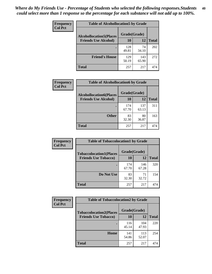| Frequency<br><b>Col Pct</b> | <b>Table of Alcohollocation5 by Grade</b> |              |              |              |  |
|-----------------------------|-------------------------------------------|--------------|--------------|--------------|--|
|                             | <b>Alcohollocation5</b> (Places           | Grade(Grade) |              |              |  |
|                             | <b>Friends Use Alcohol)</b>               | 10           | 12           | <b>Total</b> |  |
|                             |                                           | 128<br>49.81 | 74<br>34.10  | 202          |  |
|                             | <b>Friend's House</b>                     | 129<br>50.19 | 143<br>65.90 | 272          |  |
|                             | <b>Total</b>                              | 257          | 217          | 474          |  |

| Frequency      | <b>Table of Alcohollocation6 by Grade</b>                     |                    |              |              |
|----------------|---------------------------------------------------------------|--------------------|--------------|--------------|
| <b>Col Pct</b> | <b>Alcohollocation6(Places</b><br><b>Friends Use Alcohol)</b> | Grade(Grade)<br>10 | 12           | <b>Total</b> |
|                |                                                               | 174<br>67.70       | 137<br>63.13 | 311          |
|                | <b>Other</b>                                                  | 83<br>32.30        | 80<br>36.87  | 163          |
|                | <b>Total</b>                                                  | 257                | 217          | 474          |

| Frequency<br><b>Col Pct</b> | <b>Table of Tobaccolocation1 by Grade</b> |              |              |              |
|-----------------------------|-------------------------------------------|--------------|--------------|--------------|
|                             | <b>Tobaccolocation1(Places</b>            | Grade(Grade) |              |              |
|                             | <b>Friends Use Tobacco)</b>               | 10           | <b>12</b>    | <b>Total</b> |
|                             |                                           | 174<br>67.70 | 146<br>67.28 | 320          |
|                             | Do Not Use                                | 83<br>32.30  | 71<br>32.72  | 154          |
|                             | <b>Total</b>                              | 257          | 217          | 474          |

| <b>Frequency</b> | <b>Table of Tobaccolocation2 by Grade</b> |              |              |              |  |
|------------------|-------------------------------------------|--------------|--------------|--------------|--|
| <b>Col Pct</b>   | <b>Tobaccolocation2(Places</b>            | Grade(Grade) |              |              |  |
|                  | <b>Friends Use Tobacco)</b>               | 10           | 12           | <b>Total</b> |  |
|                  |                                           | 116<br>45.14 | 104<br>47.93 | 220          |  |
|                  | Home                                      | 141<br>54.86 | 113<br>52.07 | 254          |  |
|                  | <b>Total</b>                              | 257          | 217          | 474          |  |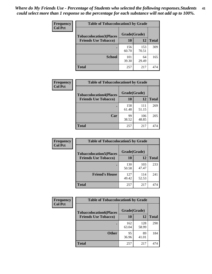| Frequency      | <b>Table of Tobaccolocation3 by Grade</b> |              |              |              |  |
|----------------|-------------------------------------------|--------------|--------------|--------------|--|
| <b>Col Pct</b> | <b>Tobaccolocation3(Places</b>            | Grade(Grade) |              |              |  |
|                | <b>Friends Use Tobacco)</b>               | 10           | 12           | <b>Total</b> |  |
|                |                                           | 156<br>60.70 | 153<br>70.51 | 309          |  |
|                | <b>School</b>                             | 101<br>39.30 | 64<br>29.49  | 165          |  |
|                | <b>Total</b>                              | 257          | 217          | 474          |  |

| Frequency      | <b>Table of Tobaccolocation4 by Grade</b> |              |              |              |
|----------------|-------------------------------------------|--------------|--------------|--------------|
| <b>Col Pct</b> | <b>Tobaccolocation4(Places</b>            | Grade(Grade) |              |              |
|                | <b>Friends Use Tobacco)</b>               | 10           | 12           | <b>Total</b> |
|                |                                           | 158<br>61.48 | 111<br>51.15 | 269          |
|                | Car                                       | 99<br>38.52  | 106<br>48.85 | 205          |
|                | <b>Total</b>                              | 257          | 217          | 474          |

| Frequency      | <b>Table of Tobaccolocation5 by Grade</b> |              |              |              |
|----------------|-------------------------------------------|--------------|--------------|--------------|
| <b>Col Pct</b> | <b>Tobaccolocation5(Places</b>            | Grade(Grade) |              |              |
|                | <b>Friends Use Tobacco)</b>               | 10           | 12           | <b>Total</b> |
|                |                                           | 130<br>50.58 | 103<br>47.47 | 233          |
|                | <b>Friend's House</b>                     | 127<br>49.42 | 114<br>52.53 | 241          |
|                | <b>Total</b>                              | 257          | 217          | 474          |

| <b>Frequency</b> | <b>Table of Tobaccolocation6 by Grade</b> |              |              |              |  |
|------------------|-------------------------------------------|--------------|--------------|--------------|--|
| <b>Col Pct</b>   | <b>Tobaccolocation6(Places</b>            | Grade(Grade) |              |              |  |
|                  | <b>Friends Use Tobacco)</b>               | 10           | 12           | <b>Total</b> |  |
|                  |                                           | 162<br>63.04 | 128<br>58.99 | 290          |  |
|                  | <b>Other</b>                              | 95<br>36.96  | 89<br>41.01  | 184          |  |
|                  | <b>Total</b>                              | 257          | 217          | 474          |  |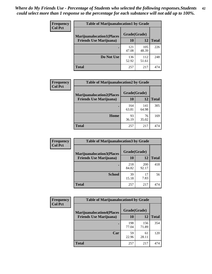| <b>Frequency</b> | <b>Table of Marijuanalocation1 by Grade</b> |              |              |              |
|------------------|---------------------------------------------|--------------|--------------|--------------|
| <b>Col Pct</b>   | <b>Marijuanalocation1(Places</b>            | Grade(Grade) |              |              |
|                  | <b>Friends Use Marijuana</b> )              | 10           | 12           | <b>Total</b> |
|                  |                                             | 121<br>47.08 | 105<br>48.39 | 226          |
|                  | Do Not Use                                  | 136<br>52.92 | 112<br>51.61 | 248          |
|                  | <b>Total</b>                                | 257          | 217          | 474          |

| <b>Frequency</b> | <b>Table of Marijuanalocation2 by Grade</b> |              |              |              |
|------------------|---------------------------------------------|--------------|--------------|--------------|
| <b>Col Pct</b>   | <b>Marijuanalocation2(Places</b>            | Grade(Grade) |              |              |
|                  | <b>Friends Use Marijuana</b> )              | 10           | 12           | <b>Total</b> |
|                  |                                             | 164<br>63.81 | 141<br>64.98 | 305          |
|                  | Home                                        | 93<br>36.19  | 76<br>35.02  | 169          |
|                  | <b>Total</b>                                | 257          | 217          | 474          |

| Frequency<br><b>Col Pct</b> | <b>Table of Marijuanalocation3 by Grade</b> |              |              |       |
|-----------------------------|---------------------------------------------|--------------|--------------|-------|
|                             | <b>Marijuanalocation3</b> (Places           | Grade(Grade) |              |       |
|                             | <b>Friends Use Marijuana</b> )              | 10           | 12           | Total |
|                             |                                             | 218<br>84.82 | 200<br>92.17 | 418   |
|                             | <b>School</b>                               | 39<br>15.18  | 17<br>7.83   | 56    |
|                             | <b>Total</b>                                | 257          | 217          | 474   |

| <b>Frequency</b> | <b>Table of Marijuanalocation4 by Grade</b> |              |              |              |  |
|------------------|---------------------------------------------|--------------|--------------|--------------|--|
| <b>Col Pct</b>   | <b>Marijuanalocation4(Places</b>            | Grade(Grade) |              |              |  |
|                  | <b>Friends Use Marijuana</b> )              | <b>10</b>    | 12           | <b>Total</b> |  |
|                  |                                             | 198<br>77.04 | 156<br>71.89 | 354          |  |
|                  | Car                                         | 59<br>22.96  | 61<br>28.11  | 120          |  |
|                  | <b>Total</b>                                | 257          | 217          | 474          |  |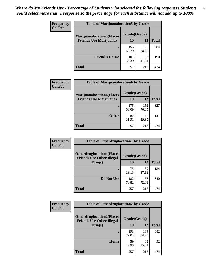| <b>Frequency</b> | <b>Table of Marijuanalocation5 by Grade</b> |              |              |              |
|------------------|---------------------------------------------|--------------|--------------|--------------|
| <b>Col Pct</b>   | <b>Marijuanalocation5</b> (Places           | Grade(Grade) |              |              |
|                  | <b>Friends Use Marijuana</b> )              | 10           | 12           | <b>Total</b> |
|                  |                                             | 156<br>60.70 | 128<br>58.99 | 284          |
|                  | <b>Friend's House</b>                       | 101<br>39.30 | 89<br>41.01  | 190          |
|                  | <b>Total</b>                                | 257          | 217          | 474          |

| <b>Frequency</b> | <b>Table of Marijuanalocation6 by Grade</b>                        |                    |              |              |
|------------------|--------------------------------------------------------------------|--------------------|--------------|--------------|
| <b>Col Pct</b>   | <b>Marijuanalocation6(Places</b><br><b>Friends Use Marijuana</b> ) | Grade(Grade)<br>10 | 12           | <b>Total</b> |
|                  |                                                                    | 175<br>68.09       | 152<br>70.05 | 327          |
|                  | <b>Other</b>                                                       | 82<br>31.91        | 65<br>29.95  | 147          |
|                  | <b>Total</b>                                                       | 257                | 217          | 474          |

| Frequency      | <b>Table of Otherdruglocation1 by Grade</b>                          |              |              |              |
|----------------|----------------------------------------------------------------------|--------------|--------------|--------------|
| <b>Col Pct</b> | <b>Otherdruglocation1(Places</b><br><b>Friends Use Other Illegal</b> | Grade(Grade) |              |              |
|                | Drugs)                                                               | 10           | 12           | <b>Total</b> |
|                |                                                                      | 75<br>29.18  | 59<br>27.19  | 134          |
|                | Do Not Use                                                           | 182<br>70.82 | 158<br>72.81 | 340          |
|                | <b>Total</b>                                                         | 257          | 217          | 474          |

| <b>Frequency</b> | <b>Table of Otherdruglocation2 by Grade</b>                          |              |              |              |
|------------------|----------------------------------------------------------------------|--------------|--------------|--------------|
| <b>Col Pct</b>   | <b>Otherdruglocation2(Places</b><br><b>Friends Use Other Illegal</b> | Grade(Grade) |              |              |
|                  | Drugs)                                                               | 10           | 12           | <b>Total</b> |
|                  |                                                                      | 198<br>77.04 | 184<br>84.79 | 382          |
|                  | Home                                                                 | 59<br>22.96  | 33<br>15.21  | 92           |
|                  | <b>Total</b>                                                         | 257          | 217          | 474          |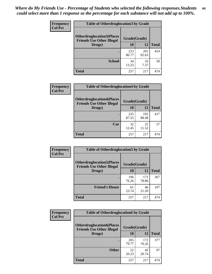| <b>Frequency</b> | <b>Table of Otherdruglocation3 by Grade</b>                          |              |              |              |
|------------------|----------------------------------------------------------------------|--------------|--------------|--------------|
| <b>Col Pct</b>   | <b>Otherdruglocation3(Places</b><br><b>Friends Use Other Illegal</b> | Grade(Grade) |              |              |
|                  | Drugs)                                                               | <b>10</b>    | 12           | <b>Total</b> |
|                  |                                                                      | 223<br>86.77 | 201<br>92.63 | 424          |
|                  | <b>School</b>                                                        | 34<br>13.23  | 16<br>7.37   | 50           |
|                  | <b>Total</b>                                                         | 257          | 217          | 474          |

| <b>Frequency</b> | <b>Table of Otherdruglocation4 by Grade</b>                          |              |              |              |
|------------------|----------------------------------------------------------------------|--------------|--------------|--------------|
| <b>Col Pct</b>   | <b>Otherdruglocation4(Places</b><br><b>Friends Use Other Illegal</b> | Grade(Grade) |              |              |
|                  | Drugs)                                                               | 10           | 12           | <b>Total</b> |
|                  |                                                                      | 225<br>87.55 | 192<br>88.48 | 417          |
|                  | Car                                                                  | 32<br>12.45  | 25<br>11.52  | 57           |
|                  | <b>Total</b>                                                         | 257          | 217          | 474          |

| <b>Frequency</b> | <b>Table of Otherdruglocation5 by Grade</b>                          |              |              |              |
|------------------|----------------------------------------------------------------------|--------------|--------------|--------------|
| <b>Col Pct</b>   | <b>Otherdruglocation5(Places</b><br><b>Friends Use Other Illegal</b> | Grade(Grade) |              |              |
|                  | Drugs)                                                               | 10           | 12           | <b>Total</b> |
|                  |                                                                      | 196<br>76.26 | 171<br>78.80 | 367          |
|                  | <b>Friend's House</b>                                                | 61<br>23.74  | 46<br>21.20  | 107          |
|                  | <b>Total</b>                                                         | 257          | 217          | 474          |

| <b>Frequency</b> | <b>Table of Otherdruglocation6 by Grade</b>                          |              |              |              |
|------------------|----------------------------------------------------------------------|--------------|--------------|--------------|
| <b>Col Pct</b>   | <b>Otherdruglocation6(Places</b><br><b>Friends Use Other Illegal</b> | Grade(Grade) |              |              |
|                  | Drugs)                                                               | 10           | 12           | <b>Total</b> |
|                  |                                                                      | 205<br>79.77 | 172<br>79.26 | 377          |
|                  | <b>Other</b>                                                         | 52<br>20.23  | 45<br>20.74  | 97           |
|                  | <b>Total</b>                                                         | 257          | 217          | 474          |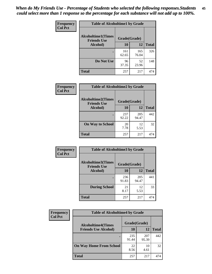| Frequency      | <b>Table of Alcoholtime1 by Grade</b>           |              |              |              |
|----------------|-------------------------------------------------|--------------|--------------|--------------|
| <b>Col Pct</b> | <b>Alcoholtime1(Times</b><br><b>Friends Use</b> | Grade(Grade) |              |              |
|                | Alcohol)                                        | 10           | <b>12</b>    | <b>Total</b> |
|                |                                                 | 161<br>62.65 | 165<br>76.04 | 326          |
|                | Do Not Use                                      | 96<br>37.35  | 52<br>23.96  | 148          |
|                | <b>Total</b>                                    | 257          | 217          | 474          |

| Frequency      | <b>Table of Alcoholtime2 by Grade</b>           |              |              |              |
|----------------|-------------------------------------------------|--------------|--------------|--------------|
| <b>Col Pct</b> | <b>Alcoholtime2(Times</b><br><b>Friends Use</b> | Grade(Grade) |              |              |
|                | Alcohol)                                        | 10           | 12           | <b>Total</b> |
|                |                                                 | 237<br>92.22 | 205<br>94.47 | 442          |
|                | <b>On Way to School</b>                         | 20<br>7.78   | 12<br>5.53   | 32           |
|                | <b>Total</b>                                    | 257          | 217          | 474          |

| Frequency<br><b>Col Pct</b> | <b>Table of Alcoholtime3 by Grade</b>                           |              |              |              |
|-----------------------------|-----------------------------------------------------------------|--------------|--------------|--------------|
|                             | <b>Alcoholtime3(Times</b><br>Grade(Grade)<br><b>Friends Use</b> |              |              |              |
|                             | Alcohol)                                                        | 10           | 12           | <b>Total</b> |
|                             |                                                                 | 236<br>91.83 | 205<br>94.47 | 441          |
|                             | <b>During School</b>                                            | 21<br>8.17   | 12<br>5.53   | 33           |
|                             | <b>Total</b>                                                    | 257          | 217          | 474          |

| <b>Frequency</b> | <b>Table of Alcoholtime4 by Grade</b> |              |              |              |  |
|------------------|---------------------------------------|--------------|--------------|--------------|--|
| <b>Col Pct</b>   | <b>Alcoholtime4(Times</b>             | Grade(Grade) |              |              |  |
|                  | <b>Friends Use Alcohol)</b>           | 10           | 12           | <b>Total</b> |  |
|                  | ٠                                     | 235<br>91.44 | 207<br>95.39 | 442          |  |
|                  | <b>On Way Home From School</b>        | 22<br>8.56   | 10<br>4.61   | 32           |  |
|                  | <b>Total</b>                          | 257          | 217          | 474          |  |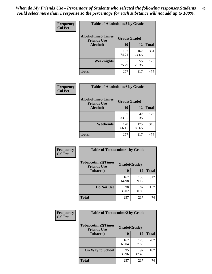*When do My Friends Use - Percentage of Students who selected the following responses.Students could select more than 1 response so the percentage for each substance will not add up to 100%.* **46**

| Frequency      | <b>Table of Alcoholtime5 by Grade</b>           |              |              |              |
|----------------|-------------------------------------------------|--------------|--------------|--------------|
| <b>Col Pct</b> | <b>Alcoholtime5(Times</b><br><b>Friends Use</b> | Grade(Grade) |              |              |
|                | Alcohol)                                        | 10           | 12           | <b>Total</b> |
|                |                                                 | 192<br>74.71 | 162<br>74.65 | 354          |
|                | Weeknights                                      | 65<br>25.29  | 55<br>25.35  | 120          |
|                | <b>Total</b>                                    | 257          | 217          | 474          |

| <b>Frequency</b> | <b>Table of Alcoholtime6 by Grade</b>           |              |              |              |
|------------------|-------------------------------------------------|--------------|--------------|--------------|
| <b>Col Pct</b>   | <b>Alcoholtime6(Times</b><br><b>Friends Use</b> | Grade(Grade) |              |              |
|                  | Alcohol)                                        | 10           | 12           | <b>Total</b> |
|                  |                                                 | 87<br>33.85  | 42<br>19.35  | 129          |
|                  | Weekends                                        | 170<br>66.15 | 175<br>80.65 | 345          |
|                  | <b>Total</b>                                    | 257          | 217          | 474          |

| Frequency<br><b>Col Pct</b> | <b>Table of Tobaccotime1 by Grade</b>           |              |              |              |
|-----------------------------|-------------------------------------------------|--------------|--------------|--------------|
|                             | <b>Tobaccotime1(Times</b><br><b>Friends Use</b> | Grade(Grade) |              |              |
|                             | <b>Tobacco</b> )                                | 10           | <b>12</b>    | <b>Total</b> |
|                             |                                                 | 167<br>64.98 | 150<br>69.12 | 317          |
|                             | Do Not Use                                      | 90<br>35.02  | 67<br>30.88  | 157          |
|                             | <b>Total</b>                                    | 257          | 217          | 474          |

| <b>Frequency</b> | <b>Table of Tobaccotime2 by Grade</b>           |              |              |              |
|------------------|-------------------------------------------------|--------------|--------------|--------------|
| <b>Col Pct</b>   | <b>Tobaccotime2(Times</b><br><b>Friends Use</b> | Grade(Grade) |              |              |
|                  | <b>Tobacco</b> )                                | 10           | 12           | <b>Total</b> |
|                  |                                                 | 162<br>63.04 | 125<br>57.60 | 287          |
|                  | <b>On Way to School</b>                         | 95<br>36.96  | 92<br>42.40  | 187          |
|                  | <b>Total</b>                                    | 257          | 217          | 474          |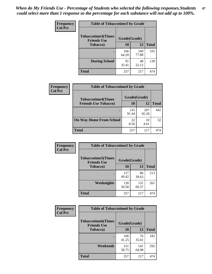*When do My Friends Use - Percentage of Students who selected the following responses.Students could select more than 1 response so the percentage for each substance will not add up to 100%.* **47**

| <b>Frequency</b> | <b>Table of Tobaccotime3 by Grade</b>           |              |              |              |  |
|------------------|-------------------------------------------------|--------------|--------------|--------------|--|
| <b>Col Pct</b>   | <b>Tobaccotime3(Times</b><br><b>Friends Use</b> | Grade(Grade) |              |              |  |
|                  | <b>Tobacco</b> )                                | 10           | 12           | <b>Total</b> |  |
|                  |                                                 | 166<br>64.59 | 169<br>77.88 | 335          |  |
|                  | <b>During School</b>                            | 91<br>35.41  | 48<br>22.12  | 139          |  |
|                  | <b>Total</b>                                    | 257          | 217          | 474          |  |

| <b>Frequency</b> | <b>Table of Tobaccotime4 by Grade</b> |              |              |              |
|------------------|---------------------------------------|--------------|--------------|--------------|
| <b>Col Pct</b>   | <b>Tobaccotime4(Times</b>             | Grade(Grade) |              |              |
|                  | <b>Friends Use Tobacco)</b>           | 10           | 12           | <b>Total</b> |
|                  |                                       | 235<br>91.44 | 207<br>95.39 | 442          |
|                  | <b>On Way Home From School</b>        | 22<br>8.56   | 10<br>4.61   | 32           |
|                  | <b>Total</b>                          | 257          | 217          | 474          |

| <b>Frequency</b> | <b>Table of Tobaccotime5 by Grade</b>           |              |              |              |
|------------------|-------------------------------------------------|--------------|--------------|--------------|
| <b>Col Pct</b>   | <b>Tobaccotime5(Times</b><br><b>Friends Use</b> | Grade(Grade) |              |              |
|                  | <b>Tobacco</b> )                                | 10           | 12           | <b>Total</b> |
|                  |                                                 | 127<br>49.42 | 86<br>39.63  | 213          |
|                  | Weeknights                                      | 130<br>50.58 | 131<br>60.37 | 261          |
|                  | <b>Total</b>                                    | 257          | 217          | 474          |

| Frequency<br><b>Col Pct</b> | <b>Table of Tobaccotime6 by Grade</b>                           |              |              |              |  |
|-----------------------------|-----------------------------------------------------------------|--------------|--------------|--------------|--|
|                             | <b>Tobaccotime6(Times</b><br>Grade(Grade)<br><b>Friends Use</b> |              |              |              |  |
|                             | <b>Tobacco</b> )                                                | 10           | 12           | <b>Total</b> |  |
|                             | ٠                                                               | 106<br>41.25 | 76<br>35.02  | 182          |  |
|                             | Weekends                                                        | 151<br>58.75 | 141<br>64.98 | 292          |  |
|                             | <b>Total</b>                                                    | 257          | 217          | 474          |  |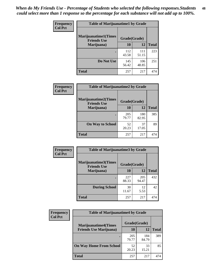| Frequency      | <b>Table of Marijuanatime1 by Grade</b>           |              |              |              |
|----------------|---------------------------------------------------|--------------|--------------|--------------|
| <b>Col Pct</b> | <b>Marijuanatime1(Times</b><br><b>Friends Use</b> | Grade(Grade) |              |              |
|                | Marijuana)                                        | 10           | 12           | <b>Total</b> |
|                |                                                   | 112<br>43.58 | 111<br>51.15 | 223          |
|                | Do Not Use                                        | 145<br>56.42 | 106<br>48.85 | 251          |
|                | <b>Total</b>                                      | 257          | 217          | 474          |

| <b>Frequency</b> | <b>Table of Marijuanatime2 by Grade</b>           |              |              |              |
|------------------|---------------------------------------------------|--------------|--------------|--------------|
| <b>Col Pct</b>   | <b>Marijuanatime2(Times</b><br><b>Friends Use</b> | Grade(Grade) |              |              |
|                  | Marijuana)                                        | 10           | 12           | <b>Total</b> |
|                  | $\bullet$                                         | 205<br>79.77 | 180<br>82.95 | 385          |
|                  | <b>On Way to School</b>                           | 52<br>20.23  | 37<br>17.05  | 89           |
|                  | <b>Total</b>                                      | 257          | 217          | 474          |

| Frequency      | <b>Table of Marijuanatime3 by Grade</b>    |              |              |              |
|----------------|--------------------------------------------|--------------|--------------|--------------|
| <b>Col Pct</b> | Marijuanatime3(Times<br><b>Friends Use</b> | Grade(Grade) |              |              |
|                | Marijuana)                                 | 10           | 12           | <b>Total</b> |
|                |                                            | 227<br>88.33 | 205<br>94.47 | 432          |
|                | <b>During School</b>                       | 30<br>11.67  | 12<br>5.53   | 42           |
|                | <b>Total</b>                               | 257          | 217          | 474          |

| Frequency      | <b>Table of Marijuanatime4 by Grade</b> |              |              |       |
|----------------|-----------------------------------------|--------------|--------------|-------|
| <b>Col Pct</b> | <b>Marijuanatime4</b> (Times            | Grade(Grade) |              |       |
|                | <b>Friends Use Marijuana</b> )          | 10           | 12           | Total |
|                |                                         | 205<br>79.77 | 184<br>84.79 | 389   |
|                | <b>On Way Home From School</b>          | 52<br>20.23  | 33<br>15.21  | 85    |
|                | <b>Total</b>                            | 257          | 217          | 474   |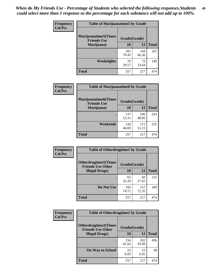| Frequency      | <b>Table of Marijuanatime5 by Grade</b>            |              |              |              |
|----------------|----------------------------------------------------|--------------|--------------|--------------|
| <b>Col Pct</b> | <b>Marijuanatime5</b> (Times<br><b>Friends Use</b> | Grade(Grade) |              |              |
|                | Marijuana)                                         | 10           | 12           | <b>Total</b> |
|                |                                                    | 181<br>70.43 | 144<br>66.36 | 325          |
|                | Weeknights                                         | 76<br>29.57  | 73<br>33.64  | 149          |
|                | <b>Total</b>                                       | 257          | 217          | 474          |

| Frequency      | <b>Table of Marijuanatime6 by Grade</b>            |              |              |              |
|----------------|----------------------------------------------------|--------------|--------------|--------------|
| <b>Col Pct</b> | <b>Marijuanatime6</b> (Times<br><b>Friends Use</b> | Grade(Grade) |              |              |
|                | Marijuana)                                         | 10           | 12           | <b>Total</b> |
|                |                                                    | 137<br>53.31 | 106<br>48.85 | 243          |
|                | Weekends                                           | 120<br>46.69 | 111<br>51.15 | 231          |
|                | <b>Total</b>                                       | 257          | 217          | 474          |

| Frequency      | <b>Table of Otherdrugtime1 by Grade</b>                 |              |              |              |
|----------------|---------------------------------------------------------|--------------|--------------|--------------|
| <b>Col Pct</b> | <b>Otherdrugtime1(Times</b><br><b>Friends Use Other</b> | Grade(Grade) |              |              |
|                | <b>Illegal Drugs</b> )                                  | 10           | 12           | <b>Total</b> |
|                |                                                         | 65<br>25.29  | 60<br>27.65  | 125          |
|                | Do Not Use                                              | 192<br>74.71 | 157<br>72.35 | 349          |
|                | Total                                                   | 257          | 217          | 474          |

| <b>Frequency</b> | <b>Table of Otherdrugtime2 by Grade</b>                 |              |              |              |  |  |
|------------------|---------------------------------------------------------|--------------|--------------|--------------|--|--|
| <b>Col Pct</b>   | <b>Otherdrugtime2(Times</b><br><b>Friends Use Other</b> | Grade(Grade) |              |              |  |  |
|                  | <b>Illegal Drugs</b> )                                  | 10           | 12           | <b>Total</b> |  |  |
|                  |                                                         | 234<br>91.05 | 202<br>93.09 | 436          |  |  |
|                  | <b>On Way to School</b>                                 | 23<br>8.95   | 15<br>6.91   | 38           |  |  |
|                  | Total                                                   | 257          | 217          | 474          |  |  |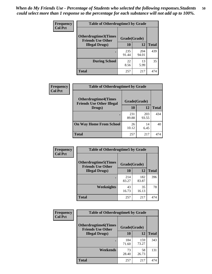| <b>Frequency</b> | <b>Table of Otherdrugtime3 by Grade</b>          |              |              |              |  |  |
|------------------|--------------------------------------------------|--------------|--------------|--------------|--|--|
| <b>Col Pct</b>   | Otherdrugtime3(Times<br><b>Friends Use Other</b> | Grade(Grade) |              |              |  |  |
|                  | <b>Illegal Drugs</b> )                           | 10           | 12           | <b>Total</b> |  |  |
|                  |                                                  | 235<br>91.44 | 204<br>94.01 | 439          |  |  |
|                  | <b>During School</b>                             | 22<br>8.56   | 13<br>5.99   | 35           |  |  |
|                  | Total                                            | 257          | 217          | 474          |  |  |

| Frequency      | <b>Table of Otherdrugtime4 by Grade</b>                         |              |              |              |  |  |
|----------------|-----------------------------------------------------------------|--------------|--------------|--------------|--|--|
| <b>Col Pct</b> | <b>Otherdrugtime4(Times</b><br><b>Friends Use Other Illegal</b> | Grade(Grade) |              |              |  |  |
|                | Drugs)                                                          | 10           | 12           | <b>Total</b> |  |  |
|                | $\bullet$                                                       | 231<br>89.88 | 203<br>93.55 | 434          |  |  |
|                | <b>On Way Home From School</b>                                  | 26<br>10.12  | 14<br>6.45   | 40           |  |  |
|                | Total                                                           | 257          | 217          | 474          |  |  |

| <b>Frequency</b> | <b>Table of Otherdrugtime5 by Grade</b>                  |              |              |              |  |  |
|------------------|----------------------------------------------------------|--------------|--------------|--------------|--|--|
| <b>Col Pct</b>   | <b>Otherdrugtime5</b> (Times<br><b>Friends Use Other</b> | Grade(Grade) |              |              |  |  |
|                  | <b>Illegal Drugs)</b>                                    | 10           | 12           | <b>Total</b> |  |  |
|                  |                                                          | 214<br>83.27 | 182<br>83.87 | 396          |  |  |
|                  | Weeknights                                               | 43<br>16.73  | 35<br>16.13  | 78           |  |  |
|                  | <b>Total</b>                                             | 257          | 217          | 474          |  |  |

| <b>Frequency</b> | <b>Table of Otherdrugtime6 by Grade</b>                                 |              |              |              |  |  |
|------------------|-------------------------------------------------------------------------|--------------|--------------|--------------|--|--|
| <b>Col Pct</b>   | <b>Otherdrugtime6(Times</b><br>Grade(Grade)<br><b>Friends Use Other</b> |              |              |              |  |  |
|                  | <b>Illegal Drugs</b> )                                                  | 10           | 12           | <b>Total</b> |  |  |
|                  |                                                                         | 184<br>71.60 | 159<br>73.27 | 343          |  |  |
|                  | Weekends                                                                | 73<br>28.40  | 58<br>26.73  | 131          |  |  |
|                  | Total                                                                   | 257          | 217          | 474          |  |  |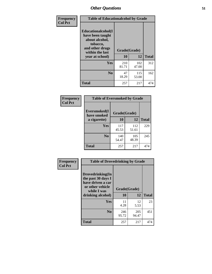| Frequency      | <b>Table of Educationalcohol by Grade</b>                                                                  |              |              |              |  |  |
|----------------|------------------------------------------------------------------------------------------------------------|--------------|--------------|--------------|--|--|
| <b>Col Pct</b> | Educationalcohol(I<br>have been taught<br>about alcohol,<br>tobacco,<br>and other drugs<br>within the last | Grade(Grade) |              |              |  |  |
|                | year at school)                                                                                            | 10           | 12           | <b>Total</b> |  |  |
|                | Yes                                                                                                        | 210<br>81.71 | 102<br>47.00 | 312          |  |  |
|                | N <sub>0</sub>                                                                                             | 47<br>18.29  | 115<br>53.00 | 162          |  |  |
|                | <b>Total</b>                                                                                               | 257          | 217          | 474          |  |  |

| Frequency      | <b>Table of Eversmoked by Grade</b> |              |              |              |  |  |
|----------------|-------------------------------------|--------------|--------------|--------------|--|--|
| <b>Col Pct</b> | Eversmoked(I<br>have smoked         | Grade(Grade) |              |              |  |  |
|                | a cigarette)                        | 10           | 12           | <b>Total</b> |  |  |
|                | <b>Yes</b>                          | 117<br>45.53 | 112<br>51.61 | 229          |  |  |
|                | N <sub>0</sub>                      | 140<br>54.47 | 105<br>48.39 | 245          |  |  |
|                | <b>Total</b>                        | 257          | 217          | 474          |  |  |

| Frequency      | <b>Table of Drovedrinking by Grade</b>                                                                              |                    |              |              |  |  |
|----------------|---------------------------------------------------------------------------------------------------------------------|--------------------|--------------|--------------|--|--|
| <b>Col Pct</b> | Drovedrinking(In<br>the past 30 days I<br>have driven a car<br>or other vehicle<br>while I was<br>drinking alcohol) | Grade(Grade)<br>10 | 12           | <b>Total</b> |  |  |
|                | <b>Yes</b>                                                                                                          | 11<br>4.28         | 12<br>5.53   | 23           |  |  |
|                | N <sub>0</sub>                                                                                                      | 246<br>95.72       | 205<br>94.47 | 451          |  |  |
|                | <b>Total</b>                                                                                                        | 257                | 217          | 474          |  |  |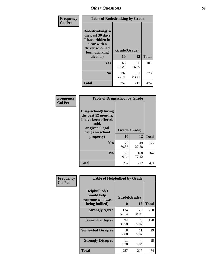| Frequency<br><b>Col Pct</b> | <b>Table of Rodedrinking by Grade</b>                                                                                      |              |              |              |  |  |
|-----------------------------|----------------------------------------------------------------------------------------------------------------------------|--------------|--------------|--------------|--|--|
|                             | Rodedrinking(In<br>the past 30 days<br>I have ridden in<br>a car with a<br>driver who had<br>Grade(Grade)<br>been drinking |              |              |              |  |  |
|                             | alcohol)                                                                                                                   | 10           | 12           | <b>Total</b> |  |  |
|                             | <b>Yes</b>                                                                                                                 | 65<br>25.29  | 36<br>16.59  | 101          |  |  |
|                             | N <sub>0</sub>                                                                                                             | 192<br>74.71 | 181<br>83.41 | 373          |  |  |
|                             | <b>Total</b>                                                                                                               | 257          | 217          | 474          |  |  |

#### **Frequency Col Pct**

| <b>Table of Drugsschool by Grade</b>                                                                                      |              |              |              |  |  |  |
|---------------------------------------------------------------------------------------------------------------------------|--------------|--------------|--------------|--|--|--|
| <b>Drugsschool</b> (During<br>the past 12 months,<br>I have been offered,<br>sold,<br>or given illegal<br>drugs on school | Grade(Grade) |              |              |  |  |  |
| property)                                                                                                                 | 10           | 12           | <b>Total</b> |  |  |  |
| Yes                                                                                                                       | 78<br>30.35  | 49<br>22.58  | 127          |  |  |  |
| N <sub>0</sub>                                                                                                            | 179<br>69.65 | 168<br>77.42 | 347          |  |  |  |
| <b>Total</b>                                                                                                              | 257          | 217          | 474          |  |  |  |

| Frequency      | <b>Table of Helpbullied by Grade</b>                             |                          |              |              |  |  |  |
|----------------|------------------------------------------------------------------|--------------------------|--------------|--------------|--|--|--|
| <b>Col Pct</b> | Helpbullied(I<br>would help<br>someone who was<br>being bullied) | Grade(Grade)<br>10<br>12 |              | <b>Total</b> |  |  |  |
|                | <b>Strongly Agree</b>                                            | 134<br>52.14             | 126<br>58.06 | 260          |  |  |  |
|                | <b>Somewhat Agree</b>                                            | 94<br>36.58              | 76<br>35.02  | 170          |  |  |  |
|                | <b>Somewhat Disagree</b>                                         | 18<br>7.00               | 11<br>5.07   | 29           |  |  |  |
|                | <b>Strongly Disagree</b>                                         | 11<br>4.28               | 4<br>1.84    | 15           |  |  |  |
|                | <b>Total</b>                                                     | 257                      | 217          | 474          |  |  |  |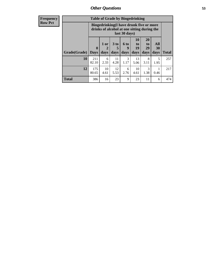| <b>Frequency</b> | <b>Table of Grade by Bingedrinking</b> |                                                                                                         |                   |                              |                     |                        |                        |                                 |              |
|------------------|----------------------------------------|---------------------------------------------------------------------------------------------------------|-------------------|------------------------------|---------------------|------------------------|------------------------|---------------------------------|--------------|
| <b>Row Pct</b>   |                                        | Bingedrinking(I have drunk five or more<br>drinks of alcohol at one sitting during the<br>last 30 days) |                   |                              |                     |                        |                        |                                 |              |
|                  | Grade(Grade)                           | $\boldsymbol{0}$<br><b>Days</b>                                                                         | 1 or<br>2<br>days | 3 <sub>to</sub><br>5<br>days | $6$ to<br>9<br>days | 10<br>to<br>19<br>days | 20<br>to<br>29<br>days | <b>All</b><br><b>30</b><br>days | <b>Total</b> |
|                  | 10                                     | 211<br>82.10                                                                                            | 6<br>2.33         | 11<br>4.28                   | 3<br>1.17           | 13<br>5.06             | 8<br>3.11              | 5<br>1.95                       | 257          |
|                  | 12                                     | 175<br>80.65                                                                                            | 10<br>4.61        | 12<br>5.53                   | 6<br>2.76           | 10<br>4.61             | 3<br>1.38              | 0.46                            | 217          |
|                  | <b>Total</b>                           | 386                                                                                                     | 16                | 23                           | 9                   | 23                     | 11                     | 6                               | 474          |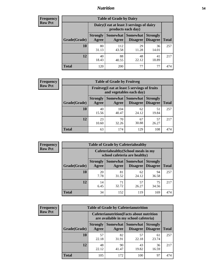### *Nutrition* **54**

| <b>Frequency</b><br>Row Pct |  |
|-----------------------------|--|
|                             |  |

| <b>Table of Grade by Dairy</b> |                          |                                                                 |                                    |                                    |              |  |
|--------------------------------|--------------------------|-----------------------------------------------------------------|------------------------------------|------------------------------------|--------------|--|
|                                |                          | Dairy (I eat at least 3 servings of dairy<br>products each day) |                                    |                                    |              |  |
| Grade(Grade)                   | <b>Strongly</b><br>Agree | Somewhat<br>Agree                                               | <b>Somewhat</b><br><b>Disagree</b> | <b>Strongly</b><br><b>Disagree</b> | <b>Total</b> |  |
| 10                             | 80<br>31.13              | 112<br>43.58                                                    | 29<br>11.28                        | 36<br>14.01                        | 257          |  |
| 12                             | 40<br>18.43              | 88<br>40.55                                                     | 48<br>22.12                        | 41<br>18.89                        | 217          |  |
| <b>Total</b>                   | 120                      | 200                                                             | 77                                 | 77                                 | 474          |  |

| <b>Frequency</b> |  |
|------------------|--|
| <b>Row Pct</b>   |  |

| <b>Table of Grade by Fruitveg</b>                                        |                          |              |                               |                                    |              |
|--------------------------------------------------------------------------|--------------------------|--------------|-------------------------------|------------------------------------|--------------|
| Fruitveg(I eat at least 5 servings of fruits<br>and vegetables each day) |                          |              |                               |                                    |              |
| Grade(Grade)                                                             | <b>Strongly</b><br>Agree | Agree        | Somewhat Somewhat<br>Disagree | <b>Strongly</b><br><b>Disagree</b> | <b>Total</b> |
| 10                                                                       | 40<br>15.56              | 104<br>40.47 | 62<br>24.12                   | 51<br>19.84                        | 257          |
| 12                                                                       | 23<br>10.60              | 70<br>32.26  | 67<br>30.88                   | 57<br>26.27                        | 217          |
| <b>Total</b>                                                             | 63                       | 174          | 129                           | 108                                | 474          |

| <b>Frequency</b> | <b>Table of Grade by Cafeteriahealthy</b> |                                                                       |                     |                                    |                                    |              |  |  |  |
|------------------|-------------------------------------------|-----------------------------------------------------------------------|---------------------|------------------------------------|------------------------------------|--------------|--|--|--|
| <b>Row Pct</b>   |                                           | Cafeteriahealthy (School meals in my<br>school cafeteria are healthy) |                     |                                    |                                    |              |  |  |  |
|                  | Grade(Grade)                              | <b>Strongly</b><br>Agree                                              | Somewhat  <br>Agree | <b>Somewhat</b><br><b>Disagree</b> | <b>Strongly</b><br><b>Disagree</b> | <b>Total</b> |  |  |  |
|                  | 10                                        | 20<br>7.78                                                            | 81<br>31.52         | 62<br>24.12                        | 94<br>36.58                        | 257          |  |  |  |
|                  | 12                                        | 14<br>6.45                                                            | 71<br>32.72         | 57<br>26.27                        | 75<br>34.56                        | 217          |  |  |  |
|                  | Total                                     | 34                                                                    | 152                 | 119                                | 169                                | 474          |  |  |  |

| <b>Frequency</b> |
|------------------|
| <b>Row Pct</b>   |

| <b>Table of Grade by Cafeterianutrition</b>                                               |                          |                   |                             |                                    |              |  |
|-------------------------------------------------------------------------------------------|--------------------------|-------------------|-----------------------------|------------------------------------|--------------|--|
| <b>Cafeterianutrition</b> (Facts about nutrition<br>are available in my school cafeteria) |                          |                   |                             |                                    |              |  |
| Grade(Grade)                                                                              | <b>Strongly</b><br>Agree | Somewhat<br>Agree | <b>Somewhat</b><br>Disagree | <b>Strongly</b><br><b>Disagree</b> | <b>Total</b> |  |
| 10                                                                                        | 57<br>22.18              | 82<br>31.91       | 57<br>22.18                 | 61<br>23.74                        | 257          |  |
| 12                                                                                        | 48<br>22.12              | 90<br>41.47       | 43<br>19.82                 | 36<br>16.59                        | 217          |  |
| <b>Total</b>                                                                              | 105                      | 172               | 100                         | 97                                 | 474          |  |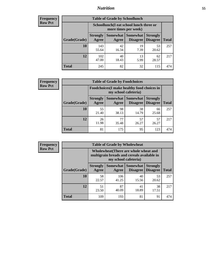### *Nutrition* **55**

| <b>Frequency</b> |
|------------------|
| <b>Row Pct</b>   |

| <b>Table of Grade by Schoollunch</b> |                          |                                                                 |                             |                                    |       |  |
|--------------------------------------|--------------------------|-----------------------------------------------------------------|-----------------------------|------------------------------------|-------|--|
|                                      |                          | Schoollunch(I eat school lunch three or<br>more times per week) |                             |                                    |       |  |
| Grade(Grade)                         | <b>Strongly</b><br>Agree | Somewhat  <br>Agree                                             | <b>Somewhat</b><br>Disagree | <b>Strongly</b><br><b>Disagree</b> | Total |  |
| 10                                   | 143<br>55.64             | 42<br>16.34                                                     | 19<br>7.39                  | 53<br>20.62                        | 257   |  |
| 12                                   | 102<br>47.00             | 40<br>18.43                                                     | 13<br>5.99                  | 62<br>28.57                        | 217   |  |
| <b>Total</b>                         | 245                      | 82                                                              | 32                          | 115                                | 474   |  |

| <b>Frequency</b> |  |
|------------------|--|
| <b>Row Pct</b>   |  |

| <b>Table of Grade by Foodchoices</b>                                       |                          |             |                               |                                    |              |  |
|----------------------------------------------------------------------------|--------------------------|-------------|-------------------------------|------------------------------------|--------------|--|
| <b>Foodchoices</b> (I make healthy food choices in<br>my school cafeteria) |                          |             |                               |                                    |              |  |
| Grade(Grade)                                                               | <b>Strongly</b><br>Agree | Agree       | Somewhat Somewhat<br>Disagree | <b>Strongly</b><br><b>Disagree</b> | <b>Total</b> |  |
| 10                                                                         | 55<br>21.40              | 98<br>38.13 | 38<br>14.79                   | 66<br>25.68                        | 257          |  |
| 12                                                                         | 26<br>11.98              | 77<br>35.48 | 57<br>26.27                   | 57<br>26.27                        | 217          |  |
| <b>Total</b>                                                               | 81                       | 175         | 95                            | 123                                | 474          |  |

| Frequency      | <b>Table of Grade by Wholewheat</b> |                          |                                                                                     |                        |                                    |              |  |  |  |
|----------------|-------------------------------------|--------------------------|-------------------------------------------------------------------------------------|------------------------|------------------------------------|--------------|--|--|--|
| <b>Row Pct</b> |                                     |                          | Wholewheat (There are whole wheat and<br>multigrain breads and cereals available in | my school cafeteria)   |                                    |              |  |  |  |
|                | Grade(Grade)                        | <b>Strongly</b><br>Agree | Somewhat  <br>Agree                                                                 | Somewhat  <br>Disagree | <b>Strongly</b><br><b>Disagree</b> | <b>Total</b> |  |  |  |
|                | 10                                  | 58<br>22.57              | 106<br>41.25                                                                        | 40<br>15.56            | 53<br>20.62                        | 257          |  |  |  |
|                | 12                                  | 51<br>23.50              | 87<br>40.09                                                                         | 41<br>18.89            | 38<br>17.51                        | 217          |  |  |  |
|                | <b>Total</b>                        | 109                      | 193                                                                                 | 81                     | 91                                 | 474          |  |  |  |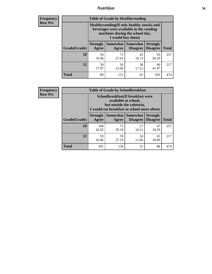### *Nutrition* **56**

**Frequency Row Pct**

| <b>Table of Grade by Healthyvending</b> |                                                                                                                                               |                          |                                    |                                    |              |
|-----------------------------------------|-----------------------------------------------------------------------------------------------------------------------------------------------|--------------------------|------------------------------------|------------------------------------|--------------|
|                                         | Healthyvending (If only healthy snacks and<br>beverages were available in the vending<br>machines during the school day,<br>I would buy them) |                          |                                    |                                    |              |
| Grade(Grade)                            | <b>Strongly</b><br>Agree                                                                                                                      | <b>Somewhat</b><br>Agree | <b>Somewhat</b><br><b>Disagree</b> | <b>Strongly</b><br><b>Disagree</b> | <b>Total</b> |
| 10                                      | 50<br>19.46                                                                                                                                   | 71<br>27.63              | 43<br>16.73                        | 93<br>36.19                        | 257          |
| 12                                      | 39<br>17.97                                                                                                                                   | 50<br>23.04              | 38<br>17.51                        | 90<br>41.47                        | 217          |
| Total                                   | 89                                                                                                                                            | 121                      | 81                                 | 183                                | 474          |

**Frequency Row Pct**

| <b>Table of Grade by Schoolbreakfast</b> |                          |                                                                                                                                         |             |             |     |  |  |
|------------------------------------------|--------------------------|-----------------------------------------------------------------------------------------------------------------------------------------|-------------|-------------|-----|--|--|
|                                          |                          | Schoolbreakfast (If breakfast were<br>available at school,<br>but outside the cafeteria,<br>I would eat breakfast at school more often) |             |             |     |  |  |
| Grade(Grade)                             | <b>Strongly</b><br>Agree | Somewhat   Somewhat<br><b>Strongly</b><br><b>Disagree</b><br><b>Total</b><br><b>Disagree</b><br>Agree                                   |             |             |     |  |  |
| 10                                       | 108<br>42.02             | 75<br>29.18                                                                                                                             | 27<br>10.51 | 47<br>18.29 | 257 |  |  |
| 12                                       | 93<br>42.86              | 59<br>24<br>41<br>27.19<br>18.89<br>11.06                                                                                               |             |             |     |  |  |
| <b>Total</b>                             | 201                      | 134                                                                                                                                     | 51          | 88          | 474 |  |  |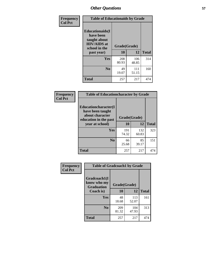| Frequency<br><b>Col Pct</b> | <b>Table of Educationaids by Grade</b>                                                                    |                    |              |              |
|-----------------------------|-----------------------------------------------------------------------------------------------------------|--------------------|--------------|--------------|
|                             | <b>Educationaids</b> (I<br>have been<br>taught about<br><b>HIV/AIDS</b> at<br>school in the<br>past year) | Grade(Grade)<br>10 | 12           | <b>Total</b> |
|                             | Yes                                                                                                       | 208<br>80.93       | 106<br>48.85 | 314          |
|                             | N <sub>0</sub>                                                                                            | 49<br>19.07        | 111<br>51.15 | 160          |
|                             | <b>Total</b>                                                                                              | 257                | 217          | 474          |

| <b>Frequency</b> | <b>Table of Educationcharacter by Grade</b>                                          |              |              |              |
|------------------|--------------------------------------------------------------------------------------|--------------|--------------|--------------|
| <b>Col Pct</b>   | Educationcharacter(I<br>have been taught<br>about character<br>education in the past | Grade(Grade) |              |              |
|                  | year at school)                                                                      | 10           | 12           | <b>Total</b> |
|                  | Yes                                                                                  | 191<br>74.32 | 132<br>60.83 | 323          |
|                  | N <sub>0</sub>                                                                       | 66<br>25.68  | 85<br>39.17  | 151          |
|                  | <b>Total</b>                                                                         | 257          | 217          | 474          |

| Frequency      | <b>Table of Gradcoach1 by Grade</b>              |              |              |              |
|----------------|--------------------------------------------------|--------------|--------------|--------------|
| <b>Col Pct</b> | Gradcoach1(I<br>know who my<br><b>Graduation</b> | Grade(Grade) |              |              |
|                | Coach is)                                        | 10           | 12           | <b>Total</b> |
|                | Yes                                              | 48<br>18.68  | 113<br>52.07 | 161          |
|                | N <sub>0</sub>                                   | 209<br>81.32 | 104<br>47.93 | 313          |
|                | <b>Total</b>                                     | 257          | 217          | 474          |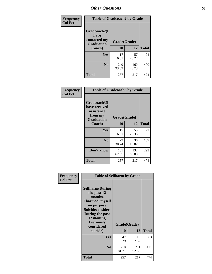| Frequency      | <b>Table of Gradcoach2 by Grade</b> |              |              |              |
|----------------|-------------------------------------|--------------|--------------|--------------|
| <b>Col Pct</b> | Gradcoach2(I<br>have                |              |              |              |
|                | contacted my<br><b>Graduation</b>   | Grade(Grade) |              |              |
|                | Coach)                              | 10           | 12           | <b>Total</b> |
|                | Yes                                 | 17<br>6.61   | 57<br>26.27  | 74           |
|                | N <sub>0</sub>                      | 240<br>93.39 | 160<br>73.73 | 400          |
|                | <b>Total</b>                        | 257          | 217          | 474          |

| <b>Frequency</b><br><b>Col Pct</b> | <b>Table of Gradcoach3 by Grade</b>                                         |              |              |              |
|------------------------------------|-----------------------------------------------------------------------------|--------------|--------------|--------------|
|                                    | Gradcoach3(I<br>have received<br>assistance<br>from my<br><b>Graduation</b> | Grade(Grade) |              |              |
|                                    | Coach)                                                                      | 10           | 12           | <b>Total</b> |
|                                    | Yes                                                                         | 17<br>6.61   | 55<br>25.35  | 72           |
|                                    | N <sub>0</sub>                                                              | 79<br>30.74  | 30<br>13.82  | 109          |
|                                    | Don't know                                                                  | 161<br>62.65 | 132<br>60.83 | 293          |
|                                    | <b>Total</b>                                                                | 257          | 217          | 474          |

| Frequency<br><b>Col Pct</b> | <b>Table of Selfharm by Grade</b>                                                                                                                                                      |              |                    |              |
|-----------------------------|----------------------------------------------------------------------------------------------------------------------------------------------------------------------------------------|--------------|--------------------|--------------|
|                             | <b>Selfharm</b> (During<br>the past 12<br>months,<br>I harmed myself<br>on purpose<br><b>Suicideconsider</b><br>During the past<br>12 months,<br>I seriously<br>considered<br>suicide) | 10           | Grade(Grade)<br>12 | <b>Total</b> |
|                             | Yes                                                                                                                                                                                    | 47<br>18.29  | 16<br>7.37         | 63           |
|                             | N <sub>0</sub>                                                                                                                                                                         | 210<br>81.71 | 201<br>92.63       | 411          |
|                             | Total                                                                                                                                                                                  | 257          | 217                | 474          |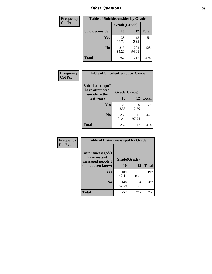| <b>Frequency</b> | <b>Table of Suicideconsider by Grade</b> |              |              |              |
|------------------|------------------------------------------|--------------|--------------|--------------|
| <b>Col Pct</b>   |                                          | Grade(Grade) |              |              |
|                  | Suicideconsider                          | <b>10</b>    | 12           | <b>Total</b> |
|                  | Yes                                      | 38<br>14.79  | 13<br>5.99   | 51           |
|                  | N <sub>0</sub>                           | 219<br>85.21 | 204<br>94.01 | 423          |
|                  | <b>Total</b>                             | 257          | 217          | 474          |

| Frequency<br><b>Col Pct</b> | <b>Table of Suicideattempt by Grade</b>              |              |              |              |
|-----------------------------|------------------------------------------------------|--------------|--------------|--------------|
|                             | Suicideattempt(I<br>have attempted<br>suicide in the | Grade(Grade) |              |              |
|                             | last year)                                           | 10           | 12           | <b>Total</b> |
|                             | Yes                                                  | 22<br>8.56   | 6<br>2.76    | 28           |
|                             | $\bf No$                                             | 235<br>91.44 | 211<br>97.24 | 446          |
|                             | <b>Total</b>                                         | 257          | 217          | 474          |

| Frequency      | <b>Table of Instantmessaged by Grade</b>               |              |              |              |
|----------------|--------------------------------------------------------|--------------|--------------|--------------|
| <b>Col Pct</b> | Instantmessaged(I<br>have instant<br>messaged people I | Grade(Grade) |              |              |
|                | do not even know)                                      | 10           | 12           | <b>Total</b> |
|                | Yes                                                    | 109<br>42.41 | 83<br>38.25  | 192          |
|                | N <sub>0</sub>                                         | 148<br>57.59 | 134<br>61.75 | 282          |
|                | <b>Total</b>                                           | 257          | 217          | 474          |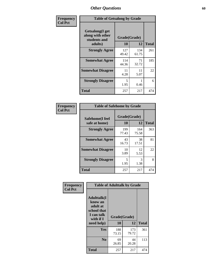| Frequency      | <b>Table of Getsalong by Grade</b>                                     |                    |              |              |
|----------------|------------------------------------------------------------------------|--------------------|--------------|--------------|
| <b>Col Pct</b> | <b>Getsalong</b> (I get<br>along with other<br>students and<br>adults) | Grade(Grade)<br>10 | 12           | <b>Total</b> |
|                |                                                                        |                    |              |              |
|                | <b>Strongly Agree</b>                                                  | 127<br>49.42       | 134<br>61.75 | 261          |
|                | <b>Somewhat Agree</b>                                                  | 114<br>44.36       | 71<br>32.72  | 185          |
|                | <b>Somewhat Disagree</b>                                               | 11<br>4.28         | 11<br>5.07   | 22           |
|                | <b>Strongly Disagree</b>                                               | 5<br>1.95          | 0.46         | 6            |
|                | <b>Total</b>                                                           | 257                | 217          | 474          |

| Frequency      | <b>Table of Safehome by Grade</b> |                           |              |              |  |  |
|----------------|-----------------------------------|---------------------------|--------------|--------------|--|--|
| <b>Col Pct</b> | Safehome(I feel<br>safe at home)  | Grade(Grade)<br><b>10</b> | 12           | <b>Total</b> |  |  |
|                | <b>Strongly Agree</b>             | 199<br>77.43              | 164<br>75.58 | 363          |  |  |
|                | <b>Somewhat Agree</b>             | 43<br>16.73               | 38<br>17.51  | 81           |  |  |
|                | <b>Somewhat Disagree</b>          | 10<br>3.89                | 12<br>5.53   | 22           |  |  |
|                | <b>Strongly Disagree</b>          | 5<br>1.95                 | 3<br>1.38    | 8            |  |  |
|                | <b>Total</b>                      | 257                       | 217          | 474          |  |  |

| Frequency      |                                                                                      | <b>Table of Adulttalk by Grade</b> |              |              |  |  |  |
|----------------|--------------------------------------------------------------------------------------|------------------------------------|--------------|--------------|--|--|--|
| <b>Col Pct</b> | <b>Adulttalk</b> (I<br>know an<br>adult at<br>school that<br>I can talk<br>with if I | Grade(Grade)<br>10                 | 12           | <b>Total</b> |  |  |  |
|                | need help)                                                                           |                                    |              |              |  |  |  |
|                | Yes                                                                                  | 188<br>73.15                       | 173<br>79.72 | 361          |  |  |  |
|                | N <sub>0</sub>                                                                       | 69<br>26.85                        | 44<br>20.28  | 113          |  |  |  |
|                | <b>Total</b>                                                                         | 257                                | 217          | 474          |  |  |  |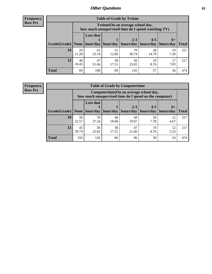**Frequency Row Pct**

| <b>Table of Grade by Tvtime</b> |             |                                                                                         |             |                       |             |            |              |  |  |  |
|---------------------------------|-------------|-----------------------------------------------------------------------------------------|-------------|-----------------------|-------------|------------|--------------|--|--|--|
|                                 |             | Tytime (On an average school day,<br>how much unsupervised time do I spend watching TV) |             |                       |             |            |              |  |  |  |
|                                 |             | <b>Less that</b><br>$2 - 3$<br>$4 - 5$<br>$6+$                                          |             |                       |             |            |              |  |  |  |
| Grade(Grade)                    | None        | hour/day                                                                                | hour/day    | hours/day   hours/day |             | hours/day  | <b>Total</b> |  |  |  |
| 10                              | 29<br>11.28 | 61<br>23.74                                                                             | 31<br>12.06 | 79<br>30.74           | 38<br>14.79 | 19<br>7.39 | 257          |  |  |  |
| 12                              | 40<br>18.43 | 47<br>21.66                                                                             | 38<br>17.51 | 56<br>25.81           | 19<br>8.76  | 17<br>7.83 | 217          |  |  |  |
| <b>Total</b>                    | 69          | 108                                                                                     | 69          | 135                   | 57          | 36         | 474          |  |  |  |

**Frequency Row Pct**

| <b>Table of Grade by Computertime</b> |             |                                                                                                   |                     |             |            |            |              |  |  |
|---------------------------------------|-------------|---------------------------------------------------------------------------------------------------|---------------------|-------------|------------|------------|--------------|--|--|
|                                       |             | Computertime (On an average school day,<br>how much unsupervised time do I spend on the computer) |                     |             |            |            |              |  |  |
|                                       |             | <b>Less that</b>                                                                                  |                     | $2 - 3$     | $4 - 5$    | $6+$       |              |  |  |
| Grade(Grade)                          | None $ $    |                                                                                                   | hour/day   hour/day | hours/day   | hours/day  | hours/day  | <b>Total</b> |  |  |
| 10                                    | 58<br>22.57 | 70<br>27.24                                                                                       | 48<br>18.68         | 49<br>19.07 | 20<br>7.78 | 12<br>4.67 | 257          |  |  |
| 12                                    | 45<br>20.74 | 56<br>25.81                                                                                       | 38<br>17.51         | 47<br>21.66 | 19<br>8.76 | 12<br>5.53 | 217          |  |  |
| <b>Total</b>                          | 103         | 126                                                                                               | 86                  | 96          | 39         | 24         | 474          |  |  |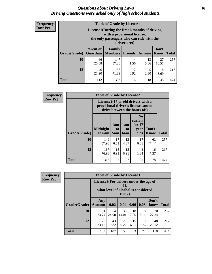#### *Questions about Driving Laws* **62** *Driving Questions were asked only of high school students.*

| <b>Frequency</b> |
|------------------|
| <b>Row Pct</b>   |

| <b>Table of Grade by License1</b> |                                                                                 |                                                                                                                                           |                |            |                      |              |  |  |  |
|-----------------------------------|---------------------------------------------------------------------------------|-------------------------------------------------------------------------------------------------------------------------------------------|----------------|------------|----------------------|--------------|--|--|--|
|                                   |                                                                                 | License1(During the first 6 months of driving<br>with a provisional license,<br>the only passengers who can ride with the<br>driver are:) |                |            |                      |              |  |  |  |
| Grade(Grade)                      | <b>Parent or</b><br><b>Guardian</b>                                             | Family<br><b>Members</b>                                                                                                                  | <b>Friends</b> | Anyone     | Don't<br><b>Know</b> | <b>Total</b> |  |  |  |
| 10                                | 66<br>25.68                                                                     | 147<br>57.20                                                                                                                              | 4<br>1.56      | 13<br>5.06 | 27<br>10.51          | 257          |  |  |  |
| 12                                | 46<br>156<br>$\overline{c}$<br>5<br>8<br>71.89<br>2.30<br>0.92<br>21.20<br>3.69 |                                                                                                                                           |                |            |                      |              |  |  |  |
| Total                             | 112                                                                             | 303                                                                                                                                       | 6              | 18         | 35                   | 474          |  |  |  |

| <b>Frequency</b> |              | <b>Table of Grade by License2</b>                                                                        |                  |                                     |                                                      |                      |              |  |  |
|------------------|--------------|----------------------------------------------------------------------------------------------------------|------------------|-------------------------------------|------------------------------------------------------|----------------------|--------------|--|--|
| <b>Row Pct</b>   |              | License2(17 yr old drivers with a<br>provisional driver's license cannot<br>drive between the hours of:) |                  |                                     |                                                      |                      |              |  |  |
|                  | Grade(Grade) | <b>Midnight</b><br>to 6am                                                                                | 1am<br>to<br>5am | 1am<br>t <sub>0</sub><br><b>6am</b> | N <sub>0</sub><br>curfew<br>for $17$<br>year<br>olds | Don't<br><b>Know</b> | <b>Total</b> |  |  |
|                  | 10           | 149<br>57.98                                                                                             | 17<br>6.61       | 12<br>4.67                          | 17<br>6.61                                           | 62<br>24.12          | 257          |  |  |
|                  | 12           | 167<br>76.96                                                                                             | 15<br>6.91       | 15<br>6.91                          | 4<br>1.84                                            | 16<br>7.37           | 217          |  |  |
|                  | <b>Total</b> | 316                                                                                                      | 32               | 27                                  | 21                                                   | 78                   | 474          |  |  |

| Frequency      | <b>Table of Grade by License3</b> |                                       |                                     |                 |            |            |               |              |
|----------------|-----------------------------------|---------------------------------------|-------------------------------------|-----------------|------------|------------|---------------|--------------|
| <b>Row Pct</b> |                                   | License3(For drivers under the age of | what level of alcohol is considered | 21,<br>$DUI$ ?) |            |            |               |              |
|                | Grade(Grade)                      | Any<br><b>Amount</b>                  | 0.02                                | 0.04            | 0.06       | 0.08       | Don't<br>know | <b>Total</b> |
|                | 10                                | 61<br>23.74                           | 64<br>24.90                         | 36<br>14.01     | 18<br>7.00 | 8<br>3.11  | 70<br>27.24   | 257          |
|                | 12                                | 72<br>33.18                           | 43<br>19.82                         | 20<br>9.22      | 15<br>6.91 | 19<br>8.76 | 48<br>22.12   | 217          |
|                | <b>Total</b>                      | 133                                   | 107                                 | 56              | 33         | 27         | 118           | 474          |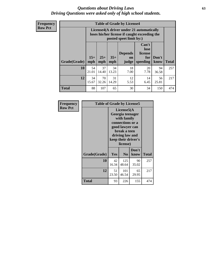#### *Questions about Driving Laws* **63** *Driving Questions were asked only of high school students.*

**Frequency Row Pct**

| <b>Table of Grade by License4</b> |              |                                                                                                                                                      |             |            |            |             |     |  |
|-----------------------------------|--------------|------------------------------------------------------------------------------------------------------------------------------------------------------|-------------|------------|------------|-------------|-----|--|
|                                   |              | License4(A driver under 21 automatically<br>loses his/her license if caught exceeding the<br>posted speet limit by:)                                 |             |            |            |             |     |  |
| Grade(Grade)                      | $15+$<br>mph | Can't<br>lose<br><b>Depends</b><br>license<br>$25+$<br>$35+$<br>Don't<br>for<br><b>on</b><br>speeding<br><b>Total</b><br>mph<br>know<br>mph<br>judge |             |            |            |             |     |  |
| 10                                | 54<br>21.01  | 37<br>14.40                                                                                                                                          | 34<br>13.23 | 18<br>7.00 | 20<br>7.78 | 94<br>36.58 | 257 |  |
| 12                                | 34<br>15.67  | 70<br>32.26                                                                                                                                          | 31<br>14.29 | 12<br>5.53 | 14<br>6.45 | 56<br>25.81 | 217 |  |
| <b>Total</b>                      | 88           | 107                                                                                                                                                  | 65          | 30         | 34         | 150         | 474 |  |

| Frequency      | <b>Table of Grade by License5</b> |             |                                                                                                                                      |                     |              |
|----------------|-----------------------------------|-------------|--------------------------------------------------------------------------------------------------------------------------------------|---------------------|--------------|
| <b>Row Pct</b> |                                   |             | License5(A)<br>Georgia teenager<br>with family<br>connections or a<br>good lawyer can<br>break a teen<br>driving law and<br>license) | keep their driver's |              |
|                | Grade(Grade)                      | Yes         | N <sub>0</sub>                                                                                                                       | Don't<br>know       | <b>Total</b> |
|                | 10                                | 42<br>16.34 | 125<br>48.64                                                                                                                         | 90<br>35.02         | 257          |
|                | 12                                | 51<br>23.50 | 101<br>46.54                                                                                                                         | 65<br>29.95         | 217          |
|                | <b>Total</b>                      | 93          | 226                                                                                                                                  | 155                 | 474          |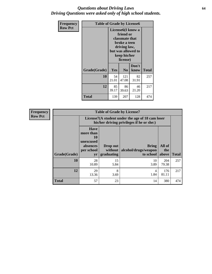#### *Questions about Driving Laws* **64** *Driving Questions were asked only of high school students.*

| <b>Frequency</b> | <b>Table of Grade by License6</b> |             |                                                                                                                           |                    |       |  |
|------------------|-----------------------------------|-------------|---------------------------------------------------------------------------------------------------------------------------|--------------------|-------|--|
| <b>Row Pct</b>   |                                   |             | License <sub>6</sub> (I know a<br>friend or<br>classmate that<br>broke a teen<br>driving law,<br>keep his/her<br>license) | but was allowed to |       |  |
|                  | Grade(Grade)                      | <b>Yes</b>  | N <sub>0</sub>                                                                                                            | Don't<br>know      | Total |  |
|                  | 10                                | 54<br>21.01 | 121<br>47.08                                                                                                              | 82<br>31.91        | 257   |  |
|                  | 12                                | 85<br>39.17 | 86<br>39.63                                                                                                               | 46<br>21.20        | 217   |  |
|                  | <b>Total</b>                      | 139         | 207                                                                                                                       | 128                | 474   |  |

| <b>Frequency</b> | <b>Table of Grade by License7</b> |                                                                             |                                     |                                                                                               |                        |              |  |  |
|------------------|-----------------------------------|-----------------------------------------------------------------------------|-------------------------------------|-----------------------------------------------------------------------------------------------|------------------------|--------------|--|--|
| <b>Row Pct</b>   |                                   |                                                                             |                                     | License7(A student under the age of 18 cam loser<br>his/her driving privileges if he or she:) |                        |              |  |  |
|                  | Grade(Grade)                      | <b>Have</b><br>more than<br>10<br>unexcused<br>absences<br>per school<br>yr | Drop out<br>without  <br>graduating | <b>Bring</b><br>alcohol/drugs/weapon<br>to school                                             | All of<br>the<br>above | <b>Total</b> |  |  |
|                  | 10                                | 28<br>10.89                                                                 | 15<br>5.84                          | 10<br>3.89                                                                                    | 204<br>79.38           | 257          |  |  |
|                  | 12                                | 29<br>13.36                                                                 | 8<br>3.69                           | 4<br>1.84                                                                                     | 176<br>81.11           | 217          |  |  |
|                  | <b>Total</b>                      | 57                                                                          | 23                                  | 14                                                                                            | 380                    | 474          |  |  |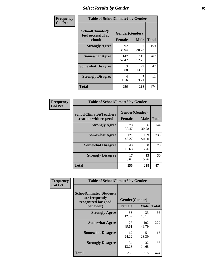## *Select Results by Gender* **65**

| Frequency      | <b>Table of SchoolClimate2 by Gender</b>          |                                 |              |              |  |
|----------------|---------------------------------------------------|---------------------------------|--------------|--------------|--|
| <b>Col Pct</b> | SchoolClimate2(I<br>feel successful at<br>school) | Gender(Gender)<br><b>Female</b> | <b>Male</b>  | <b>Total</b> |  |
|                | <b>Strongly Agree</b>                             | 92<br>35.94                     | 67<br>30.73  | 159          |  |
|                | <b>Somewhat Agree</b>                             | 147<br>57.42                    | 115<br>52.75 | 262          |  |
|                | <b>Somewhat Disagree</b>                          | 13<br>5.08                      | 29<br>13.30  | 42           |  |
|                | <b>Strongly Disagree</b>                          | 4<br>1.56                       | 7<br>3.21    | 11           |  |
|                | <b>Total</b>                                      | 256                             | 218          | 474          |  |

| <b>Frequency</b> | <b>Table of SchoolClimate6 by Gender</b>                 |                                 |              |              |  |
|------------------|----------------------------------------------------------|---------------------------------|--------------|--------------|--|
| <b>Col Pct</b>   | <b>SchoolClimate6(Teachers</b><br>treat me with respect) | Gender(Gender)<br><b>Female</b> | <b>Male</b>  | <b>Total</b> |  |
|                  | <b>Strongly Agree</b>                                    | 78<br>30.47                     | 66<br>30.28  | 144          |  |
|                  | <b>Somewhat Agree</b>                                    | 121<br>47.27                    | 109<br>50.00 | 230          |  |
|                  | <b>Somewhat Disagree</b>                                 | 40<br>15.63                     | 30<br>13.76  | 70           |  |
|                  | <b>Strongly Disagree</b>                                 | 17<br>6.64                      | 13<br>5.96   | 30           |  |
|                  | <b>Total</b>                                             | 256                             | 218          | 474          |  |

| <b>Frequency</b> | <b>Table of SchoolClimate8 by Gender</b>                                             |                                                |              |              |
|------------------|--------------------------------------------------------------------------------------|------------------------------------------------|--------------|--------------|
| <b>Col Pct</b>   | <b>SchoolClimate8(Students</b><br>are frequently<br>recognized for good<br>behavior) | Gender(Gender)<br><b>Male</b><br><b>Female</b> |              | <b>Total</b> |
|                  | <b>Strongly Agree</b>                                                                | 33                                             | 33           | 66           |
|                  |                                                                                      | 12.89                                          | 15.14        |              |
|                  | <b>Somewhat Agree</b>                                                                | 127<br>49.61                                   | 102<br>46.79 | 229          |
|                  | <b>Somewhat Disagree</b>                                                             | 62<br>24.22                                    | 51<br>23.39  | 113          |
|                  | <b>Strongly Disagree</b>                                                             | 34<br>13.28                                    | 32<br>14.68  | 66           |
|                  | Total                                                                                | 256                                            | 218          | 474          |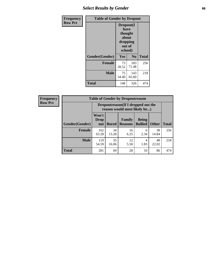### *Select Results by Gender* **66**

| Frequency      | <b>Table of Gender by Dropout</b> |                                                                        |                |              |
|----------------|-----------------------------------|------------------------------------------------------------------------|----------------|--------------|
| <b>Row Pct</b> |                                   | Dropout(I<br>have<br>thought<br>about<br>dropping<br>out of<br>school) |                |              |
|                | Gender(Gender)                    | Yes                                                                    | N <sub>0</sub> | <b>Total</b> |
|                | <b>Female</b>                     | 73<br>28.52                                                            | 183<br>71.48   | 256          |
|                | <b>Male</b>                       | 75<br>34.40                                                            | 143<br>65.60   | 218          |
|                | <b>Total</b>                      | 148                                                                    | 326            | 474          |

| Frequency      | <b>Table of Gender by Dropoutreason</b> |                      |                                                                     |                          |                                |              |              |
|----------------|-----------------------------------------|----------------------|---------------------------------------------------------------------|--------------------------|--------------------------------|--------------|--------------|
| <b>Row Pct</b> |                                         |                      | Dropoutreason (If I dropped out the<br>reason would most likely be) |                          |                                |              |              |
|                | Gender(Gender)                          | Won't<br>Drop<br>out | Bored                                                               | Family<br><b>Reasons</b> | <b>Being</b><br><b>Bullied</b> | <b>Other</b> | <b>Total</b> |
|                | <b>Female</b>                           | 162<br>63.28         | 34<br>13.28                                                         | 16<br>6.25               | 6<br>2.34                      | 38<br>14.84  | 256          |
|                | <b>Male</b>                             | 119<br>54.59         | 35<br>16.06                                                         | 12<br>5.50               | 4<br>1.83                      | 48<br>22.02  | 218          |
|                | <b>Total</b>                            | 281                  | 69                                                                  | 28                       | 10                             | 86           | 474          |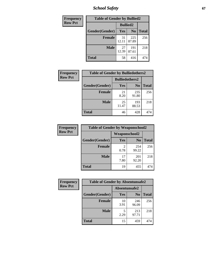*School Safety* **67**

| Frequency      | <b>Table of Gender by Bullied2</b> |                 |                |              |
|----------------|------------------------------------|-----------------|----------------|--------------|
| <b>Row Pct</b> |                                    | <b>Bullied2</b> |                |              |
|                | Gender(Gender)                     | <b>Yes</b>      | N <sub>0</sub> | <b>Total</b> |
|                | <b>Female</b>                      | 31<br>12.11     | 225<br>87.89   | 256          |
|                | <b>Male</b>                        | 27<br>12.39     | 191<br>87.61   | 218          |
|                | Total                              | 58              | 416            | 474          |

| <b>Frequency</b> | <b>Table of Gender by Bulliedothers2</b> |                       |                |              |
|------------------|------------------------------------------|-----------------------|----------------|--------------|
| <b>Row Pct</b>   |                                          | <b>Bulliedothers2</b> |                |              |
|                  | Gender(Gender)                           | Yes                   | N <sub>0</sub> | <b>Total</b> |
|                  | <b>Female</b>                            | 21<br>8.20            | 235<br>91.80   | 256          |
|                  | <b>Male</b>                              | 25<br>11.47           | 193<br>88.53   | 218          |
|                  | <b>Total</b>                             | 46                    | 428            | 474          |

| <b>Frequency</b> | <b>Table of Gender by Weaponschool2</b> |                        |                |              |
|------------------|-----------------------------------------|------------------------|----------------|--------------|
| <b>Row Pct</b>   |                                         | Weaponschool2          |                |              |
|                  | Gender(Gender)                          | <b>Yes</b>             | N <sub>0</sub> | <b>Total</b> |
|                  | <b>Female</b>                           | $\overline{2}$<br>0.78 | 254<br>99.22   | 256          |
|                  | <b>Male</b>                             | 17<br>7.80             | 201<br>92.20   | 218          |
|                  | <b>Total</b>                            | 19                     | 455            | 474          |

| Frequency      | <b>Table of Gender by Absentunsafe2</b> |               |                |              |
|----------------|-----------------------------------------|---------------|----------------|--------------|
| <b>Row Pct</b> |                                         | Absentunsafe2 |                |              |
|                | Gender(Gender)                          | Yes           | N <sub>0</sub> | <b>Total</b> |
|                | <b>Female</b>                           | 10<br>3.91    | 246<br>96.09   | 256          |
|                | <b>Male</b>                             | 2.29          | 213<br>97.71   | 218          |
|                | <b>Total</b>                            | 15            | 459            | 474          |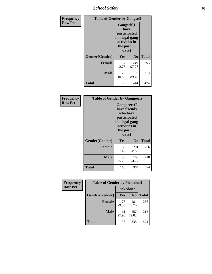*School Safety* **68**

| Frequency      | <b>Table of Gender by Gangself</b> |                                                                                                        |                |              |
|----------------|------------------------------------|--------------------------------------------------------------------------------------------------------|----------------|--------------|
| <b>Row Pct</b> |                                    | <b>Gangself</b> (I<br>have<br>participated<br>in illegal gang<br>activities in<br>the past 30<br>days) |                |              |
|                | Gender(Gender)                     | Yes                                                                                                    | N <sub>0</sub> | <b>Total</b> |
|                | <b>Female</b>                      | 7<br>2.73                                                                                              | 249<br>97.27   | 256          |
|                | <b>Male</b>                        | 23<br>10.55                                                                                            | 195<br>89.45   | 218          |
|                | <b>Total</b>                       | 30                                                                                                     | 444            | 474          |

| Frequency      | <b>Table of Gender by Gangpeers</b> |                                                                                                                             |                |              |
|----------------|-------------------------------------|-----------------------------------------------------------------------------------------------------------------------------|----------------|--------------|
| <b>Row Pct</b> |                                     | <b>Gangpeers</b> (I<br>have friends<br>who have<br>participated<br>in illegal gang<br>activities in<br>the past 30<br>days) |                |              |
|                | Gender(Gender)                      | Yes                                                                                                                         | N <sub>0</sub> | <b>Total</b> |
|                | <b>Female</b>                       | 55<br>21.48                                                                                                                 | 201<br>78.52   | 256          |
|                | <b>Male</b>                         | 55<br>25.23                                                                                                                 | 163<br>74.77   | 218          |
|                | <b>Total</b>                        | 110                                                                                                                         | 364            | 474          |

| Frequency      | <b>Table of Gender by Pickedon2</b> |             |                |              |
|----------------|-------------------------------------|-------------|----------------|--------------|
| <b>Row Pct</b> |                                     | Pickedon2   |                |              |
|                | Gender(Gender)                      | Yes         | N <sub>0</sub> | <b>Total</b> |
|                | <b>Female</b>                       | 75<br>29.30 | 181<br>70.70   | 256          |
|                | <b>Male</b>                         | 61<br>27.98 | 157<br>72.02   | 218          |
|                | <b>Total</b>                        | 136         | 338            | 474          |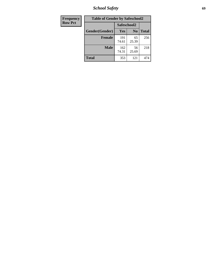*School Safety* **69**

| Frequency      | <b>Table of Gender by Safeschool2</b><br>Safeschool2 |              |                |              |  |
|----------------|------------------------------------------------------|--------------|----------------|--------------|--|
| <b>Row Pct</b> |                                                      |              |                |              |  |
|                | Gender(Gender)                                       | Yes          | N <sub>0</sub> | <b>Total</b> |  |
|                | <b>Female</b>                                        | 191<br>74.61 | 65<br>25.39    | 256          |  |
|                | <b>Male</b>                                          | 162<br>74.31 | 56<br>25.69    | 218          |  |
|                | <b>Total</b>                                         | 353          | 121            | 474          |  |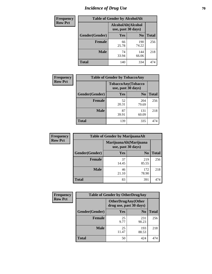# *Incidence of Drug Use* **70**

| <b>Frequency</b> | <b>Table of Gender by AlcoholAlt</b> |                                          |                |              |  |
|------------------|--------------------------------------|------------------------------------------|----------------|--------------|--|
| <b>Row Pct</b>   |                                      | AlcoholAlt(Alcohol<br>use, past 30 days) |                |              |  |
|                  | Gender(Gender)                       | <b>Yes</b>                               | N <sub>0</sub> | <b>Total</b> |  |
|                  | <b>Female</b>                        | 66<br>25.78                              | 190<br>74.22   | 256          |  |
|                  | <b>Male</b>                          | 74<br>33.94                              | 144<br>66.06   | 218          |  |
|                  | <b>Total</b>                         | 140                                      | 334            | 474          |  |

| Frequency      | <b>Table of Gender by TobaccoAny</b> |                                          |                |              |  |
|----------------|--------------------------------------|------------------------------------------|----------------|--------------|--|
| <b>Row Pct</b> |                                      | TobaccoAny(Tobacco<br>use, past 30 days) |                |              |  |
|                | Gender(Gender)                       | Yes                                      | N <sub>0</sub> | <b>Total</b> |  |
|                | <b>Female</b>                        | 52<br>20.31                              | 204<br>79.69   | 256          |  |
|                | <b>Male</b>                          | 87<br>39.91                              | 131<br>60.09   | 218          |  |
|                | <b>Total</b>                         | 139                                      | 335            | 474          |  |

| <b>Frequency</b> | <b>Table of Gender by MarijuanaAlt</b> |                                              |                |              |
|------------------|----------------------------------------|----------------------------------------------|----------------|--------------|
| <b>Row Pct</b>   |                                        | MarijuanaAlt(Marijuana<br>use, past 30 days) |                |              |
|                  | Gender(Gender)                         | <b>Yes</b>                                   | N <sub>0</sub> | <b>Total</b> |
|                  | <b>Female</b>                          | 37<br>14.45                                  | 219<br>85.55   | 256          |
|                  | <b>Male</b>                            | 46<br>21.10                                  | 172<br>78.90   | 218          |
|                  | <b>Total</b>                           | 83                                           | 391            | 474          |

| <b>Frequency</b> | <b>Table of Gender by OtherDrugAny</b> |                                                      |                |              |
|------------------|----------------------------------------|------------------------------------------------------|----------------|--------------|
| <b>Row Pct</b>   |                                        | <b>OtherDrugAny(Other</b><br>drug use, past 30 days) |                |              |
|                  | Gender(Gender)                         | <b>Yes</b>                                           | N <sub>0</sub> | <b>Total</b> |
|                  | <b>Female</b>                          | 25<br>9.77                                           | 231<br>90.23   | 256          |
|                  | <b>Male</b>                            | 25<br>11.47                                          | 193<br>88.53   | 218          |
|                  | <b>Total</b>                           | 50                                                   | 424            | 474          |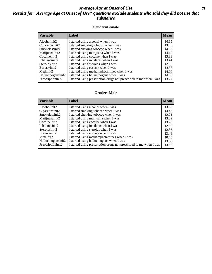#### *Average Age at Onset of Use* **71** *Results for "Average Age at Onset of Use" questions exclude students who said they did not use that substance*

#### **Gender=Female**

| <i><b>Variable</b></i>          | Label                                                              | <b>Mean</b> |
|---------------------------------|--------------------------------------------------------------------|-------------|
| Alcoholinit2                    | I started using alcohol when I was                                 | 14.15       |
| Cigarettesinit2                 | I started smoking tobacco when I was                               | 13.78       |
| Smokelessinit2                  | I started chewing tobacco when I was                               | 14.82       |
| Marijuanainit2                  | I started using marijuana when I was                               | 14.17       |
| Cocaineinit2                    | I started using cocaine when I was                                 | 13.88       |
| Inhalantsinit2                  | I started using inhalants when I was                               | 13.41       |
| Steroidsinit2                   | I started using steroids when I was                                | 12.50       |
| Ecstasyinit2                    | I started using ecstasy when I was                                 | 14.86       |
| Methinit2                       | I started using methamphetamines when I was                        | 14.00       |
| Hallucinogensinit2              | I started using hallucinogens when I was                           | 14.00       |
| Prescription in it <sub>2</sub> | I started using prescription drugs not prescribed to me when I was | 13.77       |

#### **Gender=Male**

| <b>Variable</b>    | Label                                                              | <b>Mean</b> |
|--------------------|--------------------------------------------------------------------|-------------|
| Alcoholinit2       | I started using alcohol when I was                                 | 13.60       |
| Cigarettesinit2    | I started smoking tobacco when I was                               | 13.46       |
| Smokelessinit2     | I started chewing tobacco when I was                               | 12.71       |
| Marijuanainit2     | I started using marijuana when I was                               | 13.22       |
| Cocaineinit2       | I started using cocaine when I was                                 | 13.25       |
| Inhalantsinit2     | I started using inhalants when I was                               | 12.00       |
| Steroidsinit2      | I started using steroids when I was                                | 12.33       |
| Ecstasyinit2       | I started using ecstasy when I was                                 | 13.46       |
| Methinit2          | I started using methamphetamines when I was                        | 10.75       |
| Hallucinogensinit2 | I started using hallucinogens when I was                           | 13.69       |
| Prescriptioninit2  | I started using prescription drugs not prescribed to me when I was | 13.53       |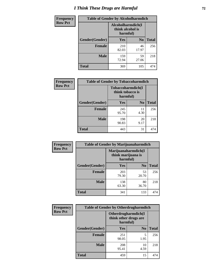# *I Think These Drugs are Harmful* **72**

| <b>Frequency</b> | <b>Table of Gender by Alcoholharmdich</b> |                                                   |                |              |  |
|------------------|-------------------------------------------|---------------------------------------------------|----------------|--------------|--|
| <b>Row Pct</b>   |                                           | Alcoholharmdich(I<br>think alcohol is<br>harmful) |                |              |  |
|                  | Gender(Gender)                            | Yes                                               | N <sub>0</sub> | <b>Total</b> |  |
|                  | <b>Female</b>                             | 210<br>82.03                                      | 46<br>17.97    | 256          |  |
|                  | <b>Male</b>                               | 159<br>72.94                                      | 59<br>27.06    | 218          |  |
|                  | <b>Total</b>                              | 369                                               | 105            | 474          |  |

| Frequency      | <b>Table of Gender by Tobaccoharmdich</b> |                  |                               |              |  |
|----------------|-------------------------------------------|------------------|-------------------------------|--------------|--|
| <b>Row Pct</b> |                                           | think tobacco is | Tobaccoharmdich(I<br>harmful) |              |  |
|                | Gender(Gender)                            | <b>Yes</b>       | N <sub>0</sub>                | <b>Total</b> |  |
|                | <b>Female</b>                             | 245<br>95.70     | 11<br>4.30                    | 256          |  |
|                | <b>Male</b>                               | 198<br>90.83     | 20<br>9.17                    | 218          |  |
|                | <b>Total</b>                              | 443              | 31                            | 474          |  |

| Frequency      | <b>Table of Gender by Marijuanaharmdich</b> |                                                       |                |              |  |
|----------------|---------------------------------------------|-------------------------------------------------------|----------------|--------------|--|
| <b>Row Pct</b> |                                             | Marijuanaharmdich(I<br>think marijuana is<br>harmful) |                |              |  |
|                | Gender(Gender)                              | <b>Yes</b>                                            | N <sub>0</sub> | <b>Total</b> |  |
|                | <b>Female</b>                               | 203<br>79.30                                          | 53<br>20.70    | 256          |  |
|                | <b>Male</b>                                 | 138<br>63.30                                          | 80<br>36.70    | 218          |  |
|                | <b>Total</b>                                | 341                                                   | 133            | 474          |  |

| Frequency      | <b>Table of Gender by Otherdrugharmdich</b> |                                                          |                |              |  |
|----------------|---------------------------------------------|----------------------------------------------------------|----------------|--------------|--|
| <b>Row Pct</b> |                                             | Otherdrugharmdich(I<br>think other drugs are<br>harmful) |                |              |  |
|                | Gender(Gender)                              | <b>Yes</b>                                               | N <sub>0</sub> | <b>Total</b> |  |
|                | Female                                      | 251<br>98.05                                             | 5<br>1.95      | 256          |  |
|                | <b>Male</b>                                 | 208<br>95.41                                             | 10<br>4.59     | 218          |  |
|                | <b>Total</b>                                | 459                                                      | 15             | 474          |  |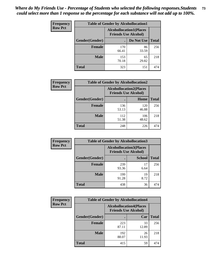| <b>Frequency</b> | <b>Table of Gender by Alcohollocation1</b> |                             |                                |              |
|------------------|--------------------------------------------|-----------------------------|--------------------------------|--------------|
| <b>Row Pct</b>   |                                            | <b>Friends Use Alcohol)</b> | <b>Alcohollocation1(Places</b> |              |
|                  | Gender(Gender)                             |                             | Do Not Use                     | <b>Total</b> |
|                  | <b>Female</b>                              | 170<br>66.41                | 86<br>33.59                    | 256          |
|                  | <b>Male</b>                                | 153<br>70.18                | 65<br>29.82                    | 218          |
|                  | <b>Total</b>                               | 323                         | 151                            | 474          |

| <b>Frequency</b> | <b>Table of Gender by Alcohollocation2</b> |                                                               |              |              |
|------------------|--------------------------------------------|---------------------------------------------------------------|--------------|--------------|
| <b>Row Pct</b>   |                                            | <b>Alcohollocation2(Places</b><br><b>Friends Use Alcohol)</b> |              |              |
|                  | Gender(Gender)                             |                                                               | Home         | <b>Total</b> |
|                  | <b>Female</b>                              | 136<br>53.13                                                  | 120<br>46.88 | 256          |
|                  | <b>Male</b>                                | 112<br>51.38                                                  | 106<br>48.62 | 218          |
|                  | <b>Total</b>                               | 248                                                           | 226          | 474          |

| <b>Frequency</b> | <b>Table of Gender by Alcohollocation3</b> |              |                                                               |              |
|------------------|--------------------------------------------|--------------|---------------------------------------------------------------|--------------|
| <b>Row Pct</b>   |                                            |              | <b>Alcohollocation3(Places</b><br><b>Friends Use Alcohol)</b> |              |
|                  | Gender(Gender)                             | $\bullet$    | <b>School</b>                                                 | <b>Total</b> |
|                  | <b>Female</b>                              | 239<br>93.36 | 17<br>6.64                                                    | 256          |
|                  | <b>Male</b>                                | 199<br>91.28 | 19<br>8.72                                                    | 218          |
|                  | <b>Total</b>                               | 438          | 36                                                            | 474          |

| <b>Frequency</b> | <b>Table of Gender by Alcohollocation4</b> |                                |                             |              |
|------------------|--------------------------------------------|--------------------------------|-----------------------------|--------------|
| <b>Row Pct</b>   |                                            | <b>Alcohollocation4(Places</b> | <b>Friends Use Alcohol)</b> |              |
|                  | Gender(Gender)                             |                                | Car                         | <b>Total</b> |
|                  | <b>Female</b>                              | 223<br>87.11                   | 33<br>12.89                 | 256          |
|                  | <b>Male</b>                                | 192<br>88.07                   | 26<br>11.93                 | 218          |
|                  | <b>Total</b>                               | 415                            | 59                          | 474          |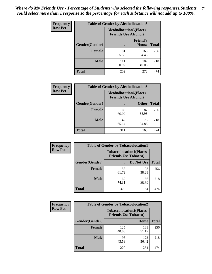| <b>Frequency</b> | <b>Table of Gender by Alcohollocation5</b> |                                                                |                                 |              |
|------------------|--------------------------------------------|----------------------------------------------------------------|---------------------------------|--------------|
| <b>Row Pct</b>   |                                            | <b>Alcohollocation5</b> (Places<br><b>Friends Use Alcohol)</b> |                                 |              |
|                  | Gender(Gender)                             | $\bullet$                                                      | <b>Friend's</b><br><b>House</b> | <b>Total</b> |
|                  | <b>Female</b>                              | 91<br>35.55                                                    | 165<br>64.45                    | 256          |
|                  | <b>Male</b>                                | 111<br>50.92                                                   | 107<br>49.08                    | 218          |
|                  | <b>Total</b>                               | 202                                                            | 272                             | 474          |

| <b>Frequency</b> | <b>Table of Gender by Alcohollocation6</b> |                                                               |              |              |  |
|------------------|--------------------------------------------|---------------------------------------------------------------|--------------|--------------|--|
| <b>Row Pct</b>   |                                            | <b>Alcohollocation6(Places</b><br><b>Friends Use Alcohol)</b> |              |              |  |
|                  | <b>Gender</b> (Gender)                     |                                                               | <b>Other</b> | <b>Total</b> |  |
|                  | <b>Female</b>                              | 169<br>66.02                                                  | 87<br>33.98  | 256          |  |
|                  | <b>Male</b>                                | 142<br>65.14                                                  | 76<br>34.86  | 218          |  |
|                  | <b>Total</b>                               | 311                                                           | 163          | 474          |  |

| Frequency      | <b>Table of Gender by Tobaccolocation1</b>                    |              |             |              |  |
|----------------|---------------------------------------------------------------|--------------|-------------|--------------|--|
| <b>Row Pct</b> | <b>Tobaccolocation1(Places</b><br><b>Friends Use Tobacco)</b> |              |             |              |  |
|                | Gender(Gender)                                                |              | Do Not Use  | <b>Total</b> |  |
|                | Female                                                        | 158<br>61.72 | 98<br>38.28 | 256          |  |
|                | <b>Male</b>                                                   | 162<br>74.31 | 56<br>25.69 | 218          |  |
|                | <b>Total</b>                                                  | 320          | 154         | 474          |  |

| <b>Frequency</b> |                | <b>Table of Gender by Tobaccolocation2</b>                    |              |              |
|------------------|----------------|---------------------------------------------------------------|--------------|--------------|
| <b>Row Pct</b>   |                | <b>Tobaccolocation2(Places</b><br><b>Friends Use Tobacco)</b> |              |              |
|                  | Gender(Gender) |                                                               | Home         | <b>Total</b> |
|                  | Female         | 125<br>48.83                                                  | 131<br>51.17 | 256          |
|                  | <b>Male</b>    | 95<br>43.58                                                   | 123<br>56.42 | 218          |
|                  | <b>Total</b>   | 220                                                           | 254          | 474          |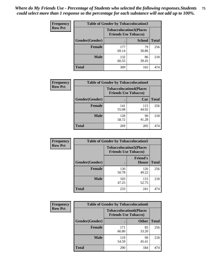| <b>Frequency</b> | <b>Table of Gender by Tobaccolocation3</b> |                                                               |               |              |
|------------------|--------------------------------------------|---------------------------------------------------------------|---------------|--------------|
| <b>Row Pct</b>   |                                            | <b>Tobaccolocation3(Places</b><br><b>Friends Use Tobacco)</b> |               |              |
|                  | <b>Gender(Gender)</b>                      |                                                               | <b>School</b> | <b>Total</b> |
|                  | <b>Female</b>                              | 177<br>69.14                                                  | 79<br>30.86   | 256          |
|                  | <b>Male</b>                                | 132<br>60.55                                                  | 86<br>39.45   | 218          |
|                  | <b>Total</b>                               | 309                                                           | 165           | 474          |

| <b>Frequency</b> | <b>Table of Gender by Tobaccolocation4</b> |              |                                                               |              |
|------------------|--------------------------------------------|--------------|---------------------------------------------------------------|--------------|
| <b>Row Pct</b>   |                                            |              | <b>Tobaccolocation4(Places</b><br><b>Friends Use Tobacco)</b> |              |
|                  | Gender(Gender)                             |              | Car                                                           | <b>Total</b> |
|                  | <b>Female</b>                              | 141<br>55.08 | 115<br>44.92                                                  | 256          |
|                  | <b>Male</b>                                | 128<br>58.72 | 90<br>41.28                                                   | 218          |
|                  | <b>Total</b>                               | 269          | 205                                                           | 474          |

| <b>Frequency</b> | <b>Table of Gender by Tobaccolocation5</b> |                                                               |                                 |              |
|------------------|--------------------------------------------|---------------------------------------------------------------|---------------------------------|--------------|
| <b>Row Pct</b>   |                                            | <b>Tobaccolocation5(Places</b><br><b>Friends Use Tobacco)</b> |                                 |              |
|                  | Gender(Gender)                             |                                                               | <b>Friend's</b><br><b>House</b> | <b>Total</b> |
|                  | <b>Female</b>                              | 130<br>50.78                                                  | 126<br>49.22                    | 256          |
|                  | <b>Male</b>                                | 103<br>47.25                                                  | 115<br>52.75                    | 218          |
|                  | <b>Total</b>                               | 233                                                           | 241                             | 474          |

| <b>Frequency</b> | <b>Table of Gender by Tobaccolocation6</b> |                                                               |              |              |
|------------------|--------------------------------------------|---------------------------------------------------------------|--------------|--------------|
| <b>Row Pct</b>   |                                            | <b>Tobaccolocation6(Places</b><br><b>Friends Use Tobacco)</b> |              |              |
|                  | Gender(Gender)                             |                                                               | <b>Other</b> | <b>Total</b> |
|                  | Female                                     | 171<br>66.80                                                  | 85<br>33.20  | 256          |
|                  | <b>Male</b>                                | 119<br>54.59                                                  | 99<br>45.41  | 218          |
|                  | <b>Total</b>                               | 290                                                           | 184          | 474          |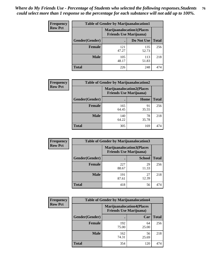| <b>Frequency</b> | <b>Table of Gender by Marijuanalocation1</b> |              |                                                                    |              |
|------------------|----------------------------------------------|--------------|--------------------------------------------------------------------|--------------|
| <b>Row Pct</b>   |                                              |              | <b>Marijuanalocation1(Places</b><br><b>Friends Use Marijuana</b> ) |              |
|                  | Gender(Gender)                               |              | Do Not Use                                                         | <b>Total</b> |
|                  | <b>Female</b>                                | 121<br>47.27 | 135<br>52.73                                                       | 256          |
|                  | <b>Male</b>                                  | 105<br>48.17 | 113<br>51.83                                                       | 218          |
|                  | <b>Total</b>                                 | 226          | 248                                                                | 474          |

| <b>Frequency</b> | <b>Table of Gender by Marijuanalocation2</b> |                                                                    |             |              |
|------------------|----------------------------------------------|--------------------------------------------------------------------|-------------|--------------|
| <b>Row Pct</b>   |                                              | <b>Marijuanalocation2(Places</b><br><b>Friends Use Marijuana</b> ) |             |              |
|                  | Gender(Gender)                               |                                                                    | Home        | <b>Total</b> |
|                  | Female                                       | 165<br>64.45                                                       | 91<br>35.55 | 256          |
|                  | <b>Male</b>                                  | 140<br>64.22                                                       | 78<br>35.78 | 218          |
|                  | <b>Total</b>                                 | 305                                                                | 169         | 474          |

| Frequency      | <b>Table of Gender by Marijuanalocation3</b> |                                                                     |               |              |
|----------------|----------------------------------------------|---------------------------------------------------------------------|---------------|--------------|
| <b>Row Pct</b> |                                              | <b>Marijuanalocation3(Places)</b><br><b>Friends Use Marijuana</b> ) |               |              |
|                | Gender(Gender)                               |                                                                     | <b>School</b> | <b>Total</b> |
|                | Female                                       | 227<br>88.67                                                        | 29<br>11.33   | 256          |
|                | <b>Male</b>                                  | 191<br>87.61                                                        | 27<br>12.39   | 218          |
|                | <b>Total</b>                                 | 418                                                                 | 56            | 474          |

| <b>Frequency</b> | <b>Table of Gender by Marijuanalocation4</b> |                                                                    |             |              |  |
|------------------|----------------------------------------------|--------------------------------------------------------------------|-------------|--------------|--|
| <b>Row Pct</b>   |                                              | <b>Marijuanalocation4(Places</b><br><b>Friends Use Marijuana</b> ) |             |              |  |
|                  | Gender(Gender)                               |                                                                    | Car         | <b>Total</b> |  |
|                  | Female                                       | 192<br>75.00                                                       | 64<br>25.00 | 256          |  |
|                  | <b>Male</b>                                  | 162<br>74.31                                                       | 56<br>25.69 | 218          |  |
|                  | <b>Total</b>                                 | 354                                                                | 120         | 474          |  |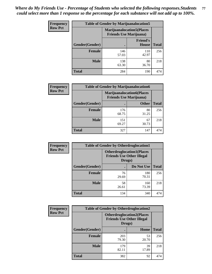| <b>Frequency</b> | <b>Table of Gender by Marijuanalocation5</b> |                                                                    |                          |              |
|------------------|----------------------------------------------|--------------------------------------------------------------------|--------------------------|--------------|
| <b>Row Pct</b>   |                                              | <b>Marijuanalocation5(Places</b><br><b>Friends Use Marijuana</b> ) |                          |              |
|                  | Gender(Gender)                               |                                                                    | <b>Friend's</b><br>House | <b>Total</b> |
|                  | <b>Female</b>                                | 146<br>57.03                                                       | 110<br>42.97             | 256          |
|                  | <b>Male</b>                                  | 138<br>63.30                                                       | 80<br>36.70              | 218          |
|                  | <b>Total</b>                                 | 284                                                                | 190                      | 474          |

| <b>Frequency</b> | <b>Table of Gender by Marijuanalocation6</b> |                                |                                   |              |
|------------------|----------------------------------------------|--------------------------------|-----------------------------------|--------------|
| <b>Row Pct</b>   |                                              | <b>Friends Use Marijuana</b> ) | <b>Marijuanalocation6(Places)</b> |              |
|                  | Gender(Gender)                               |                                | <b>Other</b>                      | <b>Total</b> |
|                  | <b>Female</b>                                | 176<br>68.75                   | 80<br>31.25                       | 256          |
|                  | <b>Male</b>                                  | 151<br>69.27                   | 67<br>30.73                       | 218          |
|                  | <b>Total</b>                                 | 327                            | 147                               | 474          |

| <b>Frequency</b> | <b>Table of Gender by Otherdruglocation1</b> |                                                                                |              |              |
|------------------|----------------------------------------------|--------------------------------------------------------------------------------|--------------|--------------|
| <b>Row Pct</b>   |                                              | <b>Otherdruglocation1(Places</b><br><b>Friends Use Other Illegal</b><br>Drugs) |              |              |
|                  | Gender(Gender)                               |                                                                                | Do Not Use   | <b>Total</b> |
|                  | <b>Female</b>                                | 76<br>29.69                                                                    | 180<br>70.31 | 256          |
|                  | <b>Male</b>                                  | 58<br>26.61                                                                    | 160<br>73.39 | 218          |
|                  | <b>Total</b>                                 | 134                                                                            | 340          | 474          |

| <b>Frequency</b> | <b>Table of Gender by Otherdruglocation2</b> |              |                                                                                 |              |
|------------------|----------------------------------------------|--------------|---------------------------------------------------------------------------------|--------------|
| <b>Row Pct</b>   |                                              |              | <b>Otherdruglocation2(Places)</b><br><b>Friends Use Other Illegal</b><br>Drugs) |              |
|                  | Gender(Gender)                               |              | Home                                                                            | <b>Total</b> |
|                  | Female                                       | 203<br>79.30 | 53<br>20.70                                                                     | 256          |
|                  | <b>Male</b>                                  | 179<br>82.11 | 39<br>17.89                                                                     | 218          |
|                  | <b>Total</b>                                 | 382          | 92                                                                              | 474          |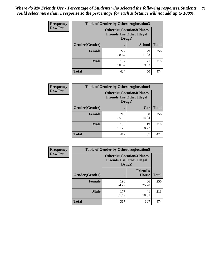| <b>Frequency</b> | <b>Table of Gender by Otherdruglocation3</b> |                                                                                |               |              |
|------------------|----------------------------------------------|--------------------------------------------------------------------------------|---------------|--------------|
| <b>Row Pct</b>   |                                              | <b>Otherdruglocation3(Places</b><br><b>Friends Use Other Illegal</b><br>Drugs) |               |              |
|                  | Gender(Gender)                               |                                                                                | <b>School</b> | <b>Total</b> |
|                  | <b>Female</b>                                | 227<br>88.67                                                                   | 29<br>11.33   | 256          |
|                  | <b>Male</b>                                  | 197<br>90.37                                                                   | 21<br>9.63    | 218          |
|                  | <b>Total</b>                                 | 424                                                                            | 50            | 474          |

| Frequency      | <b>Table of Gender by Otherdruglocation4</b> |                                                                                |             |              |
|----------------|----------------------------------------------|--------------------------------------------------------------------------------|-------------|--------------|
| <b>Row Pct</b> |                                              | <b>Otherdruglocation4(Places</b><br><b>Friends Use Other Illegal</b><br>Drugs) |             |              |
|                | Gender(Gender)                               |                                                                                | Car         | <b>Total</b> |
|                | <b>Female</b>                                | 218<br>85.16                                                                   | 38<br>14.84 | 256          |
|                | <b>Male</b>                                  | 199<br>91.28                                                                   | 19<br>8.72  | 218          |
|                | <b>Total</b>                                 | 417                                                                            | 57          | 474          |

| <b>Frequency</b> | <b>Table of Gender by Otherdruglocation5</b> |              |                                                                      |              |
|------------------|----------------------------------------------|--------------|----------------------------------------------------------------------|--------------|
| <b>Row Pct</b>   |                                              | Drugs)       | <b>Otherdruglocation5(Places</b><br><b>Friends Use Other Illegal</b> |              |
|                  | Gender(Gender)                               |              | <b>Friend's</b><br><b>House</b>                                      | <b>Total</b> |
|                  | <b>Female</b>                                | 190<br>74.22 | 66<br>25.78                                                          | 256          |
|                  | <b>Male</b>                                  | 177<br>81.19 | 41<br>18.81                                                          | 218          |
|                  | <b>Total</b>                                 | 367          | 107                                                                  | 474          |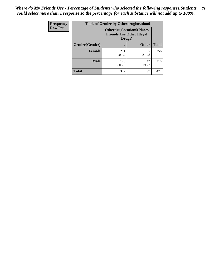| Frequency      | <b>Table of Gender by Otherdruglocation6</b> |                                            |                                  |              |
|----------------|----------------------------------------------|--------------------------------------------|----------------------------------|--------------|
| <b>Row Pct</b> |                                              | <b>Friends Use Other Illegal</b><br>Drugs) | <b>Otherdruglocation6(Places</b> |              |
|                | Gender(Gender)                               |                                            | <b>Other</b>                     | <b>Total</b> |
|                | <b>Female</b>                                | 201<br>78.52                               | 55<br>21.48                      | 256          |
|                | <b>Male</b>                                  | 176<br>80.73                               | 42<br>19.27                      | 218          |
|                | <b>Total</b>                                 | 377                                        | 97                               | 474          |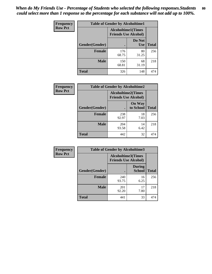| <b>Frequency</b> | <b>Table of Gender by Alcoholtime1</b> |                                                          |                      |              |
|------------------|----------------------------------------|----------------------------------------------------------|----------------------|--------------|
| <b>Row Pct</b>   |                                        | <b>Alcoholtime1(Times</b><br><b>Friends Use Alcohol)</b> |                      |              |
|                  | Gender(Gender)                         | $\bullet$                                                | Do Not<br><b>Use</b> | <b>Total</b> |
|                  | <b>Female</b>                          | 176<br>68.75                                             | 80<br>31.25          | 256          |
|                  | <b>Male</b>                            | 150<br>68.81                                             | 68<br>31.19          | 218          |
|                  | <b>Total</b>                           | 326                                                      | 148                  | 474          |

| Frequency      | <b>Table of Gender by Alcoholtime2</b> |                                                          |                            |              |
|----------------|----------------------------------------|----------------------------------------------------------|----------------------------|--------------|
| <b>Row Pct</b> |                                        | <b>Alcoholtime2(Times</b><br><b>Friends Use Alcohol)</b> |                            |              |
|                | Gender(Gender)                         |                                                          | <b>On Way</b><br>to School | <b>Total</b> |
|                | <b>Female</b>                          | 238<br>92.97                                             | 18<br>7.03                 | 256          |
|                | <b>Male</b>                            | 204<br>93.58                                             | 14<br>6.42                 | 218          |
|                | <b>Total</b>                           | 442                                                      | 32                         | 474          |

| Frequency      | <b>Table of Gender by Alcoholtime3</b> |                                                          |                         |              |
|----------------|----------------------------------------|----------------------------------------------------------|-------------------------|--------------|
| <b>Row Pct</b> |                                        | <b>Alcoholtime3(Times</b><br><b>Friends Use Alcohol)</b> |                         |              |
|                | Gender(Gender)                         |                                                          | During<br><b>School</b> | <b>Total</b> |
|                | Female                                 | 240<br>93.75                                             | 16<br>6.25              | 256          |
|                | <b>Male</b>                            | 201<br>92.20                                             | 17<br>7.80              | 218          |
|                | <b>Total</b>                           | 441                                                      | 33                      | 474          |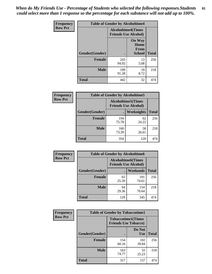*When do My Friends Use - Percentage of Students who selected the following responses.Students could select more than 1 response so the percentage for each substance will not add up to 100%.* **81**

| <b>Frequency</b> | <b>Table of Gender by Alcoholtime4</b> |                                                          |                                                       |              |
|------------------|----------------------------------------|----------------------------------------------------------|-------------------------------------------------------|--------------|
| <b>Row Pct</b>   |                                        | <b>Alcoholtime4(Times</b><br><b>Friends Use Alcohol)</b> |                                                       |              |
|                  | Gender(Gender)                         |                                                          | <b>On Way</b><br>Home<br><b>From</b><br><b>School</b> | <b>Total</b> |
|                  | <b>Female</b>                          | 243<br>94.92                                             | 13<br>5.08                                            | 256          |
|                  | <b>Male</b>                            | 199<br>91.28                                             | 19<br>8.72                                            | 218          |
|                  | <b>Total</b>                           | 442                                                      | 32                                                    | 474          |

| <b>Frequency</b> | <b>Table of Gender by Alcoholtime5</b> |                                                          |                   |              |
|------------------|----------------------------------------|----------------------------------------------------------|-------------------|--------------|
| <b>Row Pct</b>   |                                        | <b>Alcoholtime5(Times</b><br><b>Friends Use Alcohol)</b> |                   |              |
|                  | Gender(Gender)                         |                                                          | <b>Weeknights</b> | <b>Total</b> |
|                  | <b>Female</b>                          | 194<br>75.78                                             | 62<br>24.22       | 256          |
|                  | <b>Male</b>                            | 160<br>73.39                                             | 58<br>26.61       | 218          |
|                  | <b>Total</b>                           | 354                                                      | 120               | 474          |

| <b>Frequency</b> | <b>Table of Gender by Alcoholtime6</b> |             |                                                          |              |
|------------------|----------------------------------------|-------------|----------------------------------------------------------|--------------|
| <b>Row Pct</b>   |                                        |             | <b>Alcoholtime6(Times</b><br><b>Friends Use Alcohol)</b> |              |
|                  | Gender(Gender)                         |             | Weekends                                                 | <b>Total</b> |
|                  | Female                                 | 65<br>25.39 | 191<br>74.61                                             | 256          |
|                  | <b>Male</b>                            | 64<br>29.36 | 154<br>70.64                                             | 218          |
|                  | <b>Total</b>                           | 129         | 345                                                      | 474          |

| Frequency      | <b>Table of Gender by Tobaccotime1</b> |                                                          |                      |              |
|----------------|----------------------------------------|----------------------------------------------------------|----------------------|--------------|
| <b>Row Pct</b> |                                        | <b>Tobaccotime1(Times</b><br><b>Friends Use Tobacco)</b> |                      |              |
|                | Gender(Gender)                         |                                                          | Do Not<br><b>Use</b> | <b>Total</b> |
|                | Female                                 | 154<br>60.16                                             | 102<br>39.84         | 256          |
|                | <b>Male</b>                            | 163<br>74.77                                             | 55<br>25.23          | 218          |
|                | <b>Total</b>                           | 317                                                      | 157                  | 474          |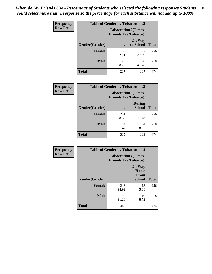*When do My Friends Use - Percentage of Students who selected the following responses.Students could select more than 1 response so the percentage for each substance will not add up to 100%.* **82**

| Frequency      | <b>Table of Gender by Tobaccotime2</b> |                                                          |                            |              |
|----------------|----------------------------------------|----------------------------------------------------------|----------------------------|--------------|
| <b>Row Pct</b> |                                        | <b>Tobaccotime2(Times</b><br><b>Friends Use Tobacco)</b> |                            |              |
|                | Gender(Gender)                         |                                                          | <b>On Way</b><br>to School | <b>Total</b> |
|                | <b>Female</b>                          | 159<br>62.11                                             | 97<br>37.89                | 256          |
|                | <b>Male</b>                            | 128<br>58.72                                             | 90<br>41.28                | 218          |
|                | <b>Total</b>                           | 287                                                      | 187                        | 474          |

| Frequency      | <b>Table of Gender by Tobaccotime3</b> |                             |                                |              |
|----------------|----------------------------------------|-----------------------------|--------------------------------|--------------|
| <b>Row Pct</b> |                                        | <b>Friends Use Tobacco)</b> | <b>Tobaccotime3(Times</b>      |              |
|                | Gender(Gender)                         |                             | <b>During</b><br><b>School</b> | <b>Total</b> |
|                | <b>Female</b>                          | 201<br>78.52                | 55<br>21.48                    | 256          |
|                | <b>Male</b>                            | 134<br>61.47                | 84<br>38.53                    | 218          |
|                | <b>Total</b>                           | 335                         | 139                            | 474          |

| <b>Frequency</b> | <b>Table of Gender by Tobaccotime4</b> |                                                          |                                                       |              |
|------------------|----------------------------------------|----------------------------------------------------------|-------------------------------------------------------|--------------|
| <b>Row Pct</b>   |                                        | <b>Tobaccotime4(Times</b><br><b>Friends Use Tobacco)</b> |                                                       |              |
|                  | Gender(Gender)                         |                                                          | <b>On Way</b><br>Home<br><b>From</b><br><b>School</b> | <b>Total</b> |
|                  | <b>Female</b>                          | 243<br>94.92                                             | 13<br>5.08                                            | 256          |
|                  | <b>Male</b>                            | 199<br>91.28                                             | 19<br>8.72                                            | 218          |
|                  | <b>Total</b>                           | 442                                                      | 32                                                    | 474          |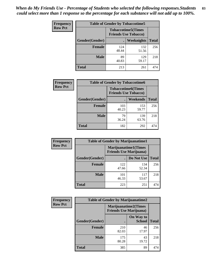| <b>Frequency</b> | <b>Table of Gender by Tobaccotime5</b> |                                                          |                   |              |  |
|------------------|----------------------------------------|----------------------------------------------------------|-------------------|--------------|--|
| <b>Row Pct</b>   |                                        | <b>Tobaccotime5(Times</b><br><b>Friends Use Tobacco)</b> |                   |              |  |
|                  | <b>Gender</b> (Gender)                 |                                                          | <b>Weeknights</b> | <b>Total</b> |  |
|                  | Female                                 | 124<br>48.44                                             | 132<br>51.56      | 256          |  |
|                  | <b>Male</b>                            | 89<br>40.83                                              | 129<br>59.17      | 218          |  |
|                  | <b>Total</b>                           | 213                                                      | 261               | 474          |  |

| <b>Frequency</b> | <b>Table of Gender by Tobaccotime6</b> |                                                          |              |              |
|------------------|----------------------------------------|----------------------------------------------------------|--------------|--------------|
| <b>Row Pct</b>   |                                        | <b>Tobaccotime6(Times</b><br><b>Friends Use Tobacco)</b> |              |              |
|                  | Gender(Gender)                         |                                                          | Weekends     | <b>Total</b> |
|                  | <b>Female</b>                          | 103<br>40.23                                             | 153<br>59.77 | 256          |
|                  | <b>Male</b>                            | 79<br>36.24                                              | 139<br>63.76 | 218          |
|                  | <b>Total</b>                           | 182                                                      | 292          | 474          |

| <b>Frequency</b> | <b>Table of Gender by Marijuanatime1</b> |                                                               |              |              |
|------------------|------------------------------------------|---------------------------------------------------------------|--------------|--------------|
| <b>Row Pct</b>   |                                          | <b>Marijuanatime1(Times</b><br><b>Friends Use Marijuana</b> ) |              |              |
|                  | Gender(Gender)                           |                                                               | Do Not Use   | <b>Total</b> |
|                  | <b>Female</b>                            | 122<br>47.66                                                  | 134<br>52.34 | 256          |
|                  | <b>Male</b>                              | 101<br>46.33                                                  | 117<br>53.67 | 218          |
|                  | <b>Total</b>                             | 223                                                           | 251          | 474          |

| <b>Frequency</b> | <b>Table of Gender by Marijuanatime2</b> |                                                               |                            |              |
|------------------|------------------------------------------|---------------------------------------------------------------|----------------------------|--------------|
| <b>Row Pct</b>   |                                          | <b>Marijuanatime2(Times</b><br><b>Friends Use Marijuana</b> ) |                            |              |
|                  | Gender(Gender)                           |                                                               | On Way to<br><b>School</b> | <b>Total</b> |
|                  | Female                                   | 210<br>82.03                                                  | 46<br>17.97                | 256          |
|                  | <b>Male</b>                              | 175<br>80.28                                                  | 43<br>19.72                | 218          |
|                  | <b>Total</b>                             | 385                                                           | 89                         | 474          |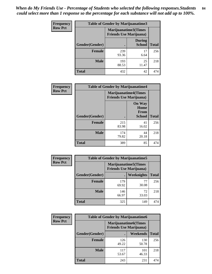*When do My Friends Use - Percentage of Students who selected the following responses.Students could select more than 1 response so the percentage for each substance will not add up to 100%.* **84**

| <b>Frequency</b> | Table of Gender by Marijuanatime3 |                                                        |                                |              |
|------------------|-----------------------------------|--------------------------------------------------------|--------------------------------|--------------|
| <b>Row Pct</b>   |                                   | Marijuanatime3(Times<br><b>Friends Use Marijuana</b> ) |                                |              |
|                  | Gender(Gender)                    |                                                        | <b>During</b><br><b>School</b> | <b>Total</b> |
|                  | <b>Female</b>                     | 239<br>93.36                                           | 17<br>6.64                     | 256          |
|                  | <b>Male</b>                       | 193<br>88.53                                           | 25<br>11.47                    | 218          |
|                  | <b>Total</b>                      | 432                                                    | 42                             | 474          |

| Frequency      | <b>Table of Gender by Marijuanatime4</b> |                             |                                                |              |
|----------------|------------------------------------------|-----------------------------|------------------------------------------------|--------------|
| <b>Row Pct</b> |                                          | <b>Marijuanatime4(Times</b> | <b>Friends Use Marijuana</b> )                 |              |
|                | Gender(Gender)                           |                             | <b>On Way</b><br>Home<br>From<br><b>School</b> | <b>Total</b> |
|                | <b>Female</b>                            | 215<br>83.98                | 41<br>16.02                                    | 256          |
|                | <b>Male</b>                              | 174<br>79.82                | 44<br>20.18                                    | 218          |
|                | <b>Total</b>                             | 389                         | 85                                             | 474          |

| Frequency      |                | <b>Table of Gender by Marijuanatime5</b>                       |             |              |
|----------------|----------------|----------------------------------------------------------------|-------------|--------------|
| <b>Row Pct</b> |                | <b>Marijuanatime5</b> (Times<br><b>Friends Use Marijuana</b> ) |             |              |
|                | Gender(Gender) | ٠                                                              | Weeknights  | <b>Total</b> |
|                | <b>Female</b>  | 179<br>69.92                                                   | 77<br>30.08 | 256          |
|                | <b>Male</b>    | 146<br>66.97                                                   | 72<br>33.03 | 218          |
|                | <b>Total</b>   | 325                                                            | 149         | 474          |

| Frequency      | <b>Table of Gender by Marijuanatime6</b> |                                                               |                 |              |
|----------------|------------------------------------------|---------------------------------------------------------------|-----------------|--------------|
| <b>Row Pct</b> |                                          | <b>Marijuanatime6(Times</b><br><b>Friends Use Marijuana</b> ) |                 |              |
|                | Gender(Gender)                           |                                                               | <b>Weekends</b> | <b>Total</b> |
|                | Female                                   | 126<br>49.22                                                  | 130<br>50.78    | 256          |
|                | <b>Male</b>                              | 117<br>53.67                                                  | 101<br>46.33    | 218          |
|                | <b>Total</b>                             | 243                                                           | 231             | 474          |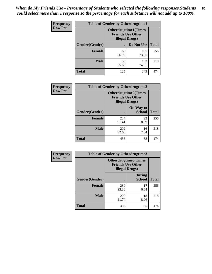*When do My Friends Use - Percentage of Students who selected the following responses.Students could select more than 1 response so the percentage for each substance will not add up to 100%.* **85**

| <b>Frequency</b> | <b>Table of Gender by Otherdrugtime1</b> |                                                                                    |              |              |  |
|------------------|------------------------------------------|------------------------------------------------------------------------------------|--------------|--------------|--|
| <b>Row Pct</b>   |                                          | <b>Otherdrugtime1</b> (Times<br><b>Friends Use Other</b><br><b>Illegal Drugs</b> ) |              |              |  |
|                  | Gender(Gender)                           |                                                                                    | Do Not Use   | <b>Total</b> |  |
|                  | <b>Female</b>                            | 69<br>26.95                                                                        | 187<br>73.05 | 256          |  |
|                  | <b>Male</b>                              | 56<br>25.69                                                                        | 162<br>74.31 | 218          |  |
|                  | <b>Total</b>                             | 125                                                                                | 349          | 474          |  |

| Frequency      | <b>Table of Gender by Otherdrugtime2</b> |                                                    |                             |              |
|----------------|------------------------------------------|----------------------------------------------------|-----------------------------|--------------|
| <b>Row Pct</b> |                                          | <b>Friends Use Other</b><br><b>Illegal Drugs</b> ) | <b>Otherdrugtime2(Times</b> |              |
|                | Gender(Gender)                           |                                                    | On Way to<br><b>School</b>  | <b>Total</b> |
|                | <b>Female</b>                            | 234<br>91.41                                       | 22<br>8.59                  | 256          |
|                | <b>Male</b>                              | 202<br>92.66                                       | 16<br>7.34                  | 218          |
|                | <b>Total</b>                             | 436                                                | 38                          | 474          |

| Frequency      | <b>Table of Gender by Otherdrugtime3</b> |                        |                                                         |              |
|----------------|------------------------------------------|------------------------|---------------------------------------------------------|--------------|
| <b>Row Pct</b> |                                          | <b>Illegal Drugs</b> ) | <b>Otherdrugtime3(Times</b><br><b>Friends Use Other</b> |              |
|                | Gender(Gender)                           |                        | <b>During</b><br><b>School</b>                          | <b>Total</b> |
|                | <b>Female</b>                            | 239<br>93.36           | 17<br>6.64                                              | 256          |
|                | <b>Male</b>                              | 200<br>91.74           | 18<br>8.26                                              | 218          |
|                | <b>Total</b>                             | 439                    | 35                                                      | 474          |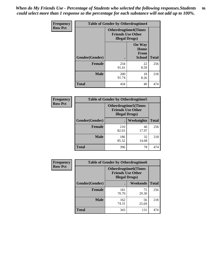*When do My Friends Use - Percentage of Students who selected the following responses.Students could select more than 1 response so the percentage for each substance will not add up to 100%.* **86**

| <b>Frequency</b> | <b>Table of Gender by Otherdrugtime4</b> |                                                    |                                                |              |
|------------------|------------------------------------------|----------------------------------------------------|------------------------------------------------|--------------|
| <b>Row Pct</b>   |                                          | <b>Friends Use Other</b><br><b>Illegal Drugs</b> ) | <b>Otherdrugtime4(Times</b>                    |              |
|                  | Gender(Gender)                           |                                                    | <b>On Way</b><br>Home<br><b>From</b><br>School | <b>Total</b> |
|                  | <b>Female</b>                            | 234<br>91.41                                       | 22<br>8.59                                     | 256          |
|                  | <b>Male</b>                              | 200<br>91.74                                       | 18<br>8.26                                     | 218          |
|                  | <b>Total</b>                             | 434                                                | 40                                             | 474          |

| Frequency      | <b>Table of Gender by Otherdrugtime5</b> |                                                                                    |             |              |
|----------------|------------------------------------------|------------------------------------------------------------------------------------|-------------|--------------|
| <b>Row Pct</b> |                                          | <b>Otherdrugtime5</b> (Times<br><b>Friends Use Other</b><br><b>Illegal Drugs</b> ) |             |              |
|                | Gender(Gender)                           |                                                                                    | Weeknights  | <b>Total</b> |
|                | <b>Female</b>                            | 210<br>82.03                                                                       | 46<br>17.97 | 256          |
|                | <b>Male</b>                              | 186<br>85.32                                                                       | 32<br>14.68 | 218          |
|                | <b>Total</b>                             | 396                                                                                | 78          | 474          |

| <b>Frequency</b> | <b>Table of Gender by Otherdrugtime6</b> |                                                                                   |             |              |
|------------------|------------------------------------------|-----------------------------------------------------------------------------------|-------------|--------------|
| <b>Row Pct</b>   |                                          | <b>Otherdrugtime6(Times</b><br><b>Friends Use Other</b><br><b>Illegal Drugs</b> ) |             |              |
|                  | Gender(Gender)                           |                                                                                   | Weekends    | <b>Total</b> |
|                  | <b>Female</b>                            | 181<br>70.70                                                                      | 75<br>29.30 | 256          |
|                  | <b>Male</b>                              | 162<br>74.31                                                                      | 56<br>25.69 | 218          |
|                  | <b>Total</b>                             | 343                                                                               | 131         | 474          |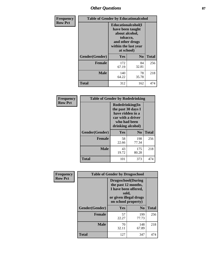# *Other Questions* **87**

| <b>Frequency</b> | <b>Table of Gender by Educationalcohol</b> |                                                                                                                                       |                |              |  |
|------------------|--------------------------------------------|---------------------------------------------------------------------------------------------------------------------------------------|----------------|--------------|--|
| <b>Row Pct</b>   |                                            | <b>Educationalcohol</b> (I<br>have been taught<br>about alcohol,<br>tobacco,<br>and other drugs<br>within the last year<br>at school) |                |              |  |
|                  | Gender(Gender)                             | <b>Yes</b>                                                                                                                            | N <sub>0</sub> | <b>Total</b> |  |
|                  | <b>Female</b>                              | 172<br>67.19                                                                                                                          | 84<br>32.81    | 256          |  |
|                  | <b>Male</b>                                | 140<br>64.22                                                                                                                          | 78<br>35.78    | 218          |  |
|                  | <b>Total</b>                               | 312                                                                                                                                   | 162            | 474          |  |

| Frequency      | <b>Table of Gender by Rodedrinking</b> |                                                                                                                     |                |              |  |
|----------------|----------------------------------------|---------------------------------------------------------------------------------------------------------------------|----------------|--------------|--|
| <b>Row Pct</b> |                                        | Rodedrinking(In<br>the past 30 days I<br>have ridden in a<br>car with a driver<br>who had been<br>drinking alcohol) |                |              |  |
|                | Gender(Gender)                         | Yes                                                                                                                 | N <sub>0</sub> | <b>Total</b> |  |
|                | <b>Female</b>                          | 58<br>22.66                                                                                                         | 198<br>77.34   | 256          |  |
|                | <b>Male</b>                            | 43<br>19.72                                                                                                         | 175<br>80.28   | 218          |  |
|                | <b>Total</b>                           | 101                                                                                                                 | 373            | 474          |  |

| Frequency      | <b>Table of Gender by Drugsschool</b> |                                                                                                                                     |                |              |  |
|----------------|---------------------------------------|-------------------------------------------------------------------------------------------------------------------------------------|----------------|--------------|--|
| <b>Row Pct</b> |                                       | <b>Drugsschool</b> (During<br>the past 12 months,<br>I have been offered,<br>sold,<br>or given illegal drugs<br>on school property) |                |              |  |
|                | Gender(Gender)                        | <b>Yes</b>                                                                                                                          | N <sub>0</sub> | <b>Total</b> |  |
|                | <b>Female</b>                         | 57<br>22.27                                                                                                                         | 199<br>77.73   | 256          |  |
|                | <b>Male</b>                           | 70<br>32.11                                                                                                                         | 148<br>67.89   | 218          |  |
|                | <b>Total</b>                          | 127                                                                                                                                 | 347            | 474          |  |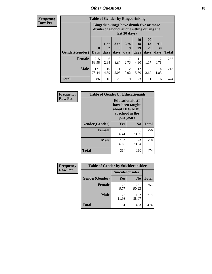# *Other Questions* **88**

**Frequency Row Pct**

| <b>Table of Gender by Bingedrinking</b> |                            |                                                                                                         |                   |                          |                        |                               |                   |              |
|-----------------------------------------|----------------------------|---------------------------------------------------------------------------------------------------------|-------------------|--------------------------|------------------------|-------------------------------|-------------------|--------------|
|                                         |                            | Bingedrinking(I have drunk five or more<br>drinks of alcohol at one sitting during the<br>last 30 days) |                   |                          |                        |                               |                   |              |
| <b>Gender</b> (Gender)                  | $\mathbf 0$<br><b>Days</b> | 1 or<br>days                                                                                            | 3 to<br>5<br>days | <b>6 to</b><br>9<br>days | 10<br>to<br>19<br>days | <b>20</b><br>to<br>29<br>days | All<br>30<br>days | <b>Total</b> |
| <b>Female</b>                           | 215<br>83.98               | 6<br>2.34                                                                                               | 12<br>4.69        | 7<br>2.73                | 11<br>4.30             | 3<br>1.17                     | 2<br>0.78         | 256          |
| <b>Male</b>                             | 171<br>78.44               | 10<br>4.59                                                                                              | 11<br>5.05        | 2<br>0.92                | 12<br>5.50             | 8<br>3.67                     | 4<br>1.83         | 218          |
| <b>Total</b>                            | 386                        | 16                                                                                                      | 23                | 9                        | 23                     | 11                            | 6                 | 474          |

| Frequency      | <b>Table of Gender by Educationaids</b> |                                                                                                 |                |              |  |
|----------------|-----------------------------------------|-------------------------------------------------------------------------------------------------|----------------|--------------|--|
| <b>Row Pct</b> |                                         | <b>Educationaids</b> (I<br>have been taught<br>about HIV/AIDS<br>at school in the<br>past year) |                |              |  |
|                | Gender(Gender)                          | Yes                                                                                             | $\mathbf{N_0}$ | <b>Total</b> |  |
|                | <b>Female</b>                           | 170<br>66.41                                                                                    | 86<br>33.59    | 256          |  |
|                | <b>Male</b>                             | 144<br>66.06                                                                                    | 74<br>33.94    | 218          |  |
|                | <b>Total</b>                            | 314                                                                                             | 160            | 474          |  |

| <b>Frequency</b> | <b>Table of Gender by Suicideconsider</b> |                 |                |       |  |
|------------------|-------------------------------------------|-----------------|----------------|-------|--|
| <b>Row Pct</b>   |                                           | Suicideconsider |                |       |  |
|                  | Gender(Gender)                            | Yes             | N <sub>0</sub> | Total |  |
|                  | <b>Female</b>                             | 25<br>9.77      | 231<br>90.23   | 256   |  |
|                  | <b>Male</b>                               | 26<br>11.93     | 192<br>88.07   | 218   |  |
|                  | <b>Total</b>                              | 51              | 423            | 474   |  |